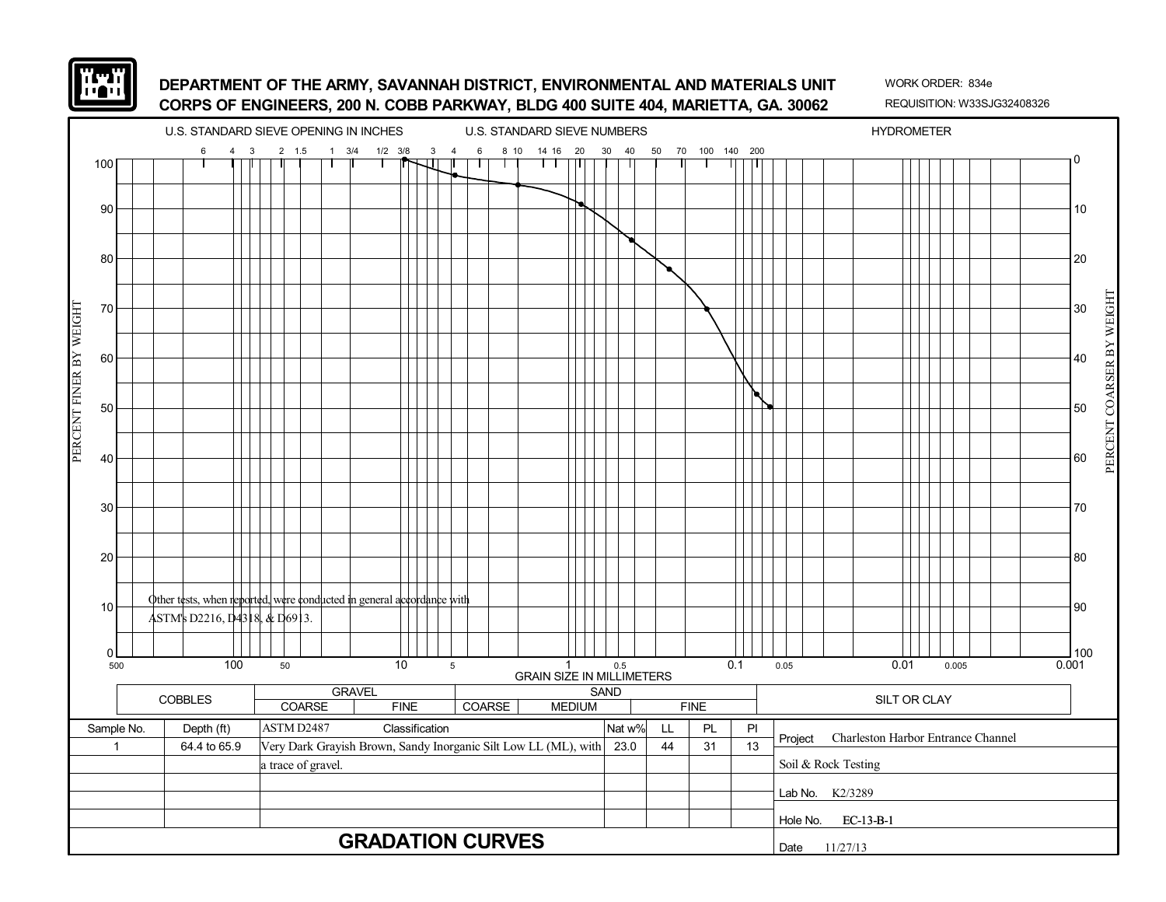

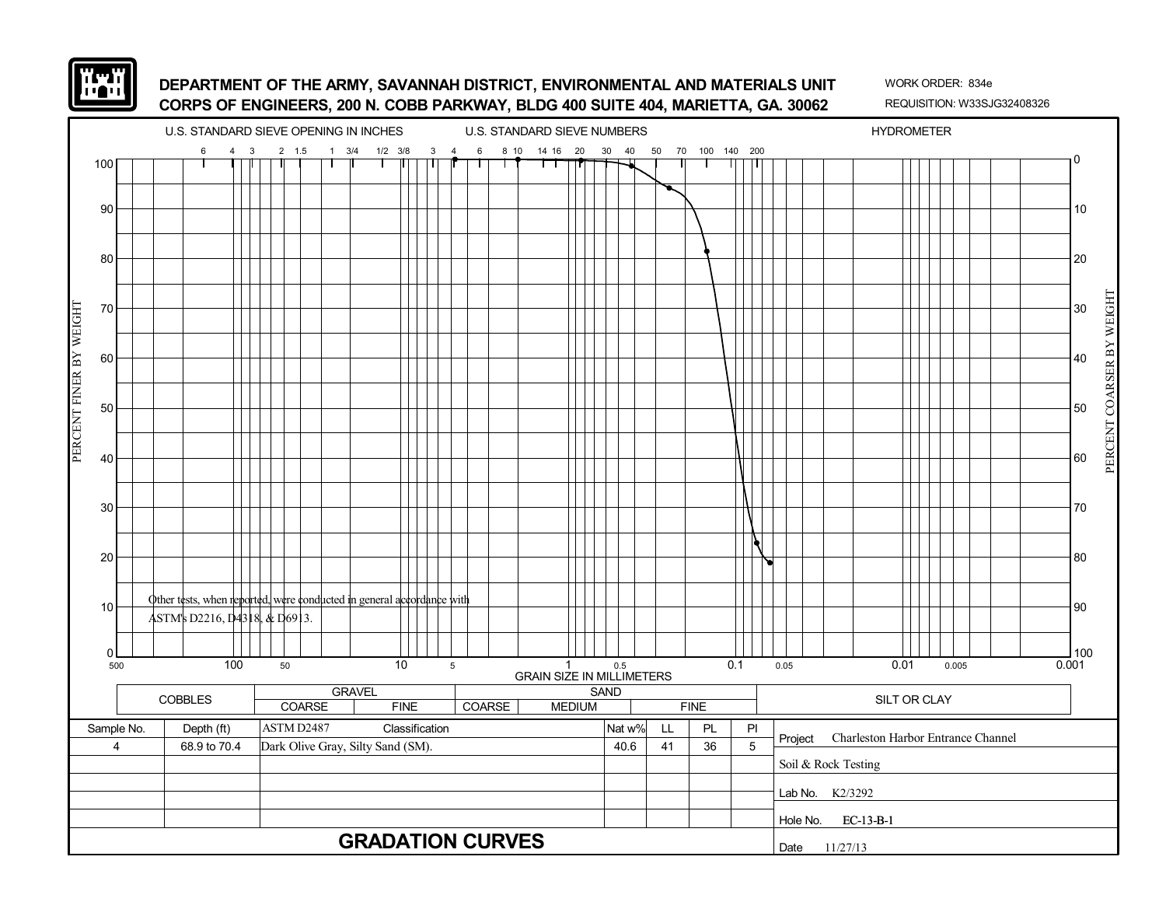

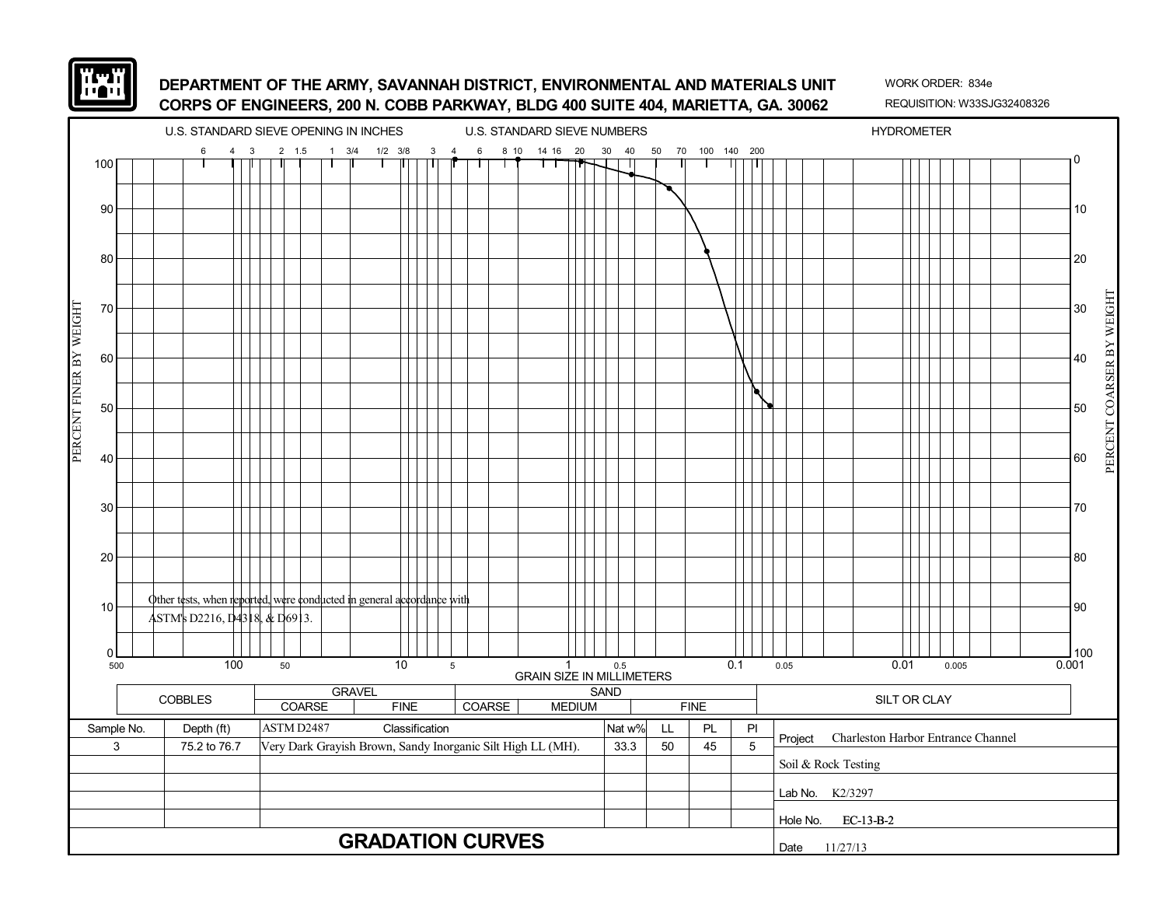

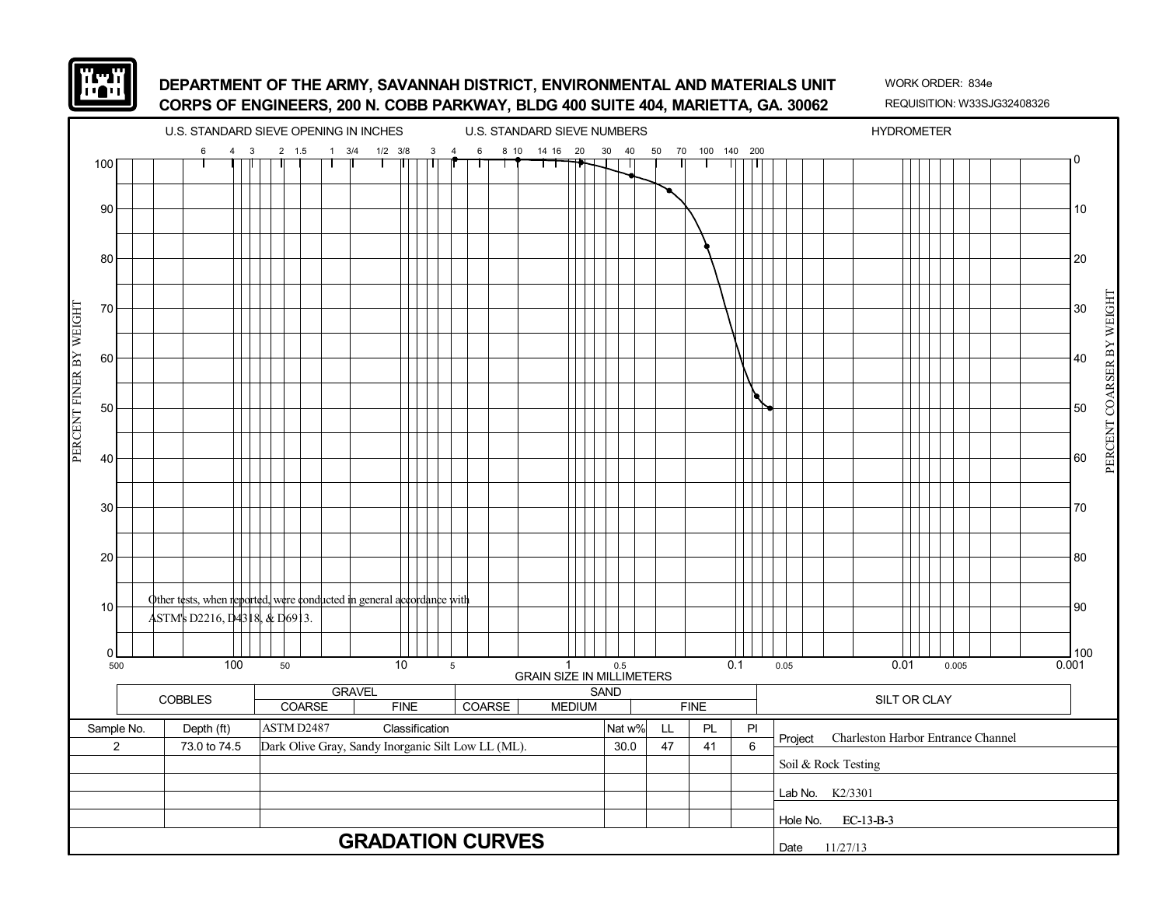

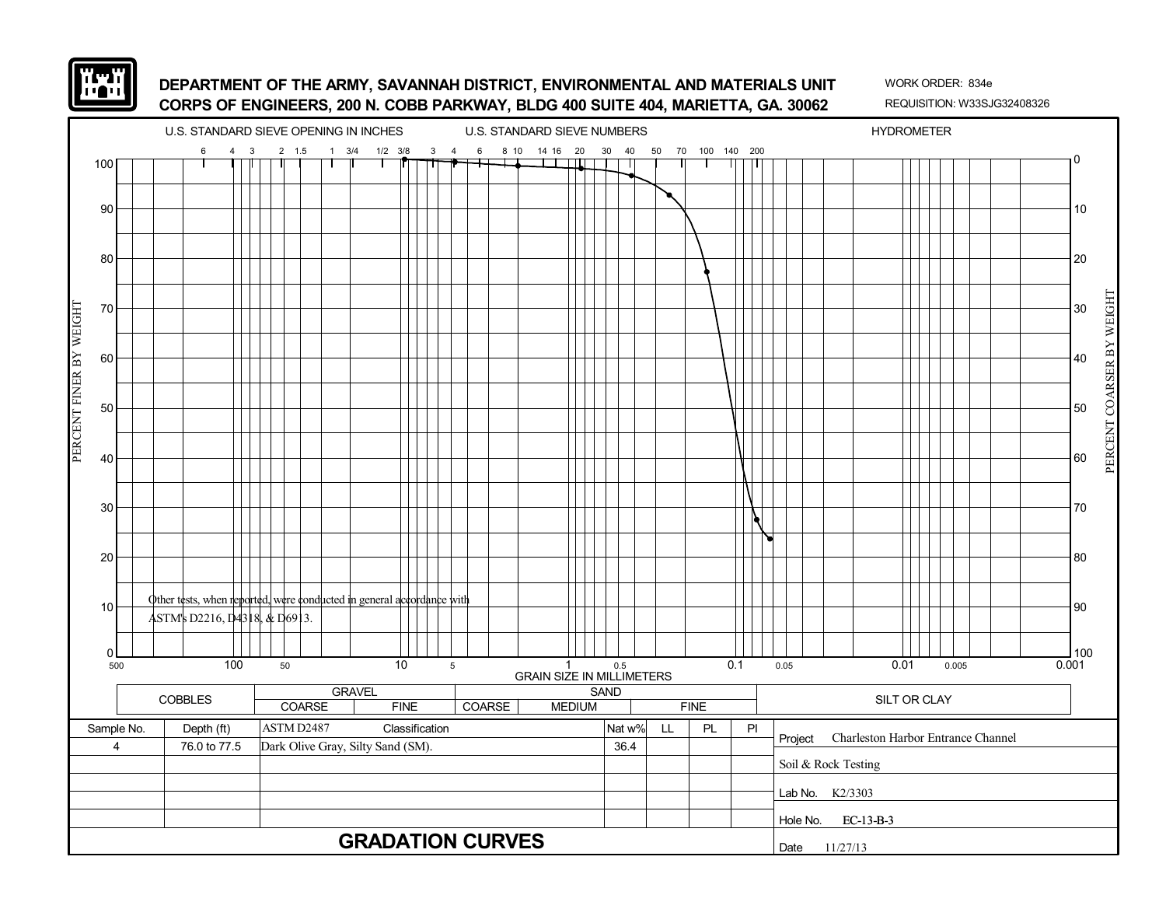

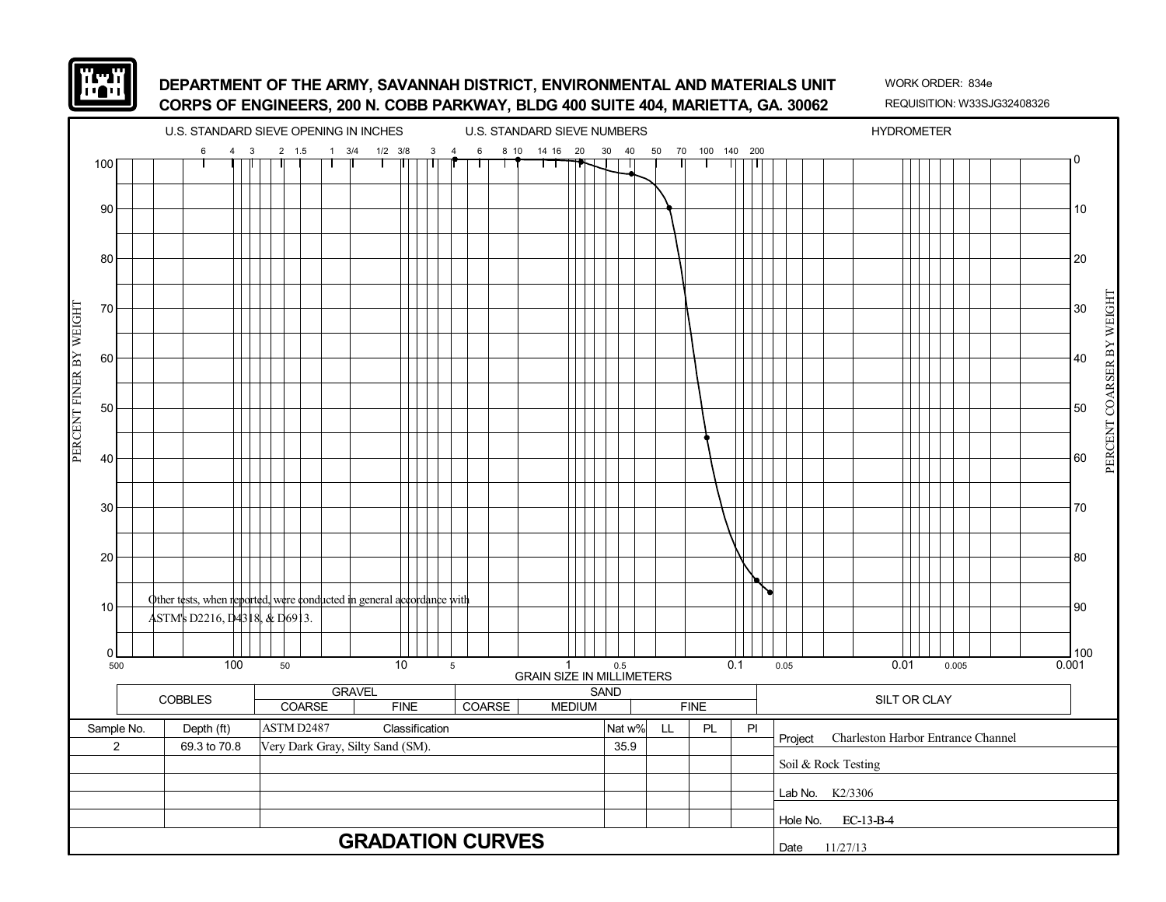

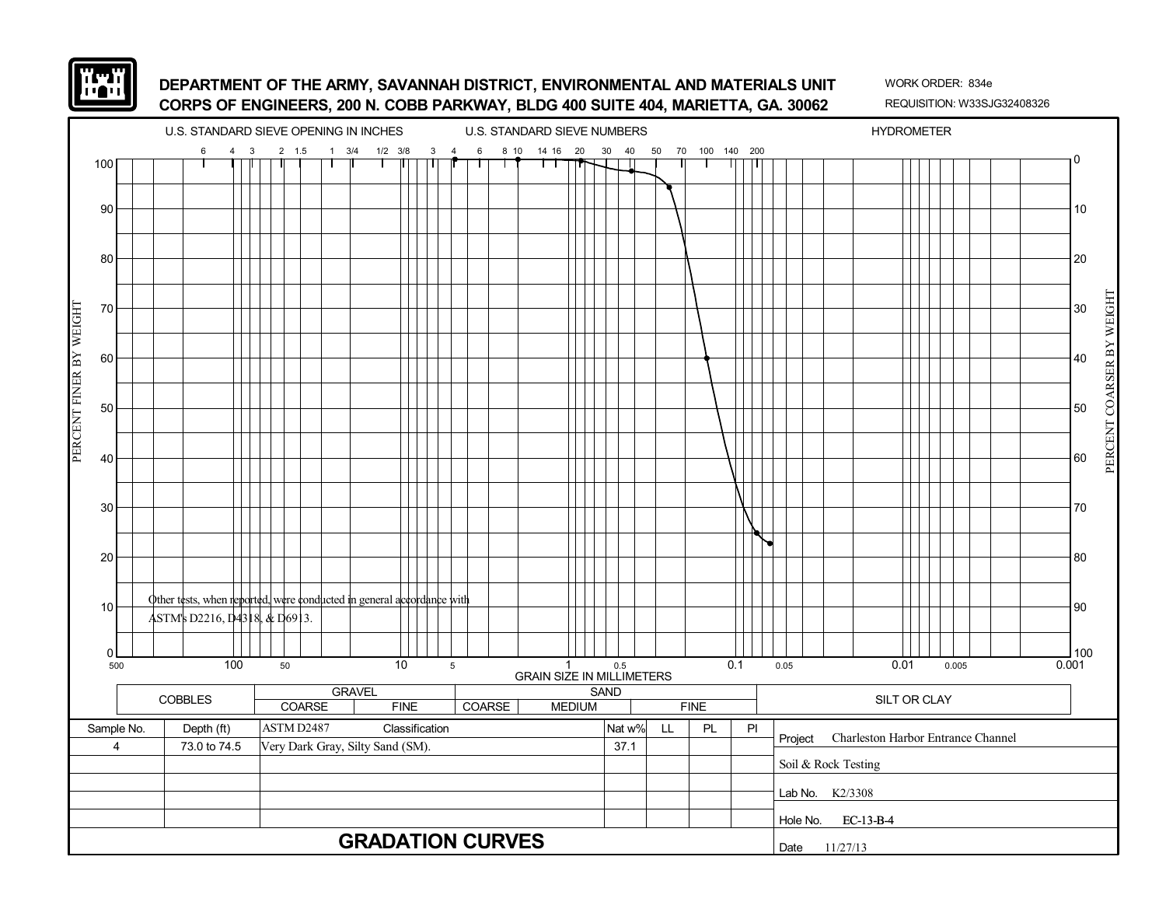

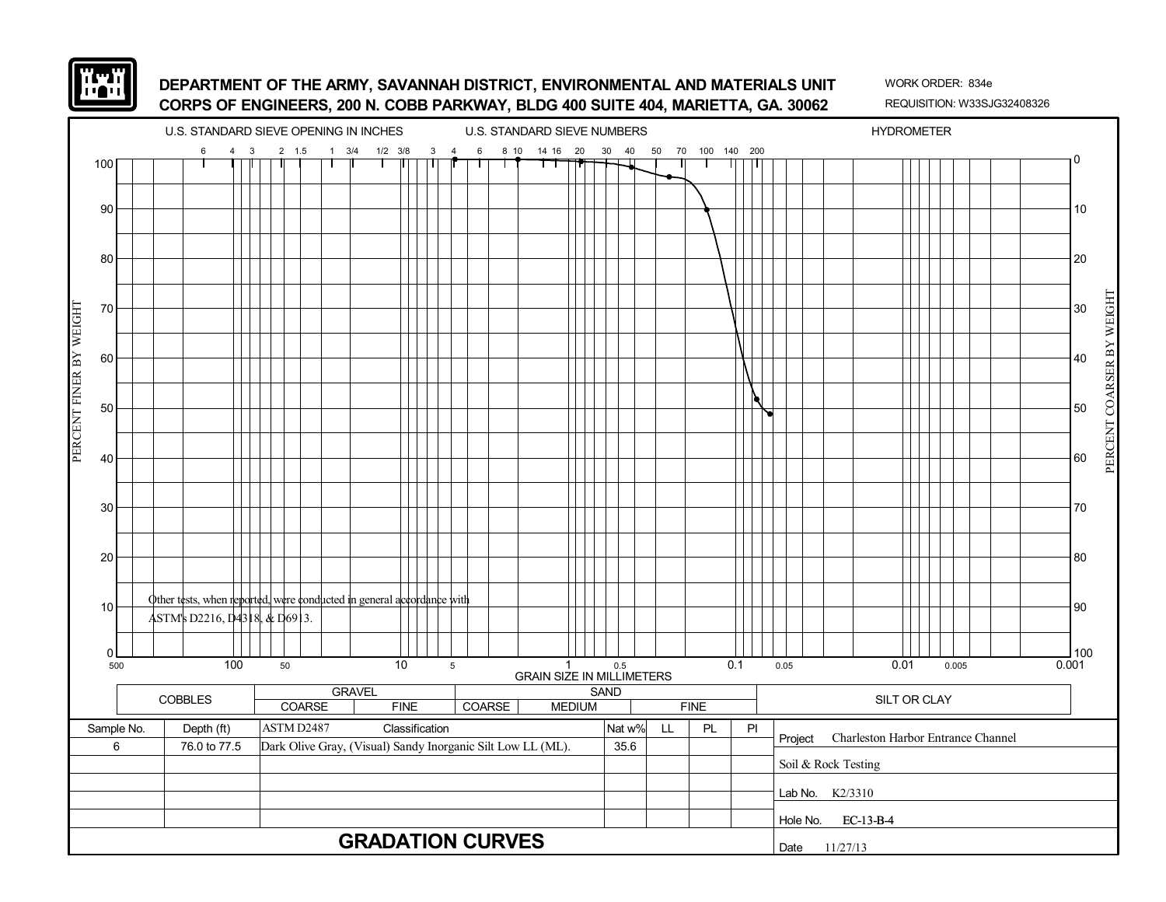

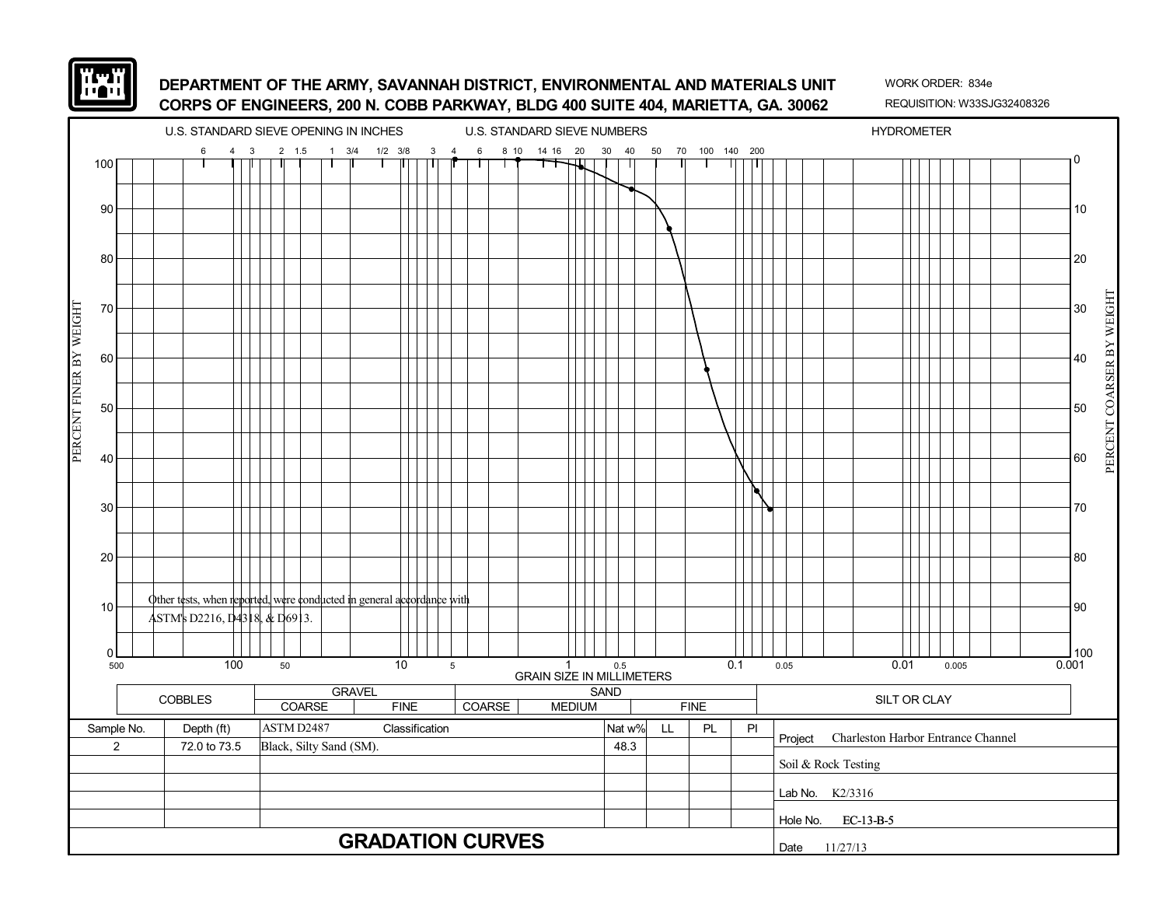

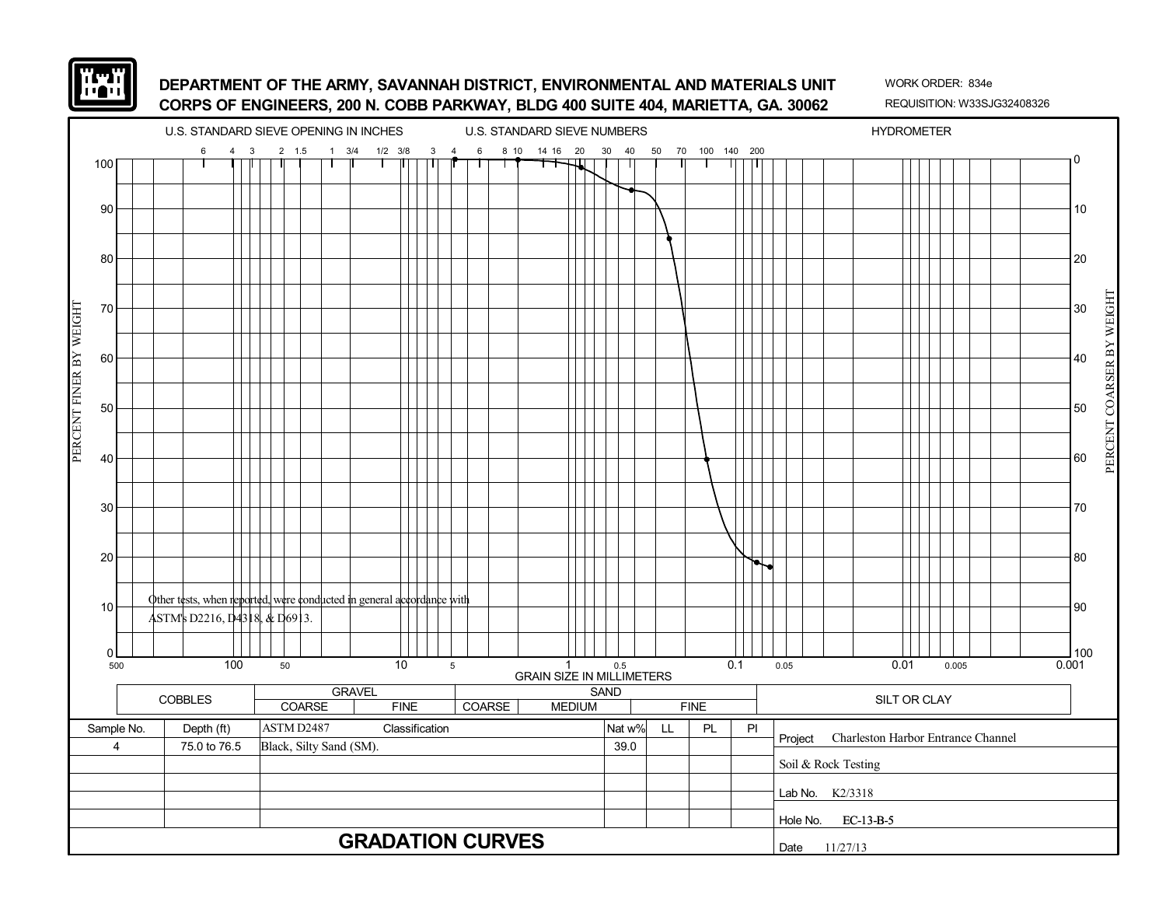

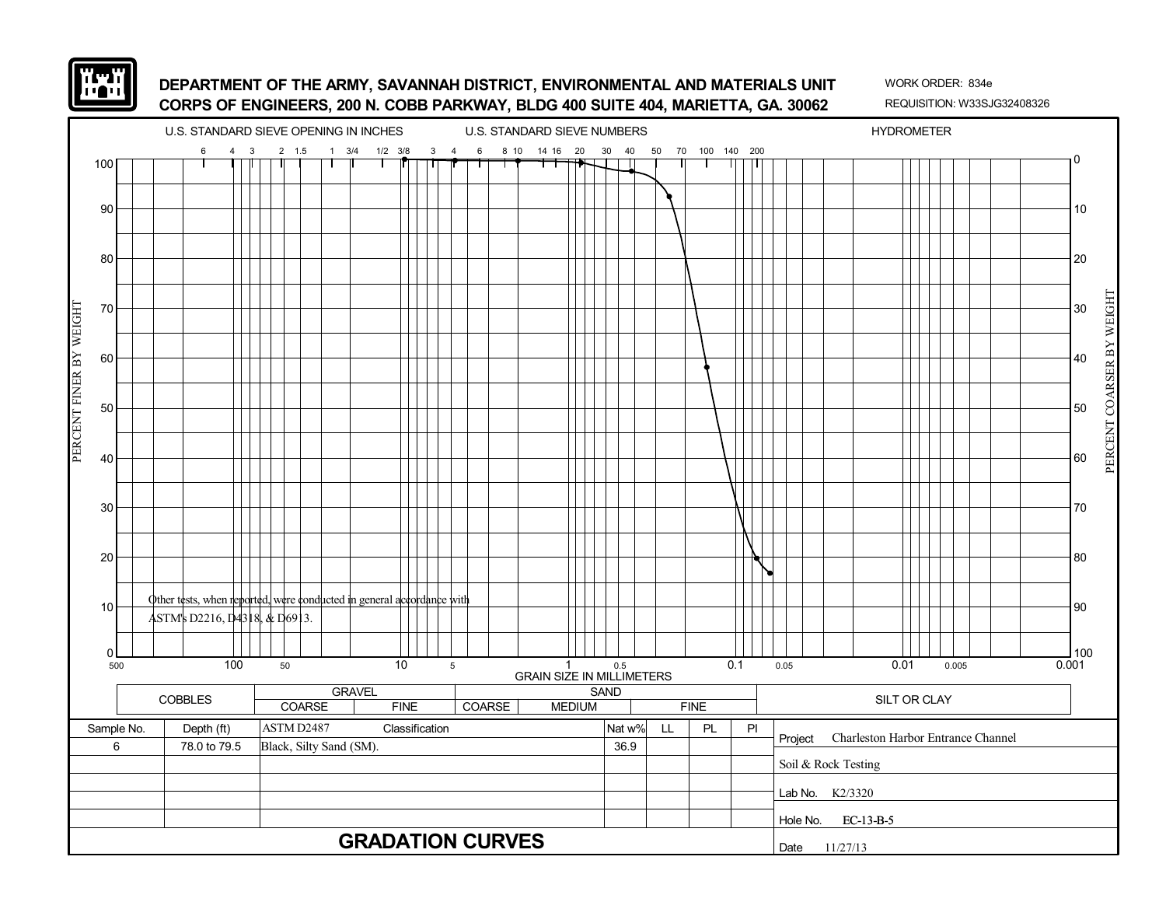

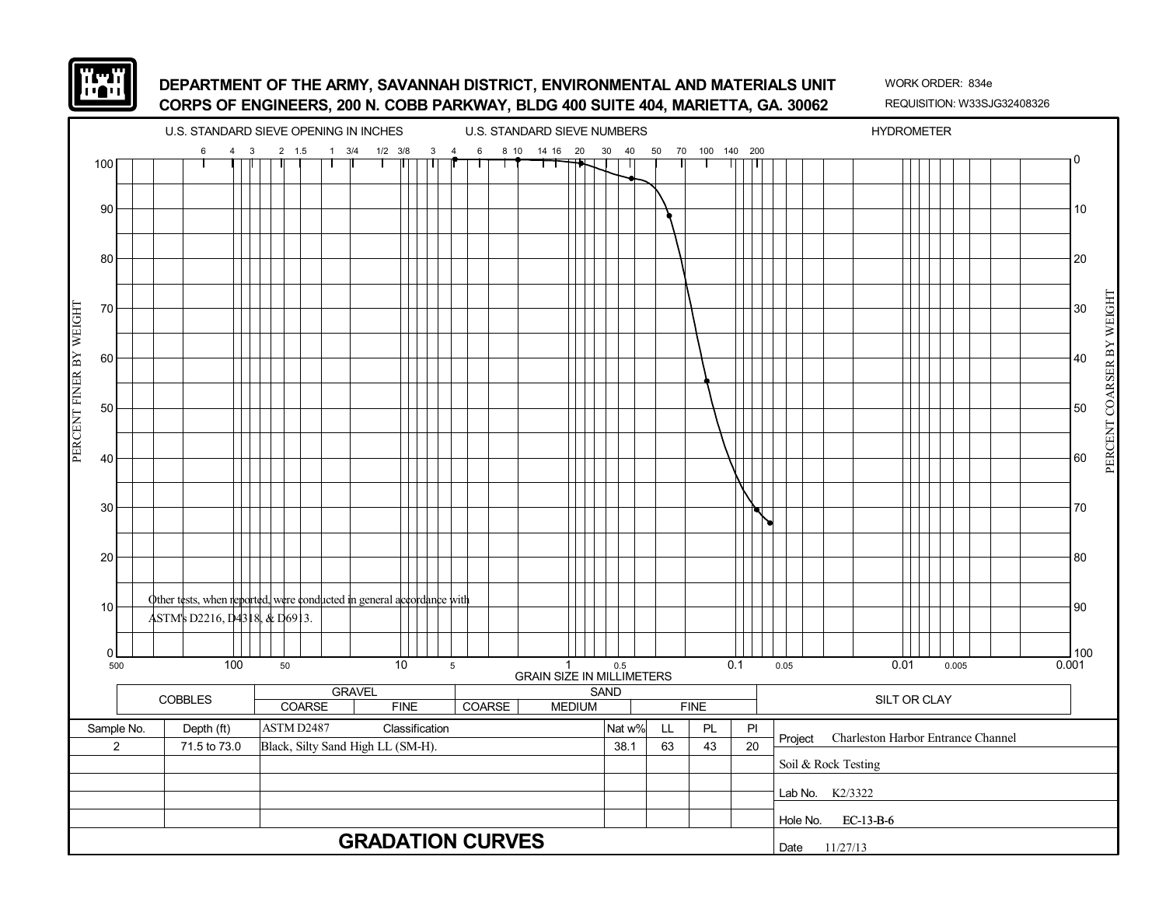

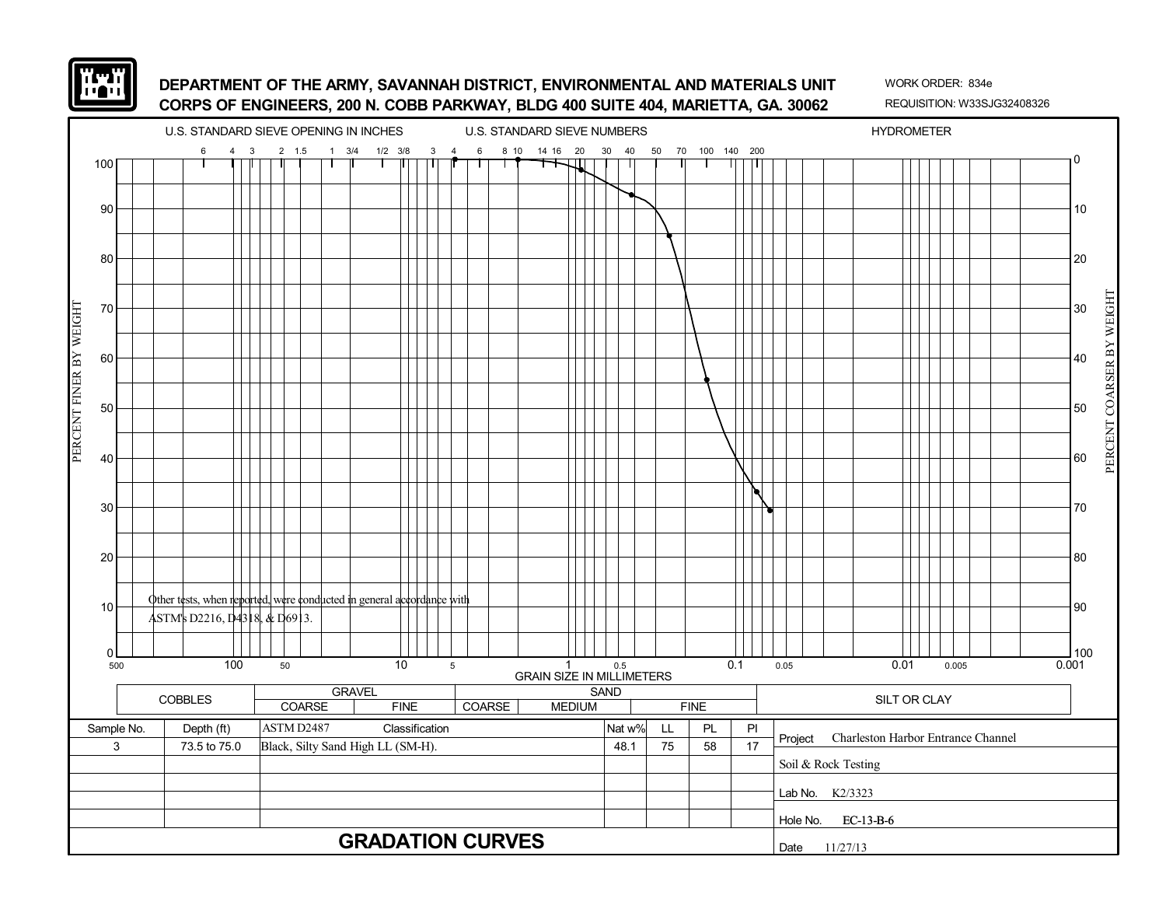

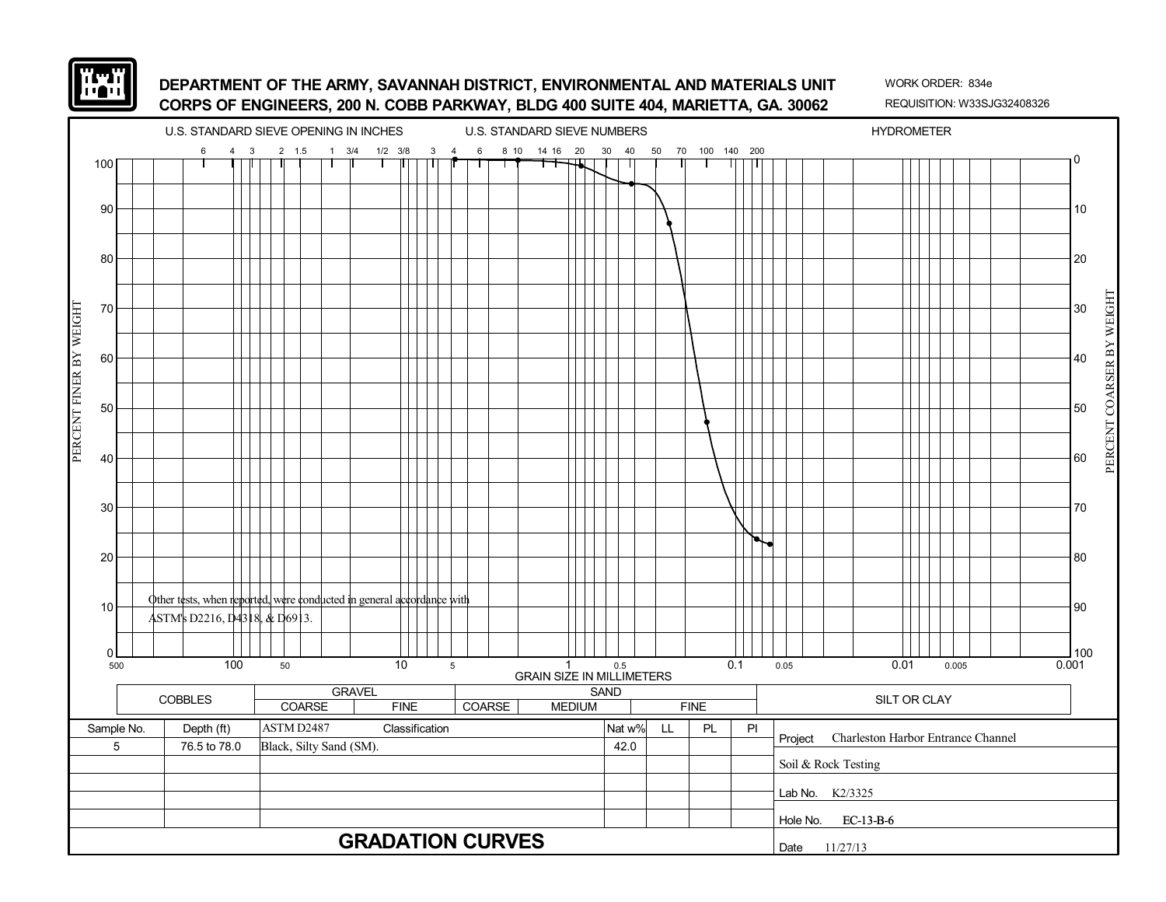

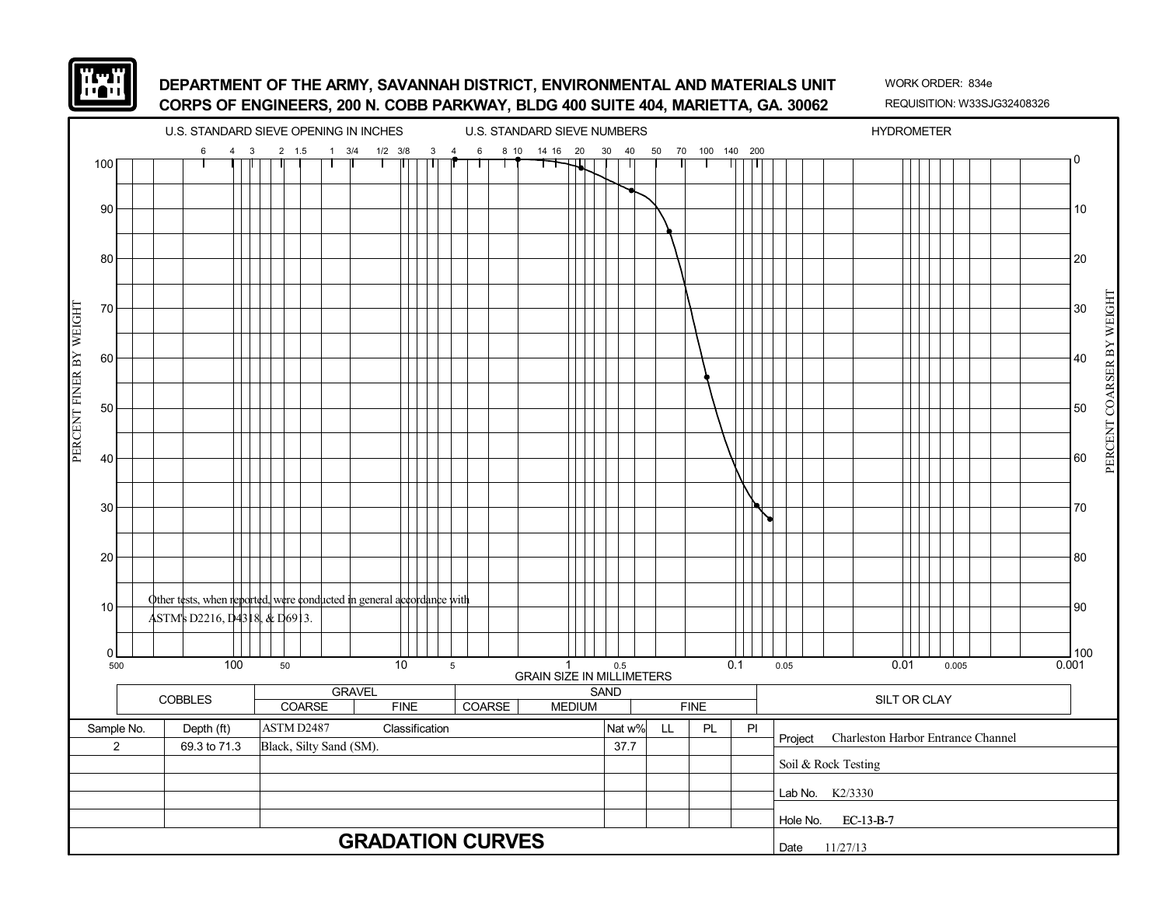

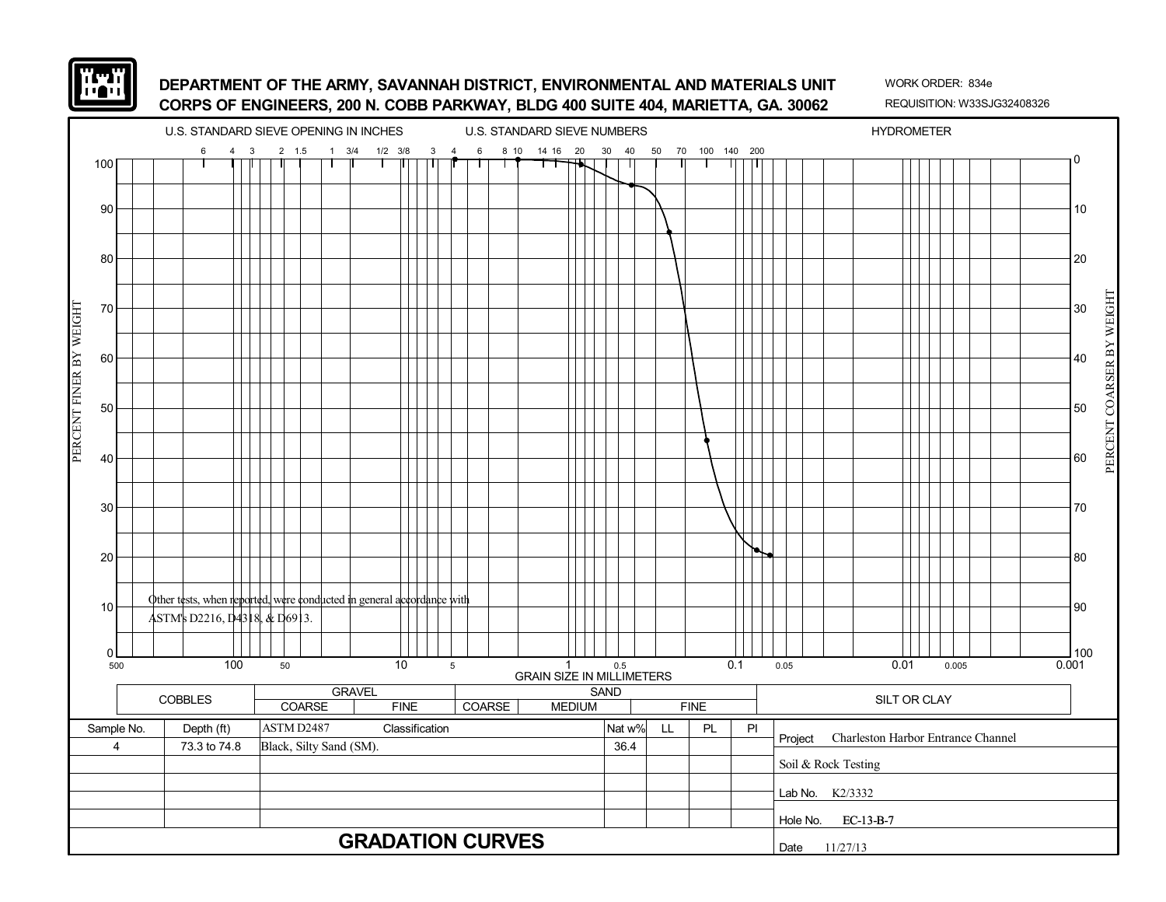

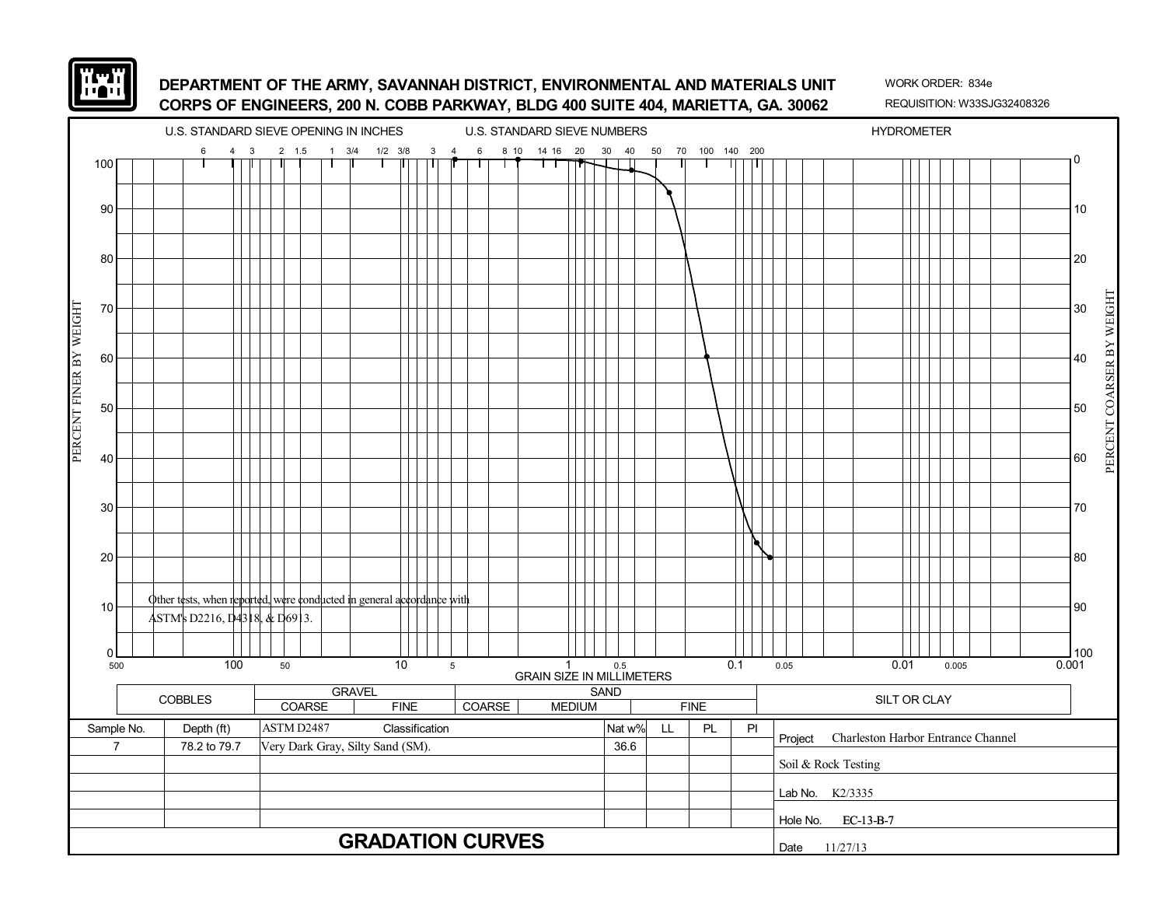

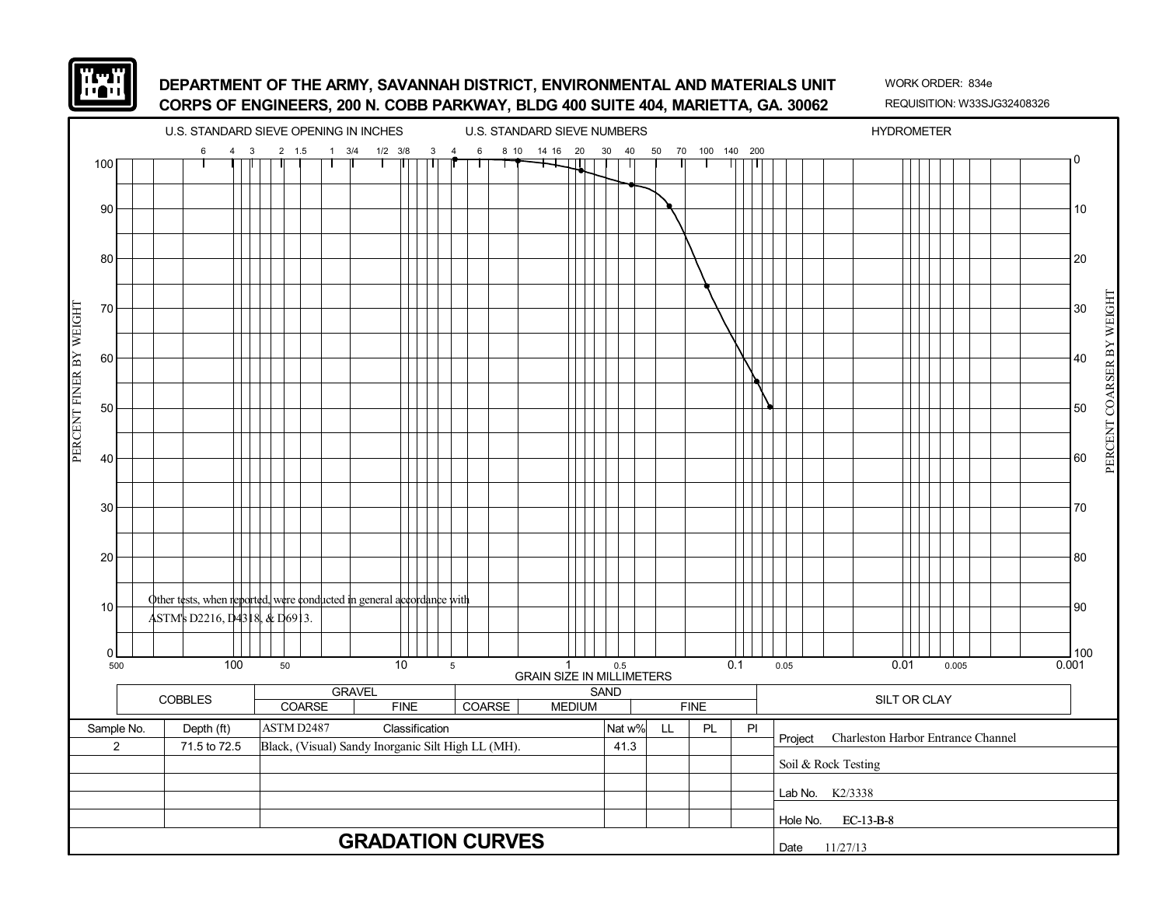

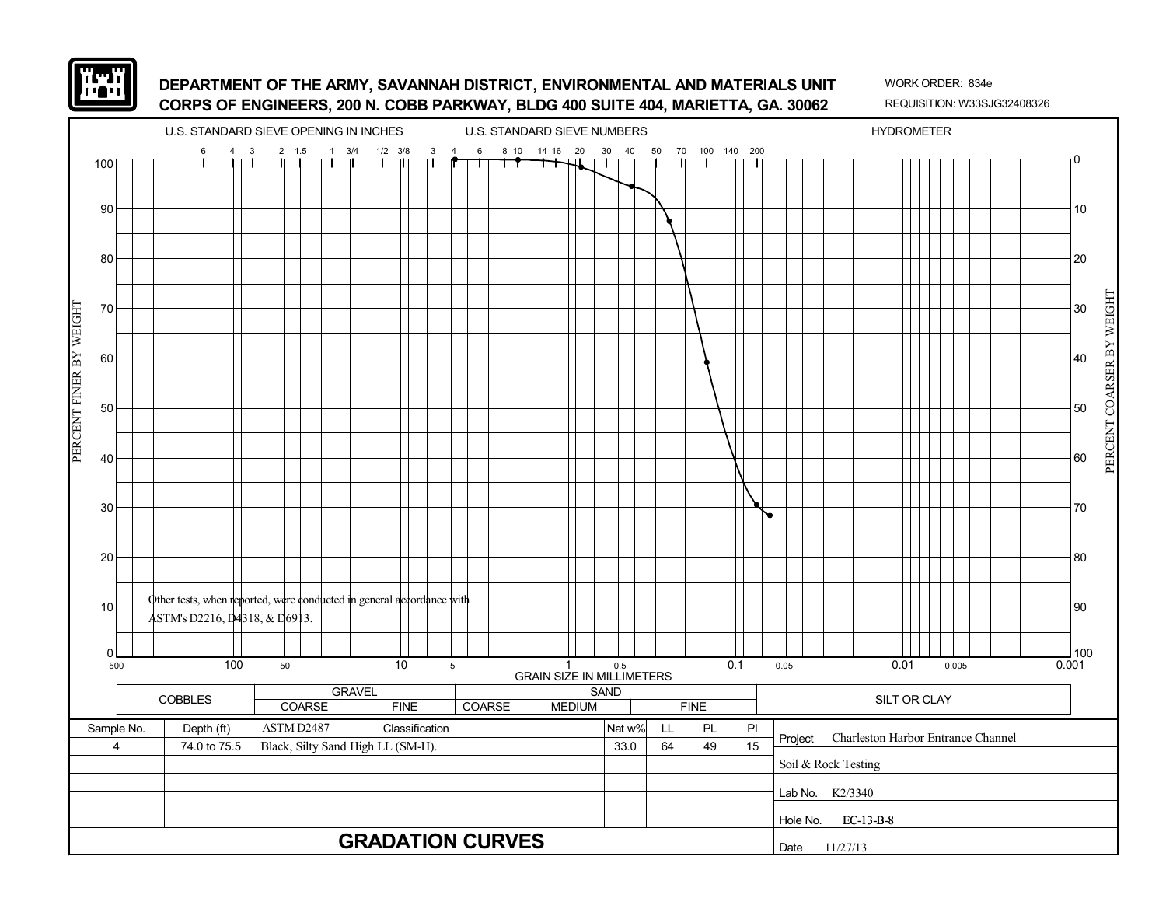

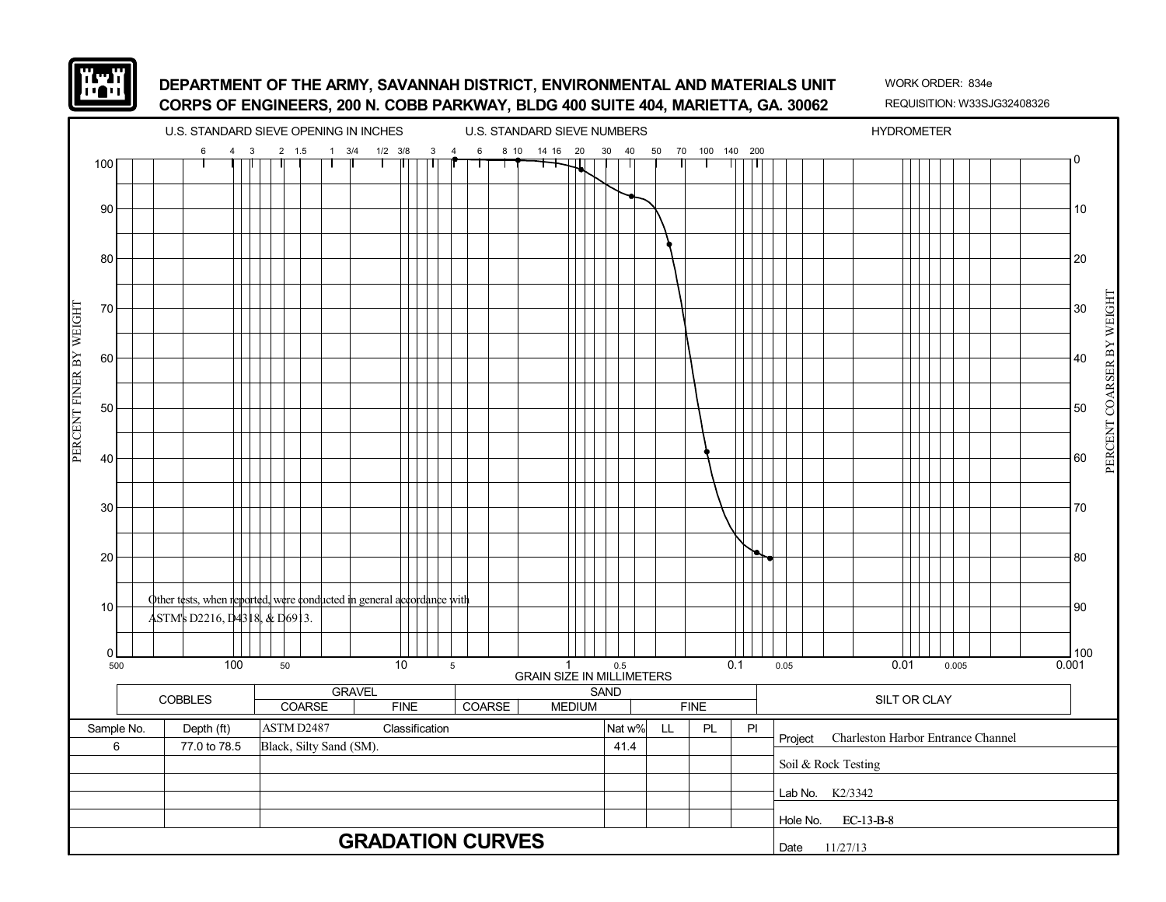

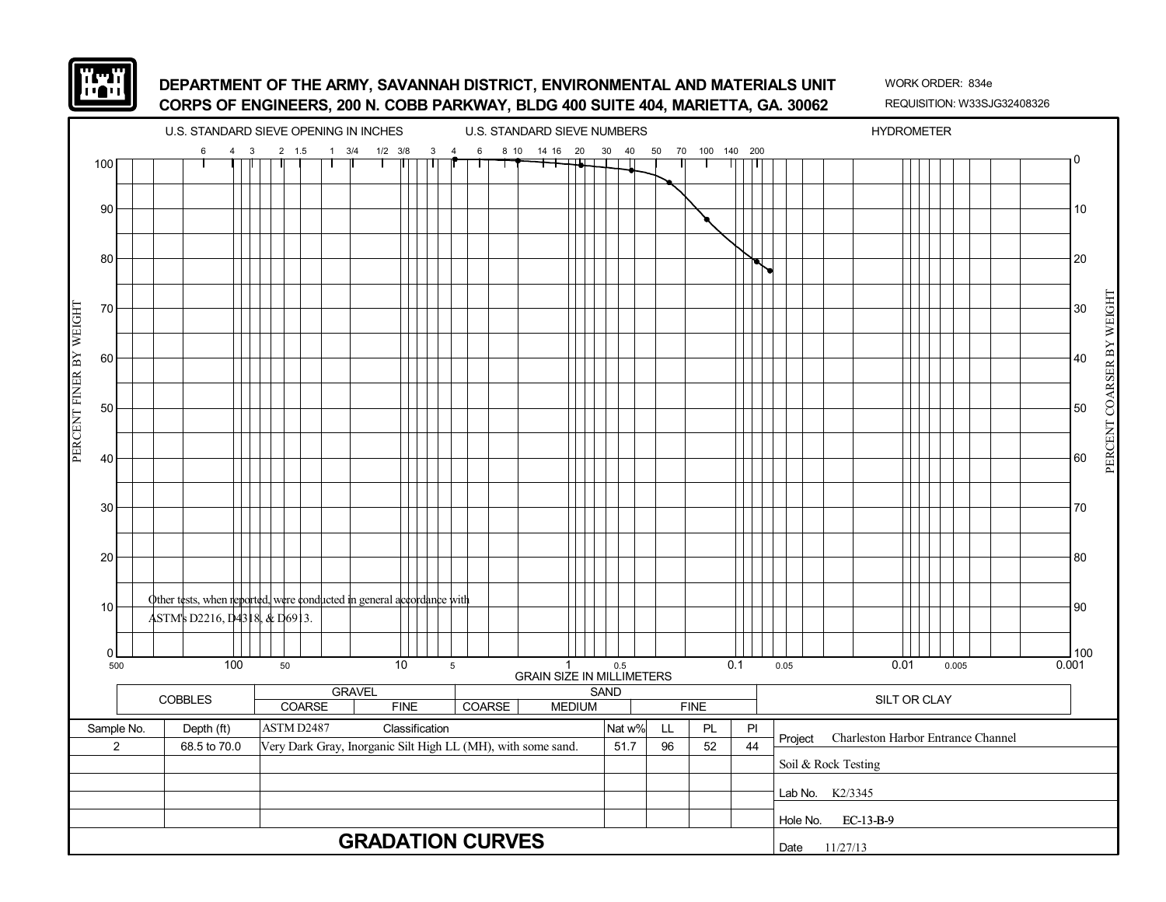

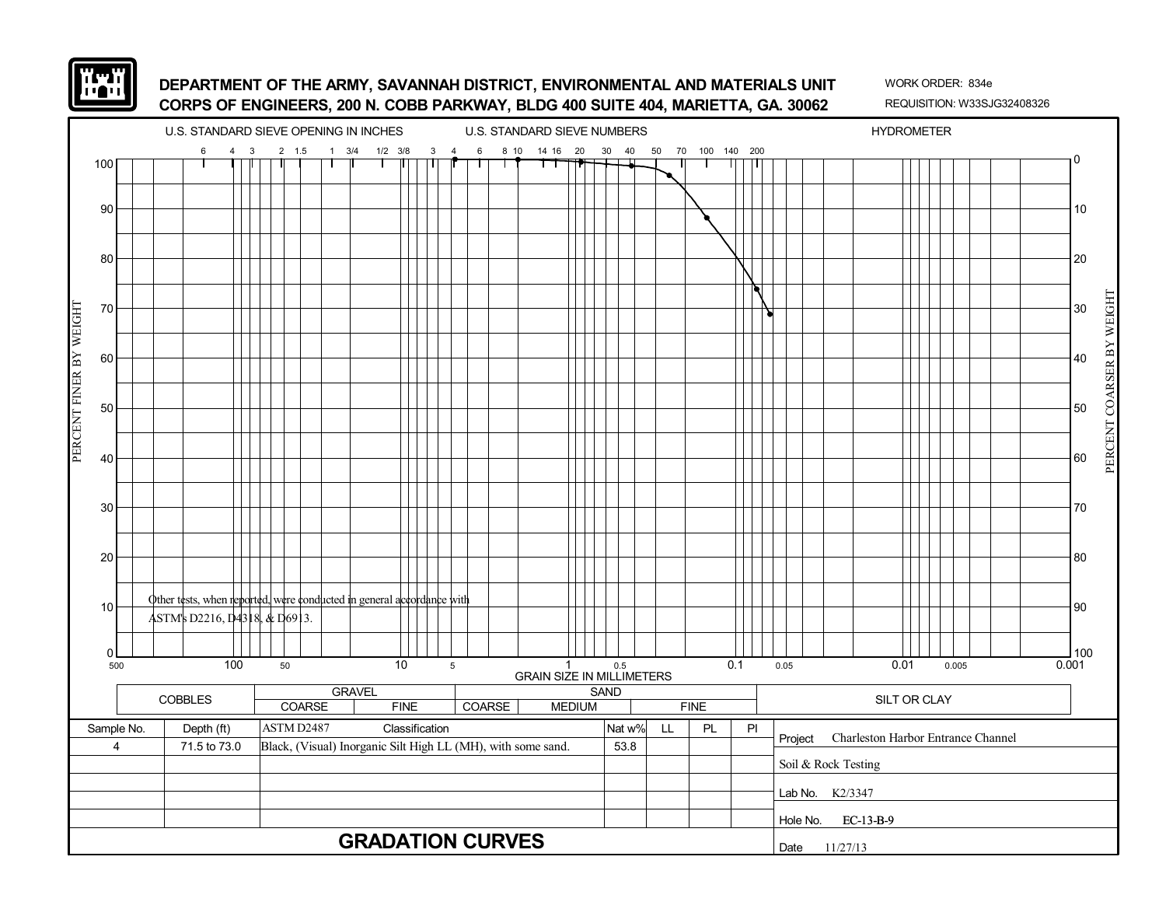

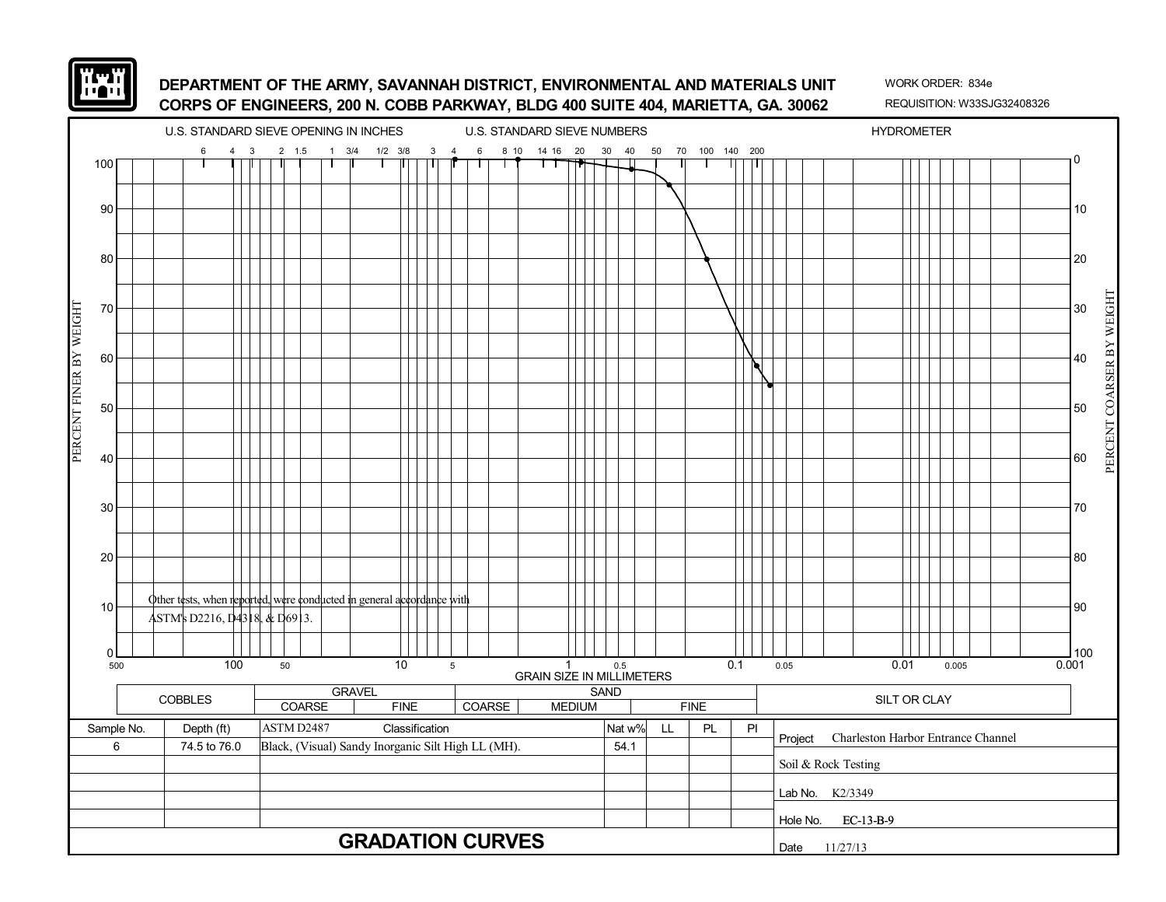

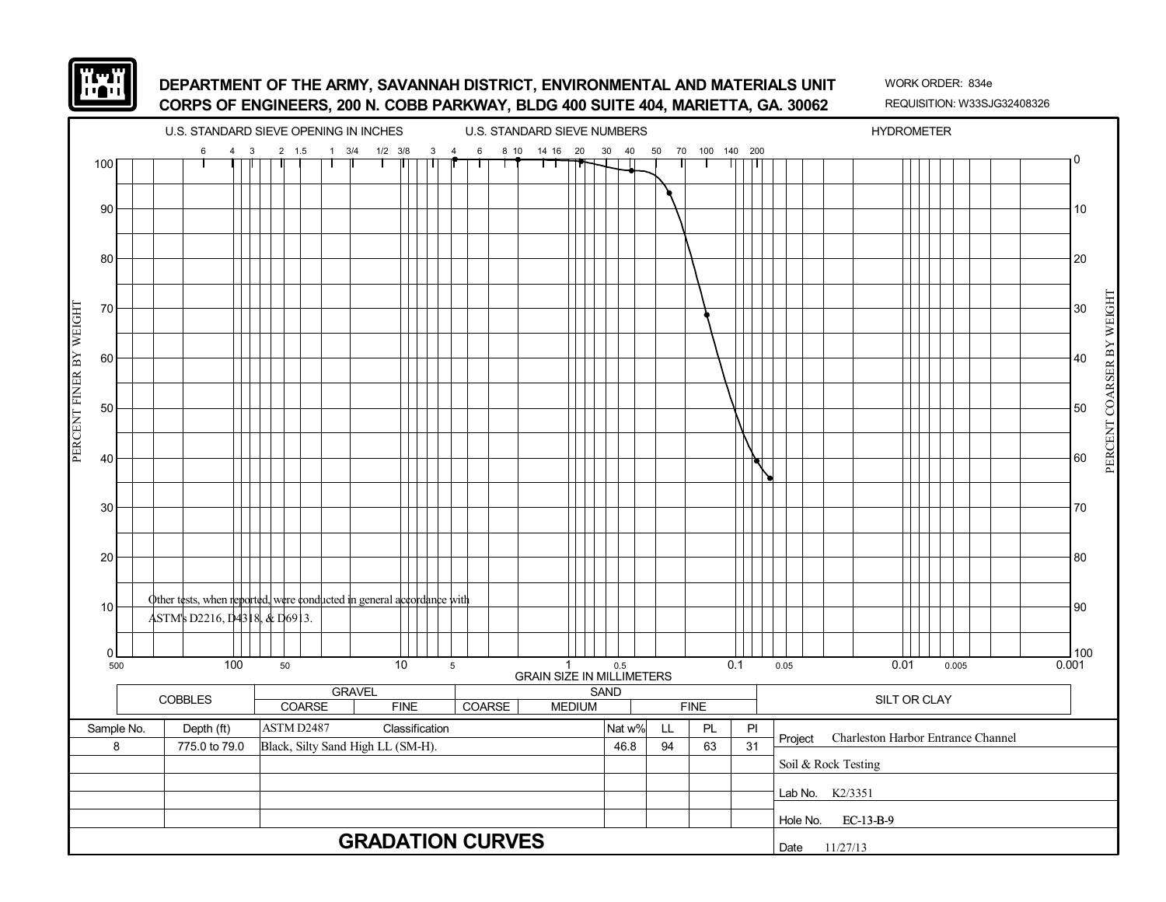

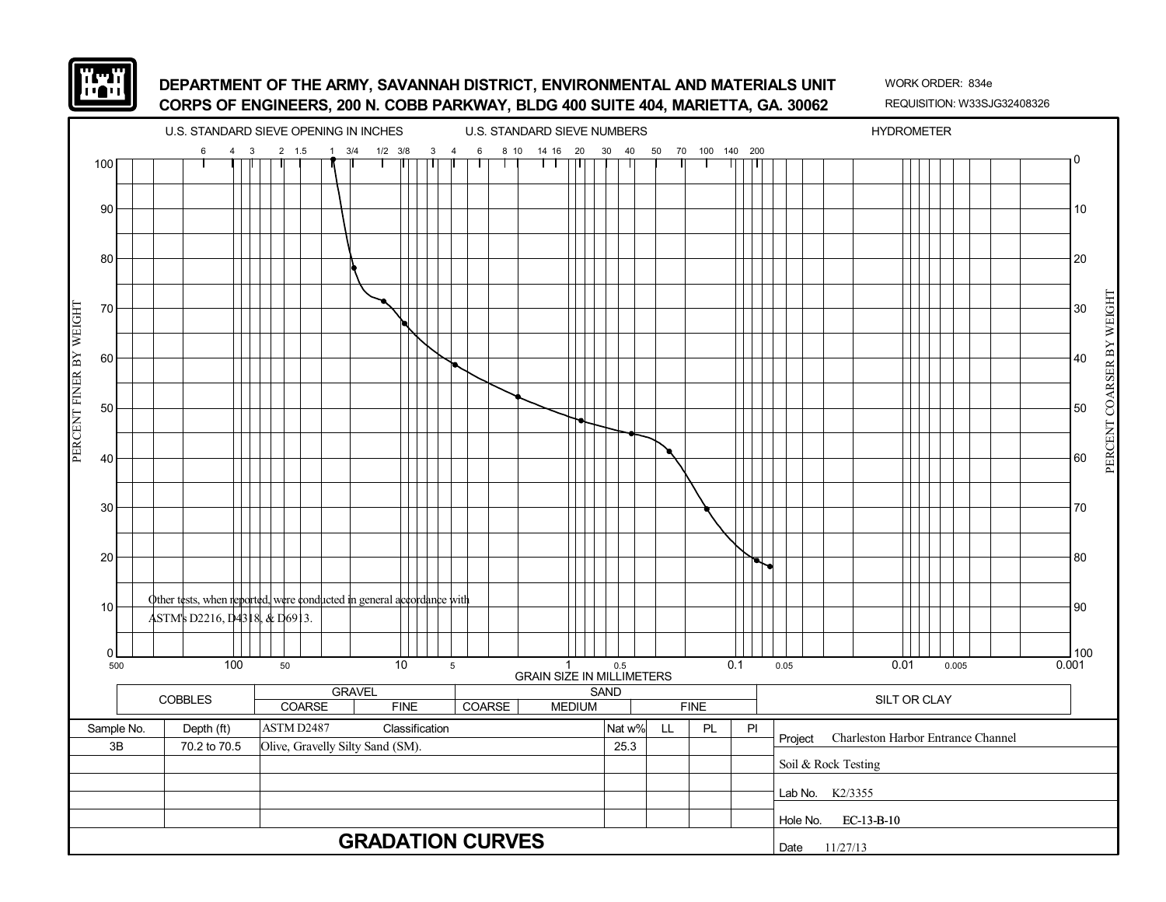

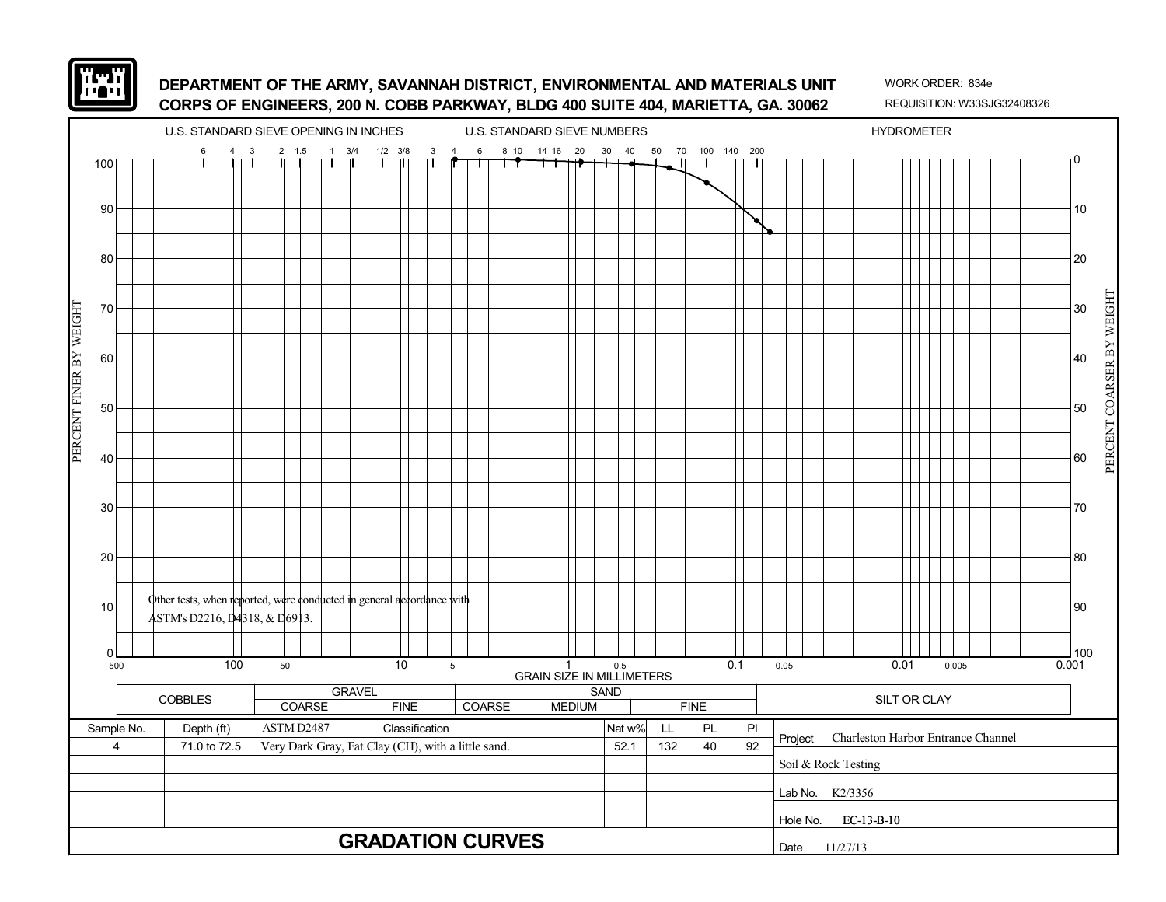

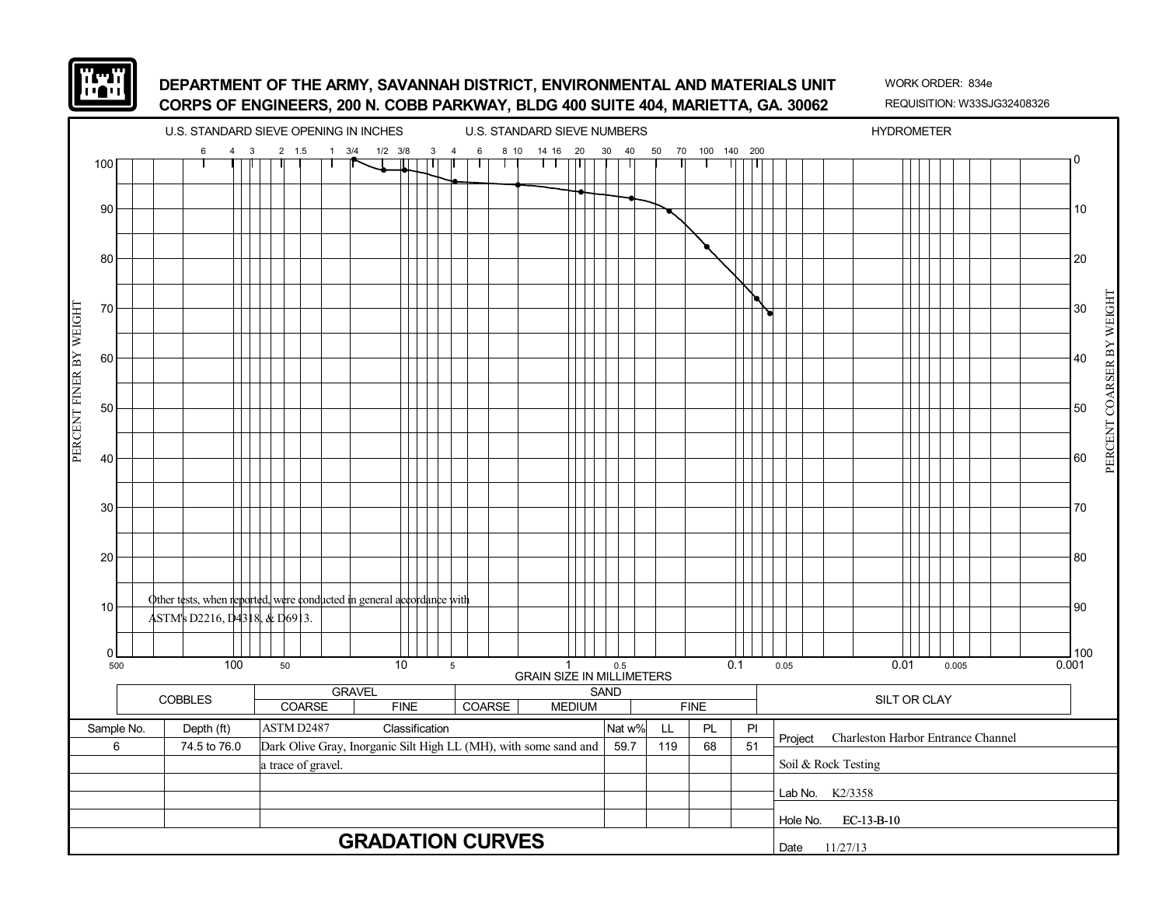

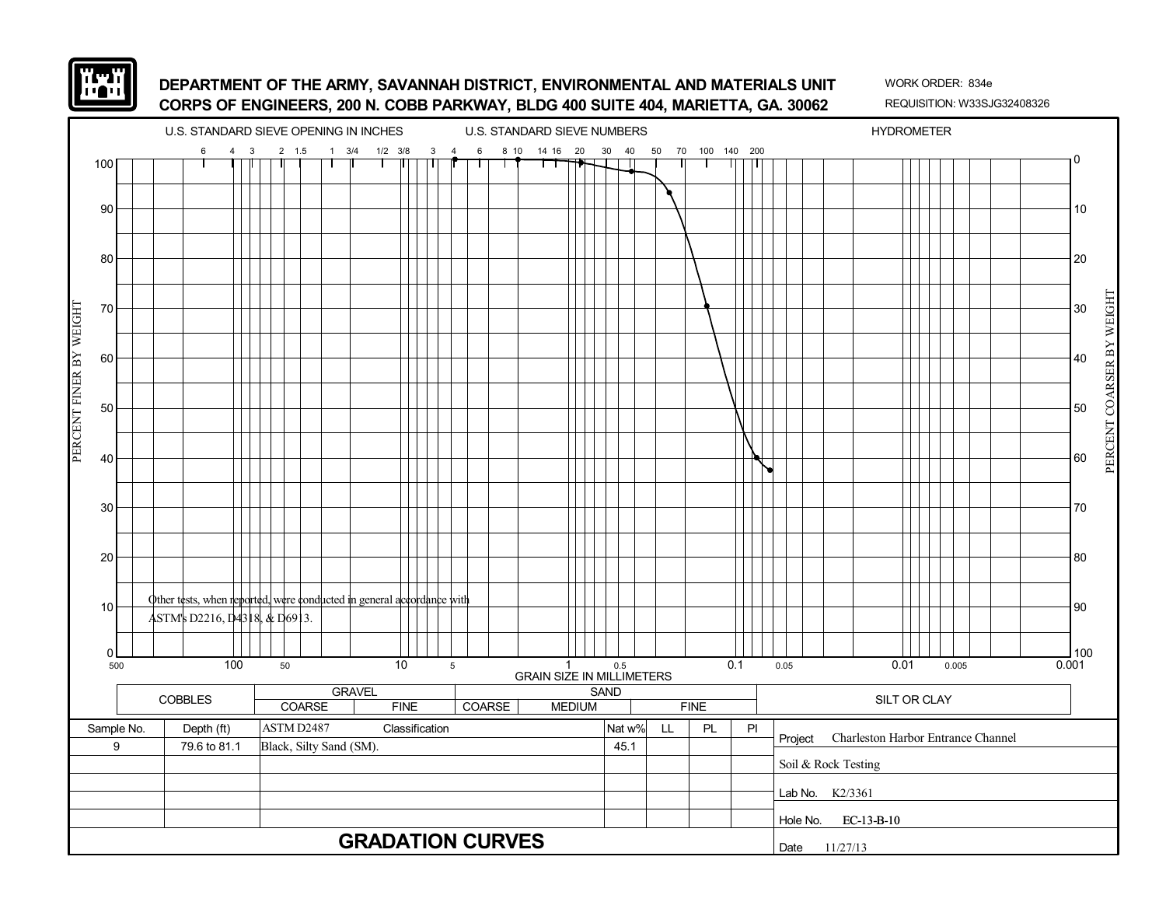

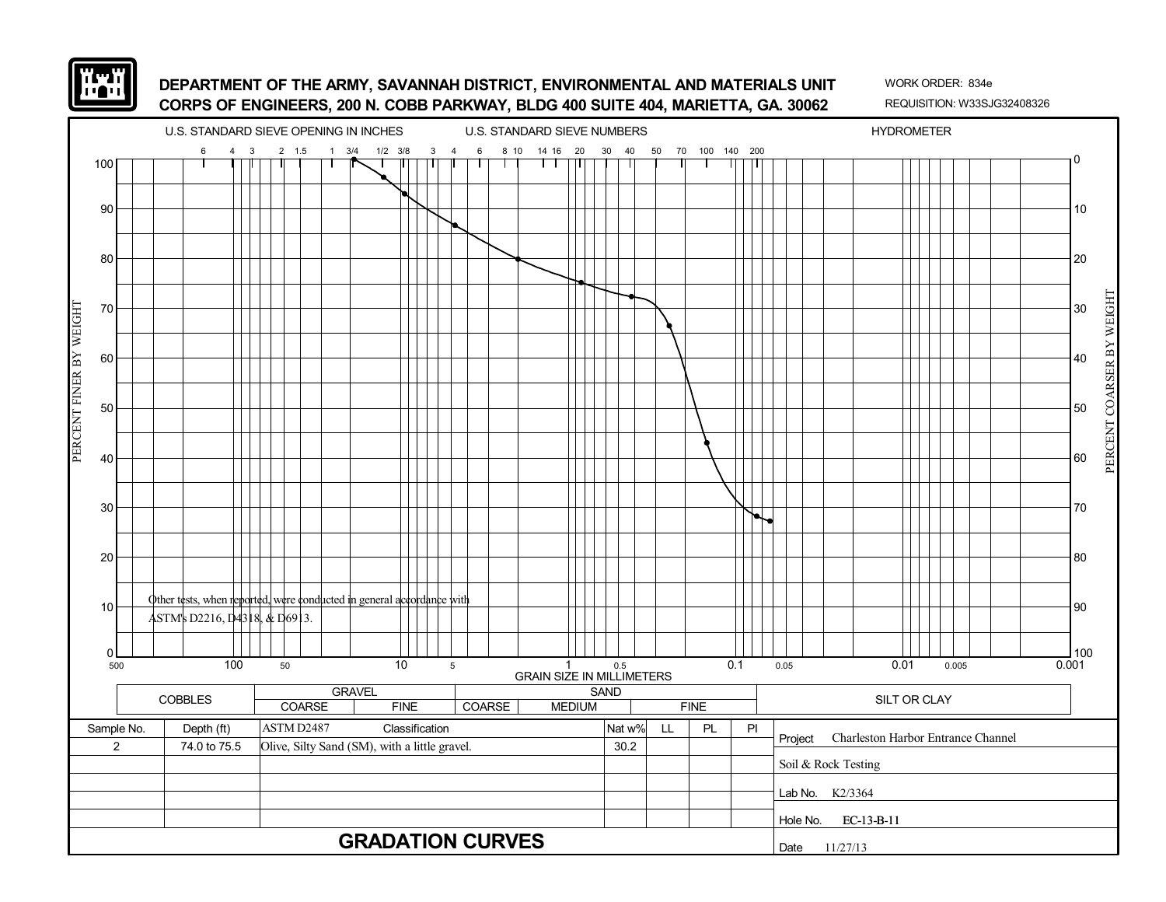

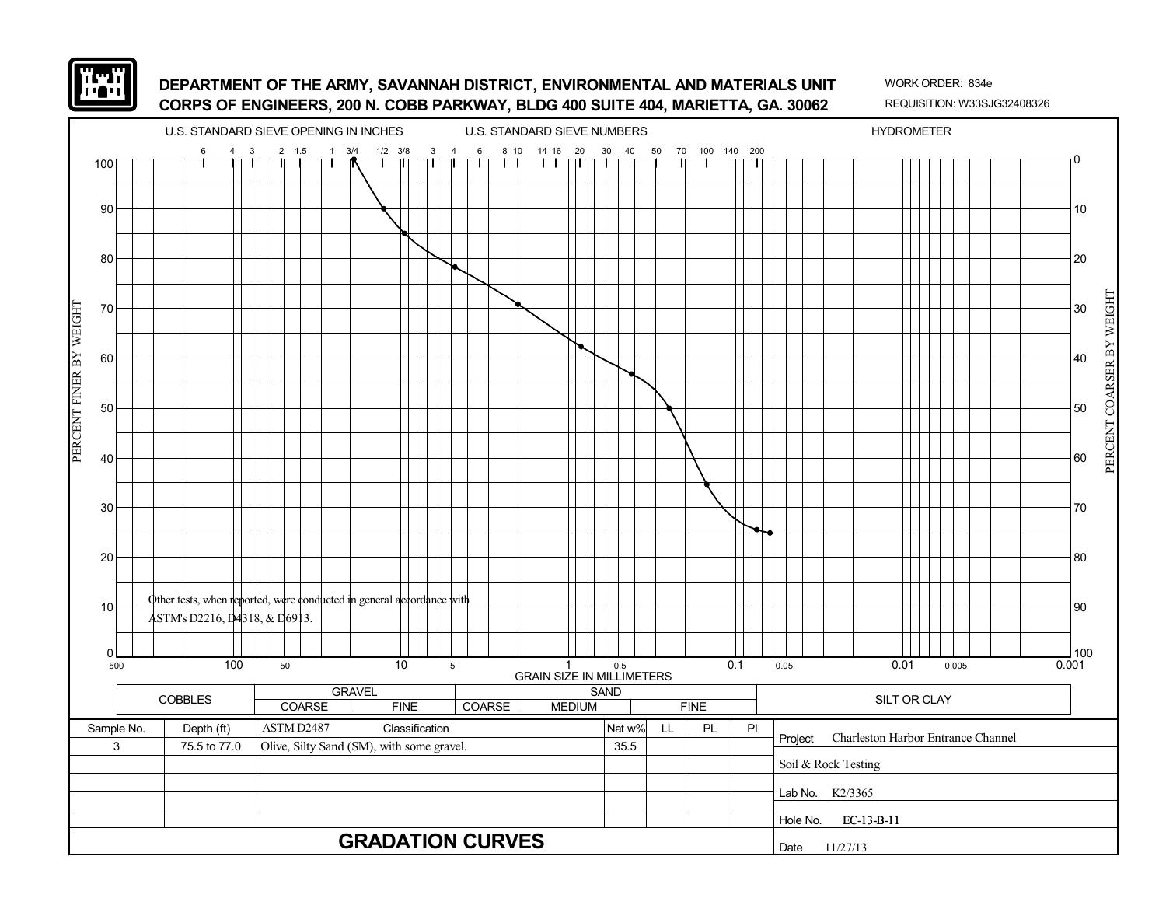

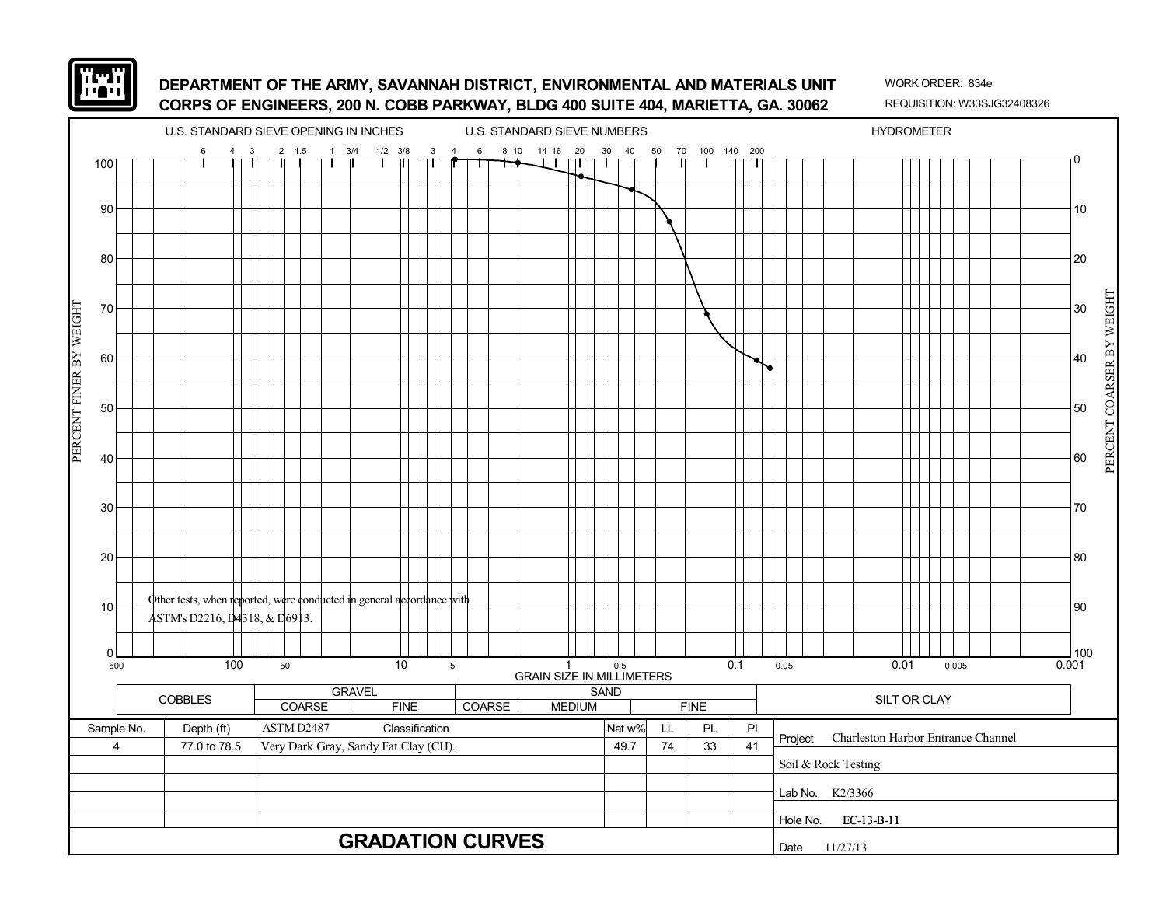

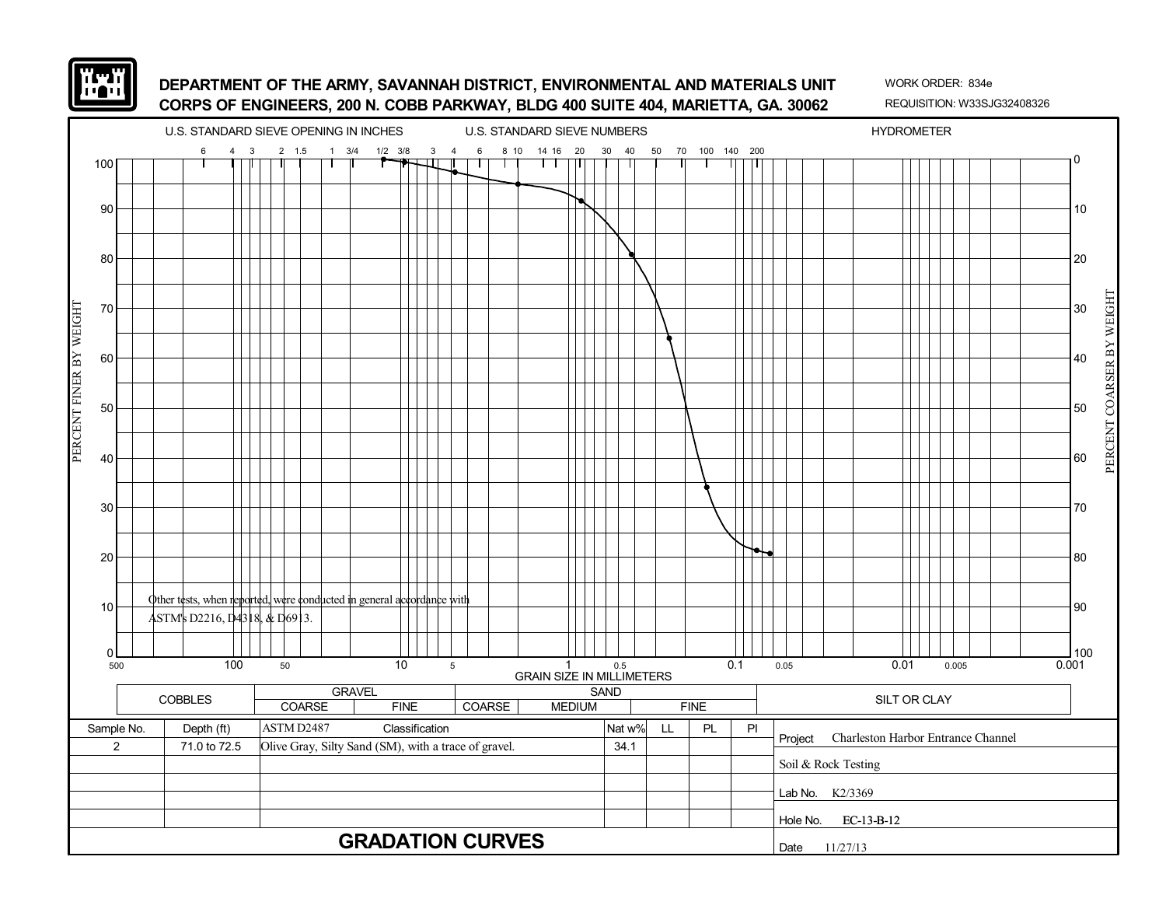

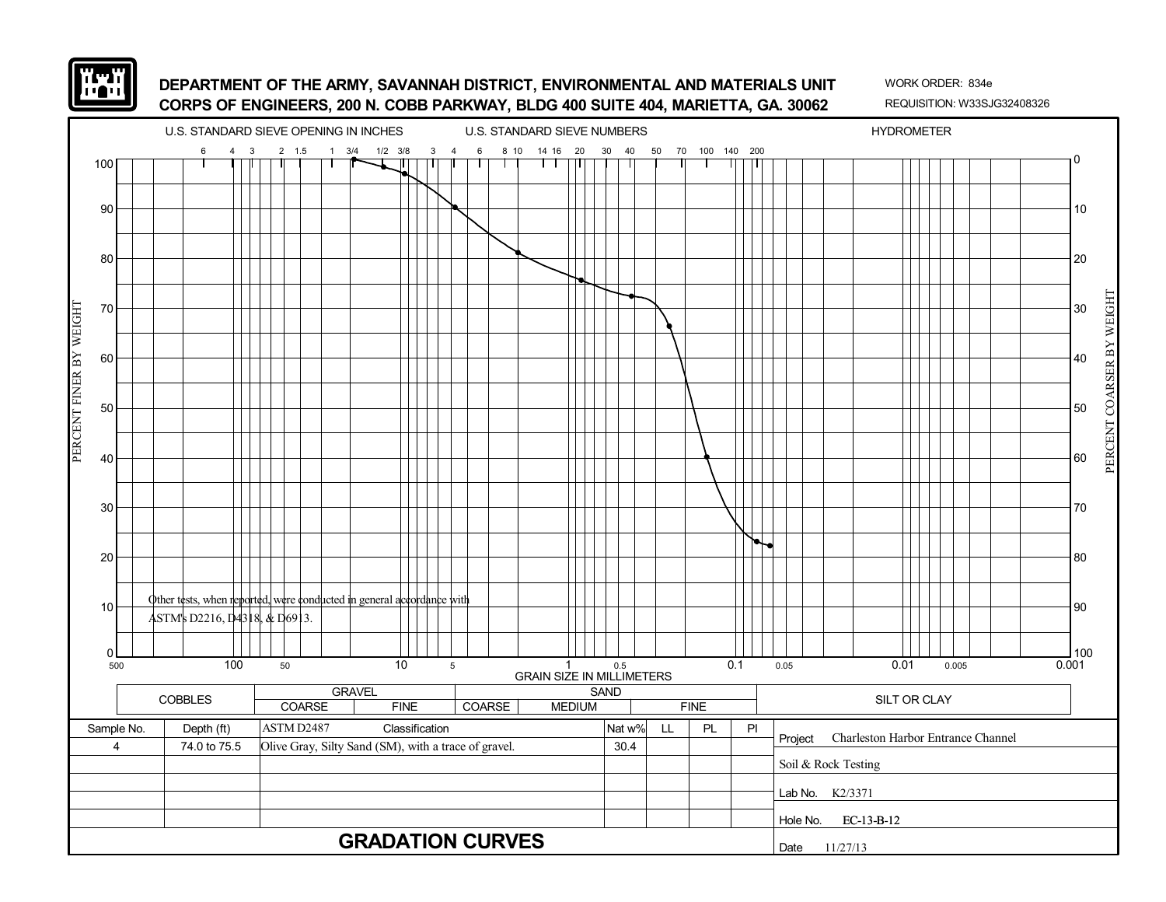

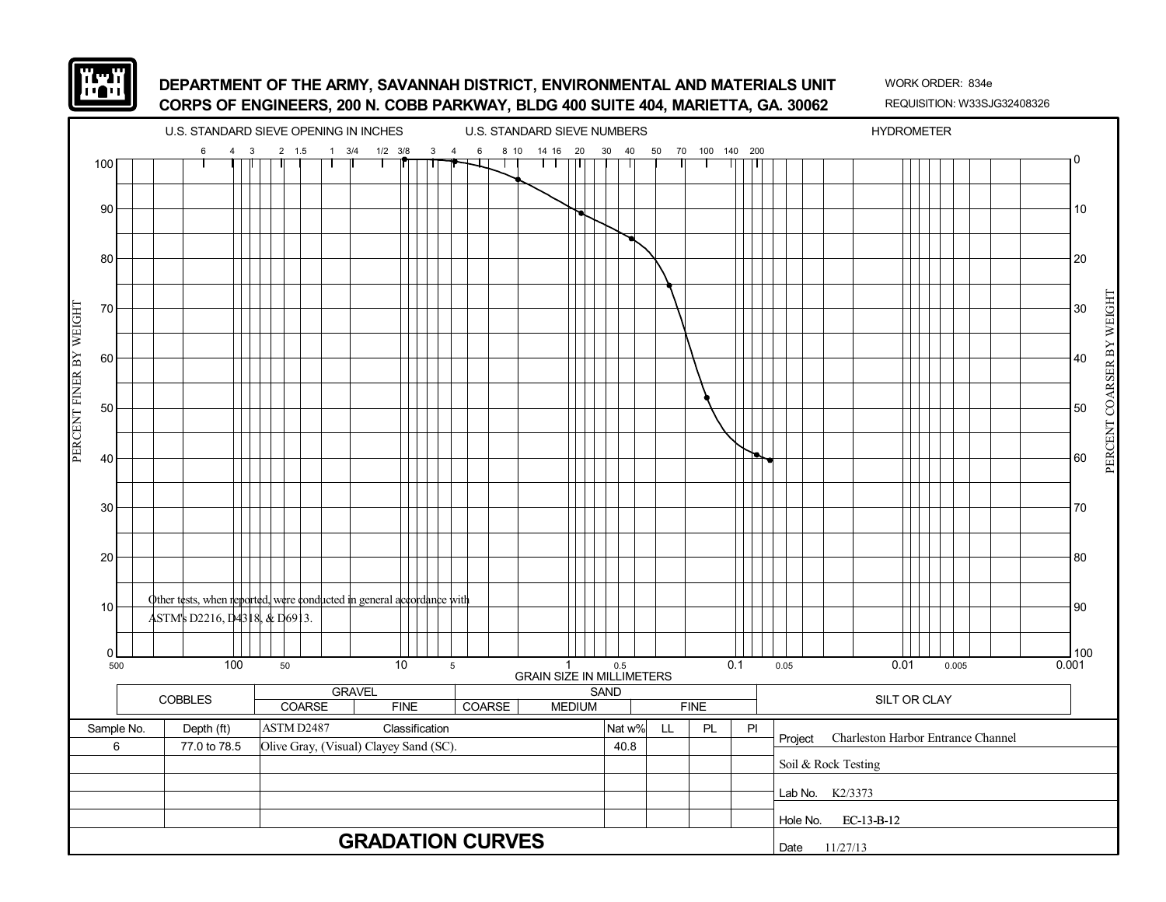

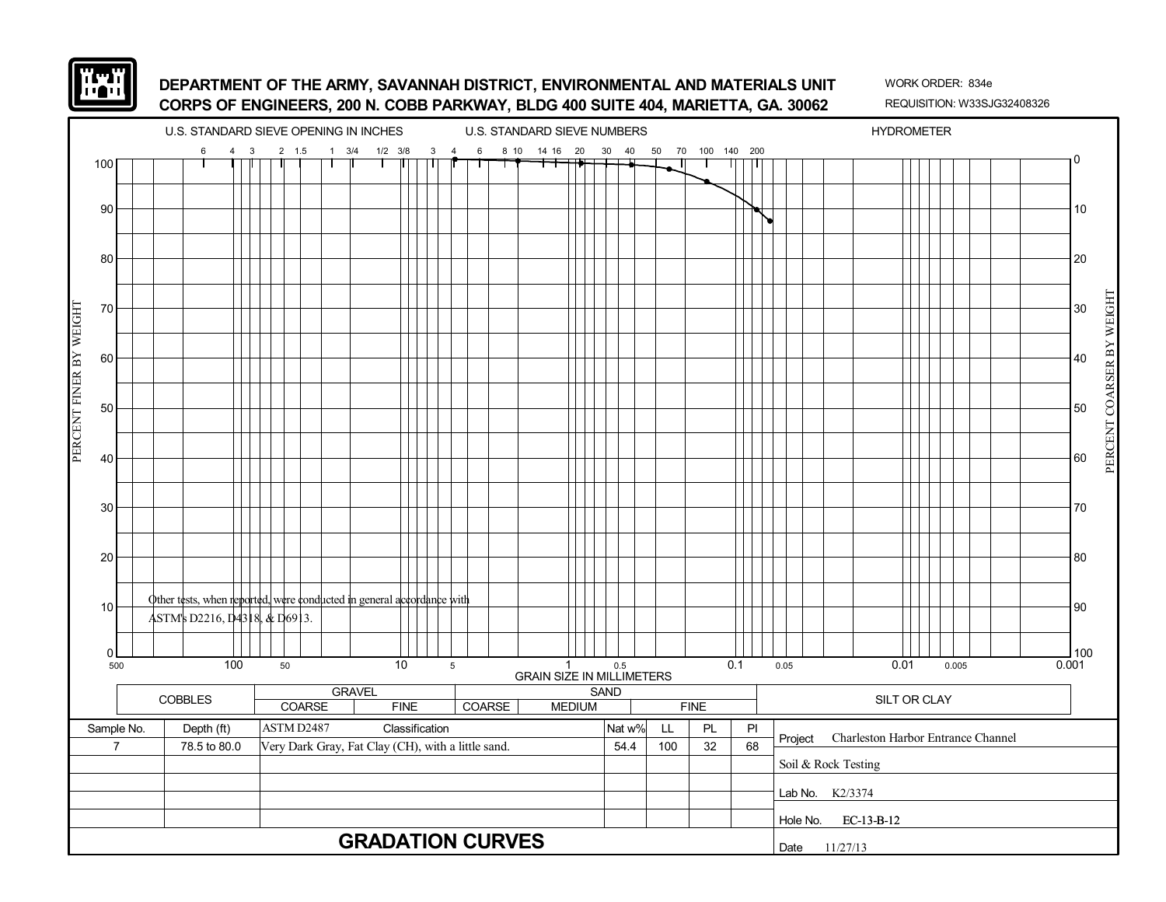

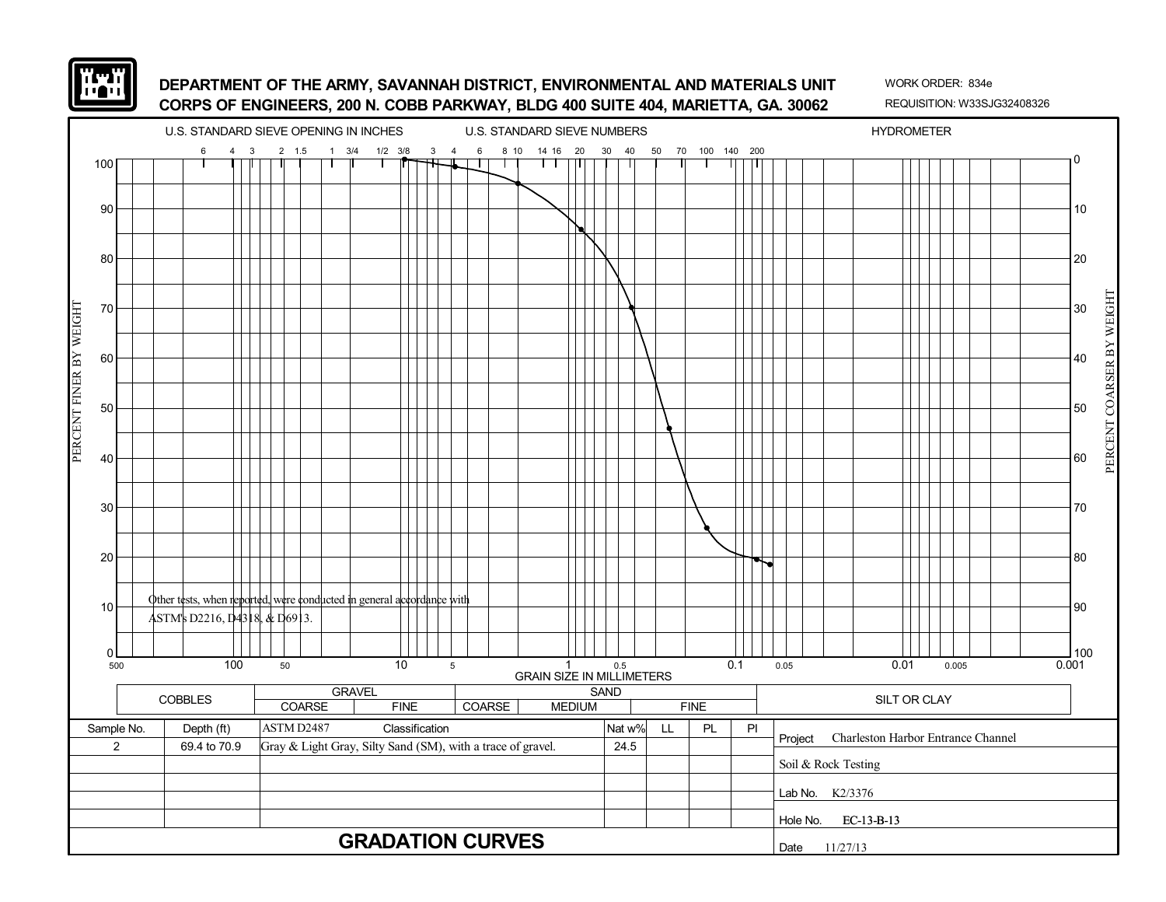

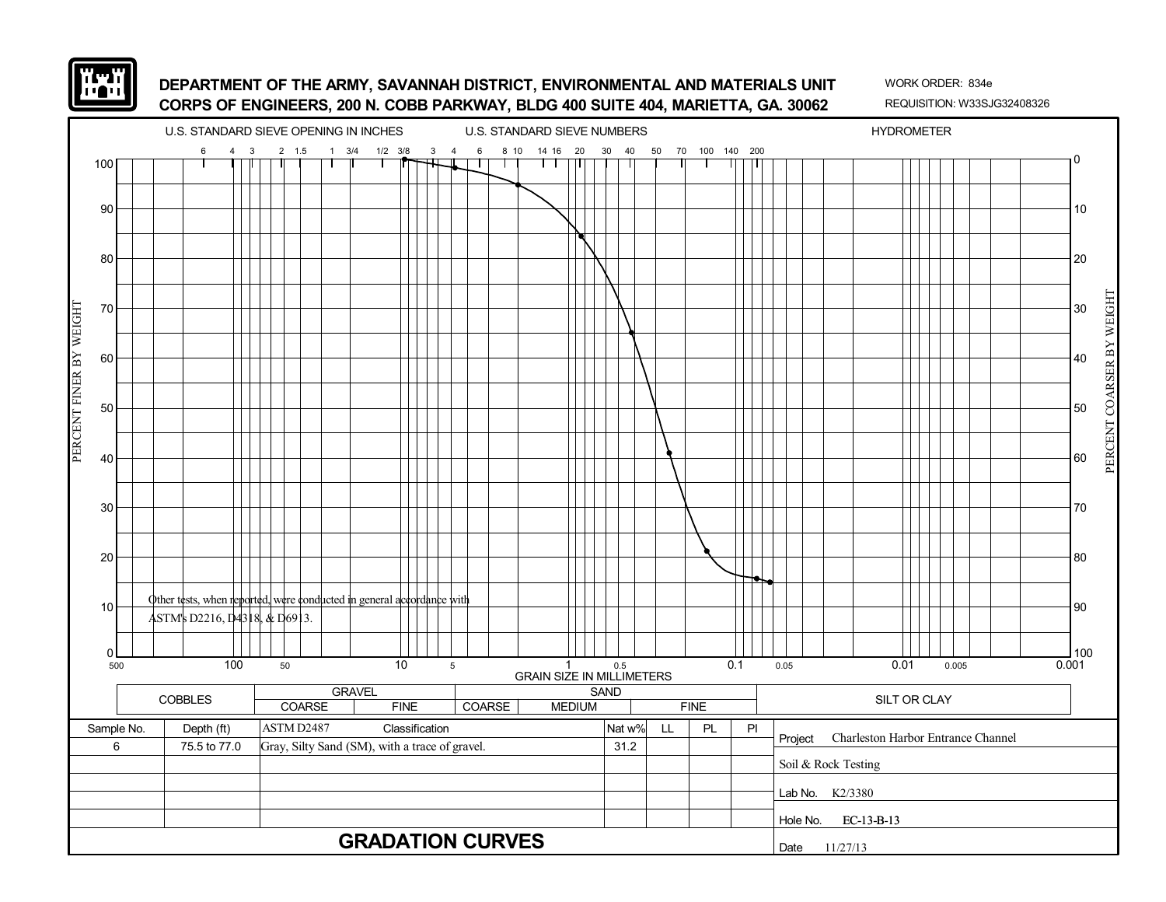

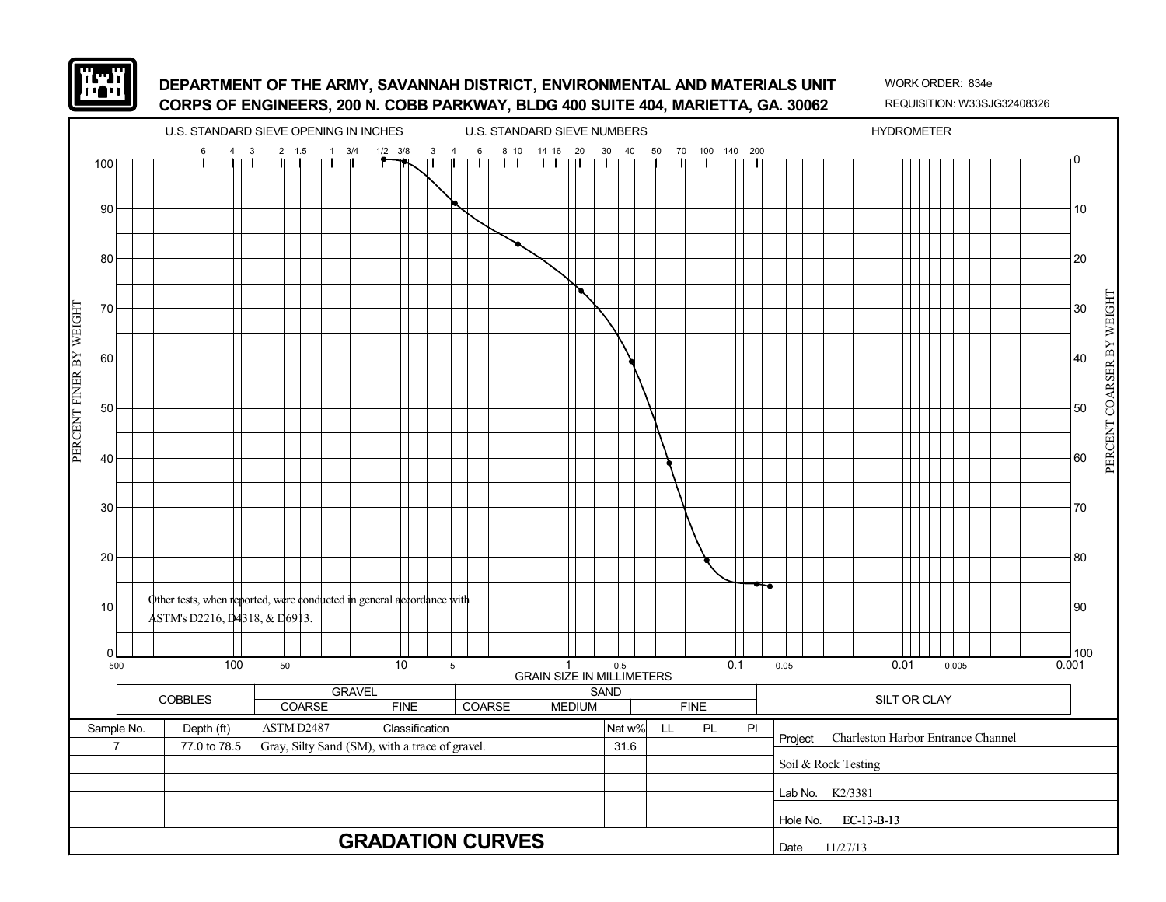

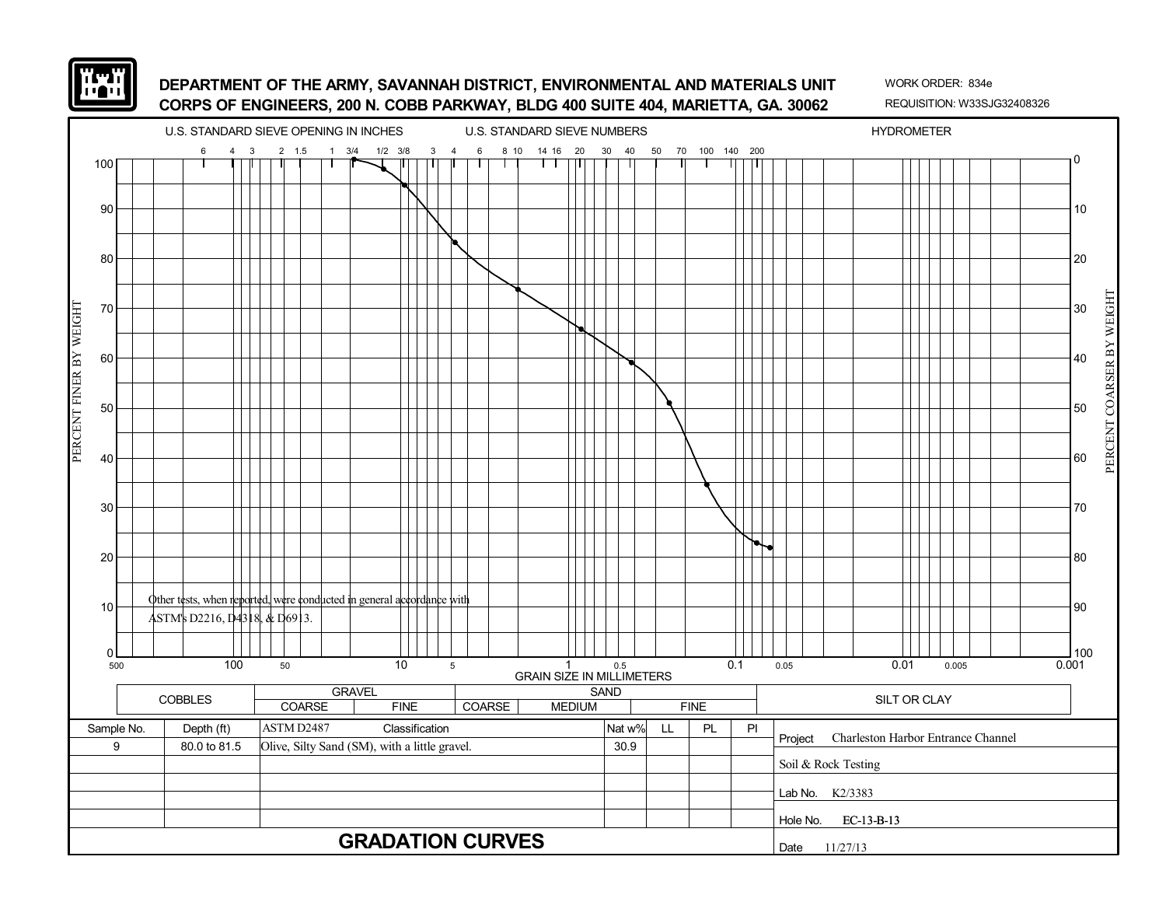

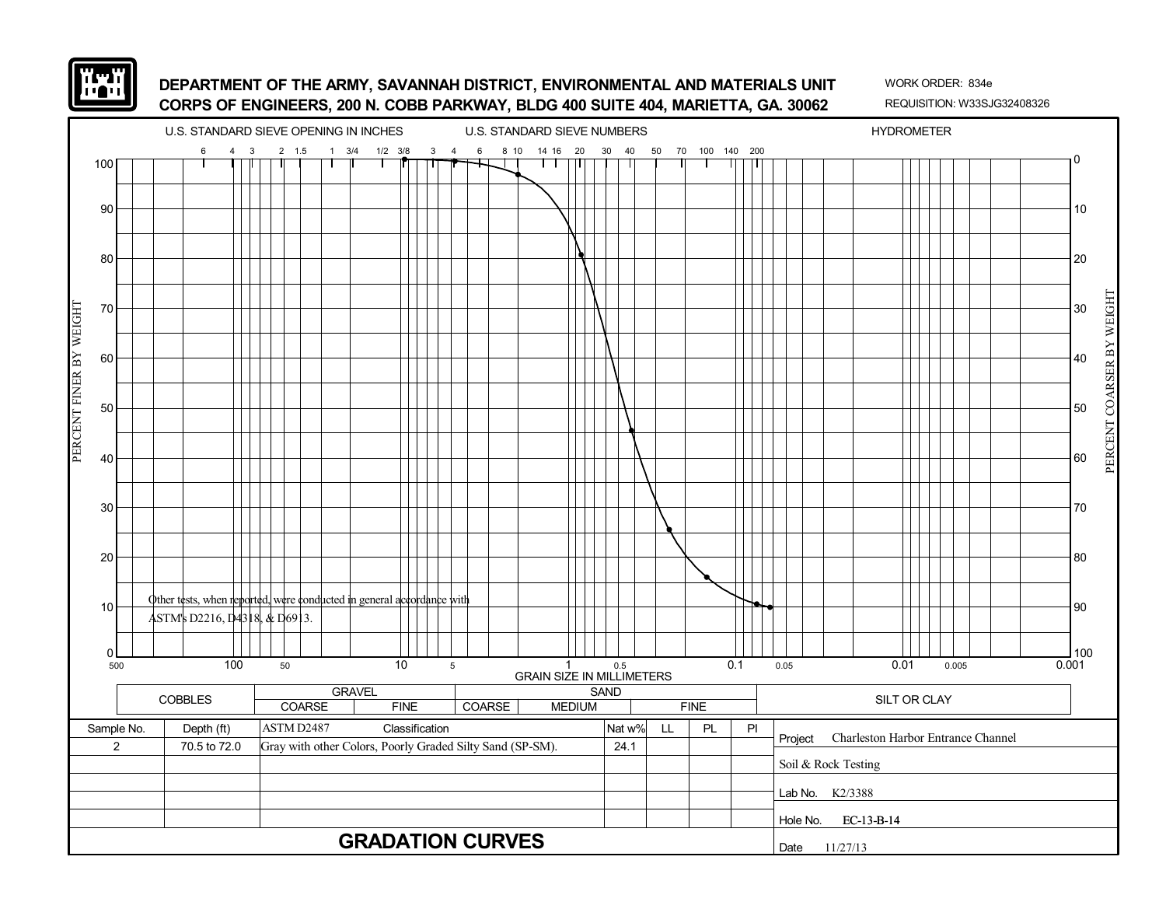

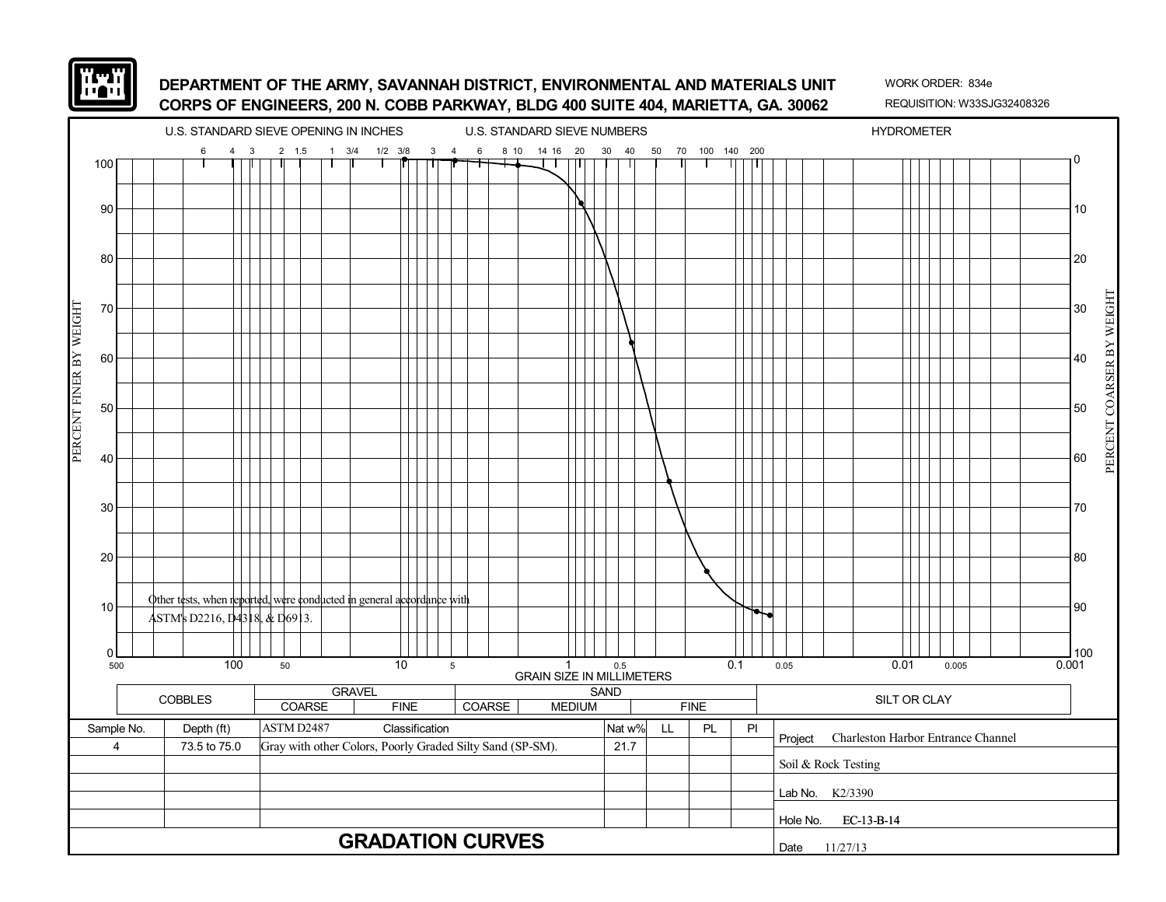

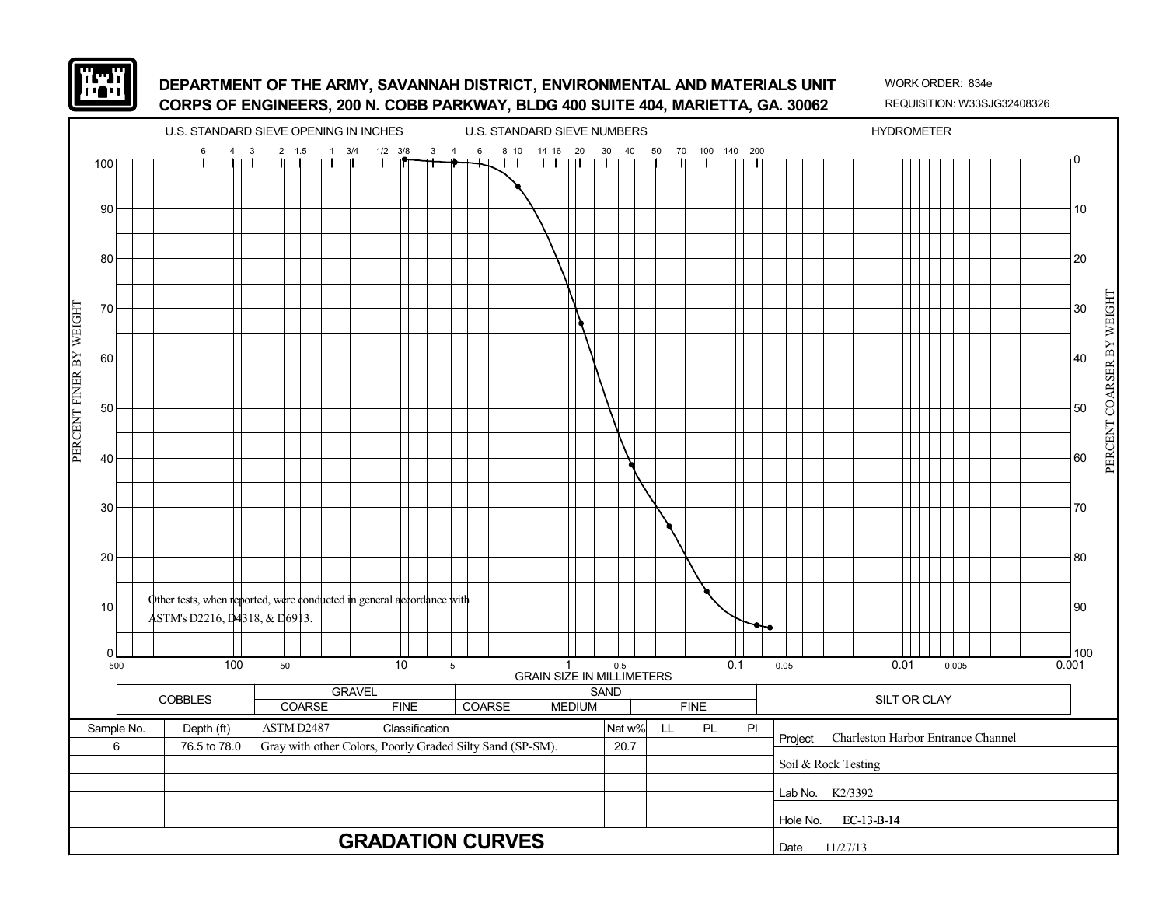

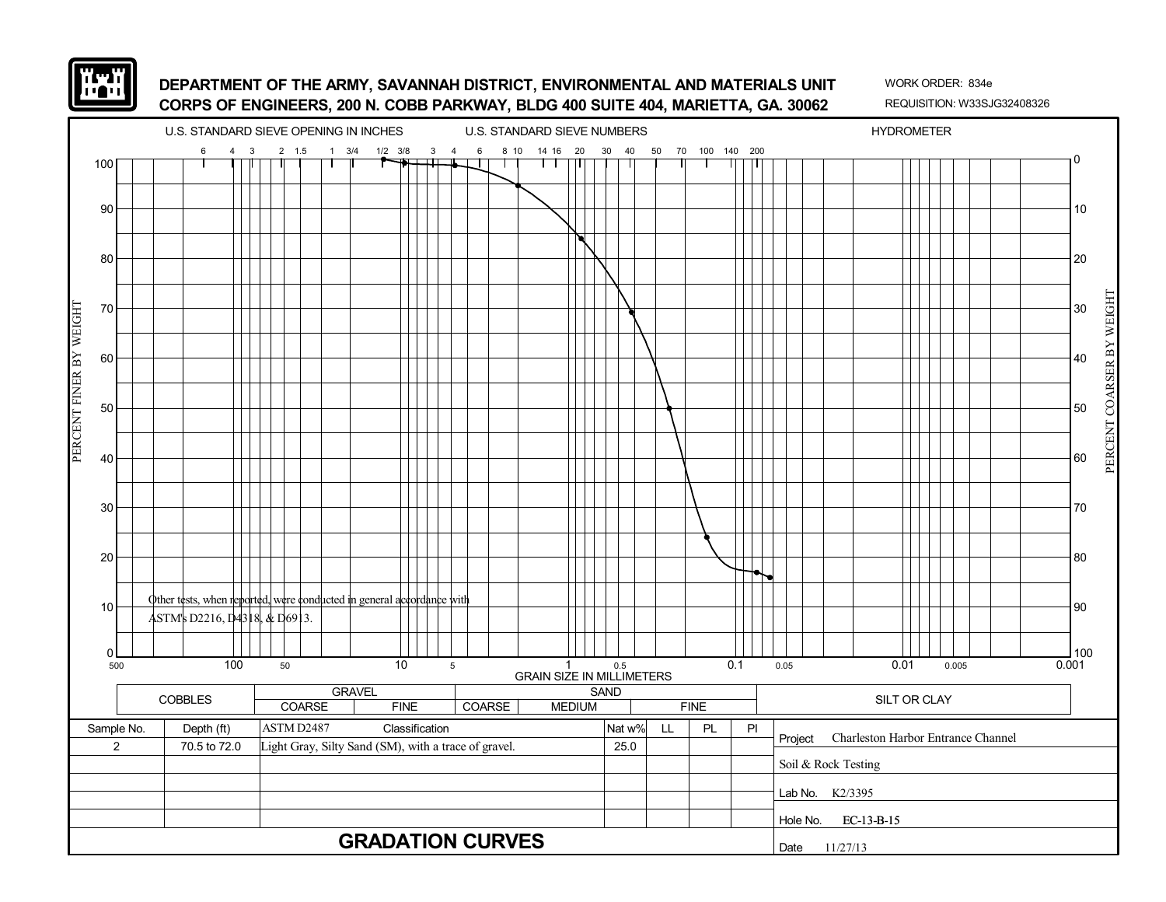

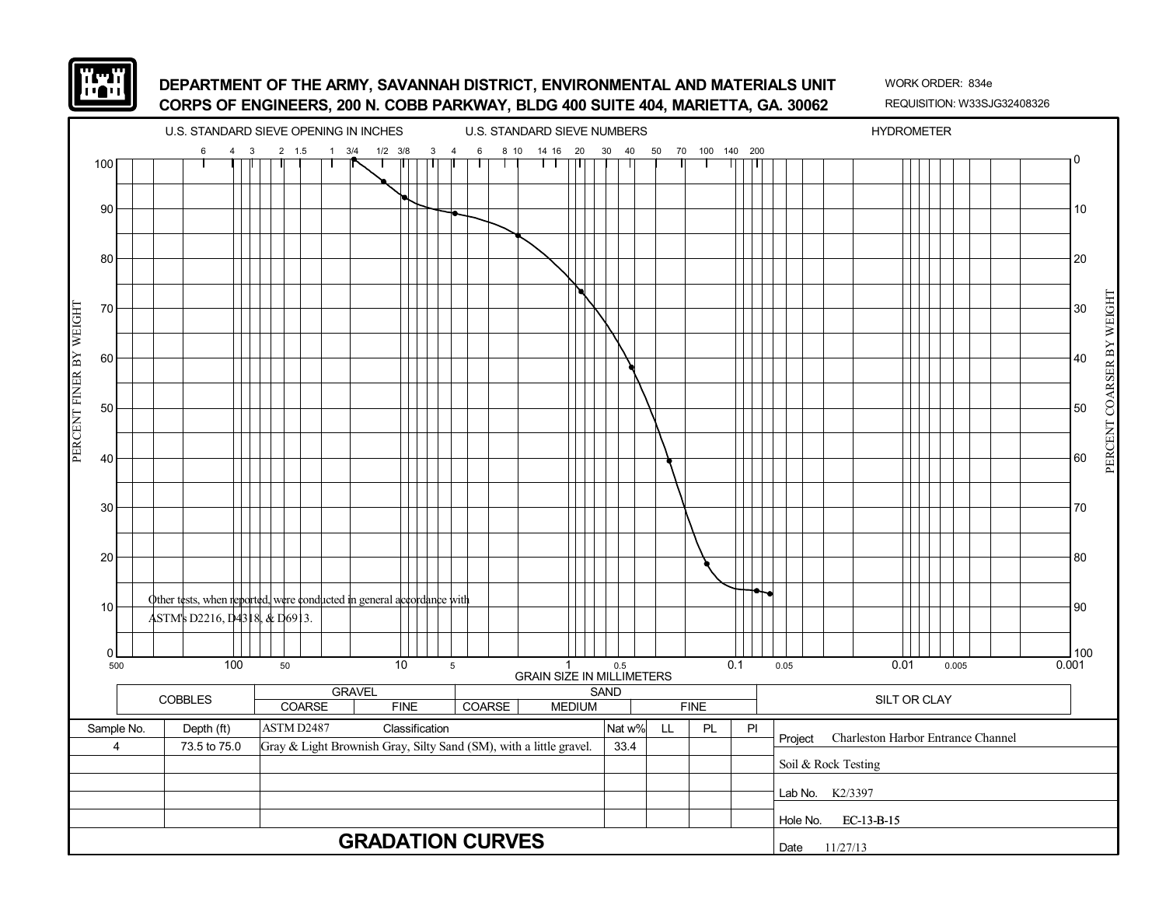

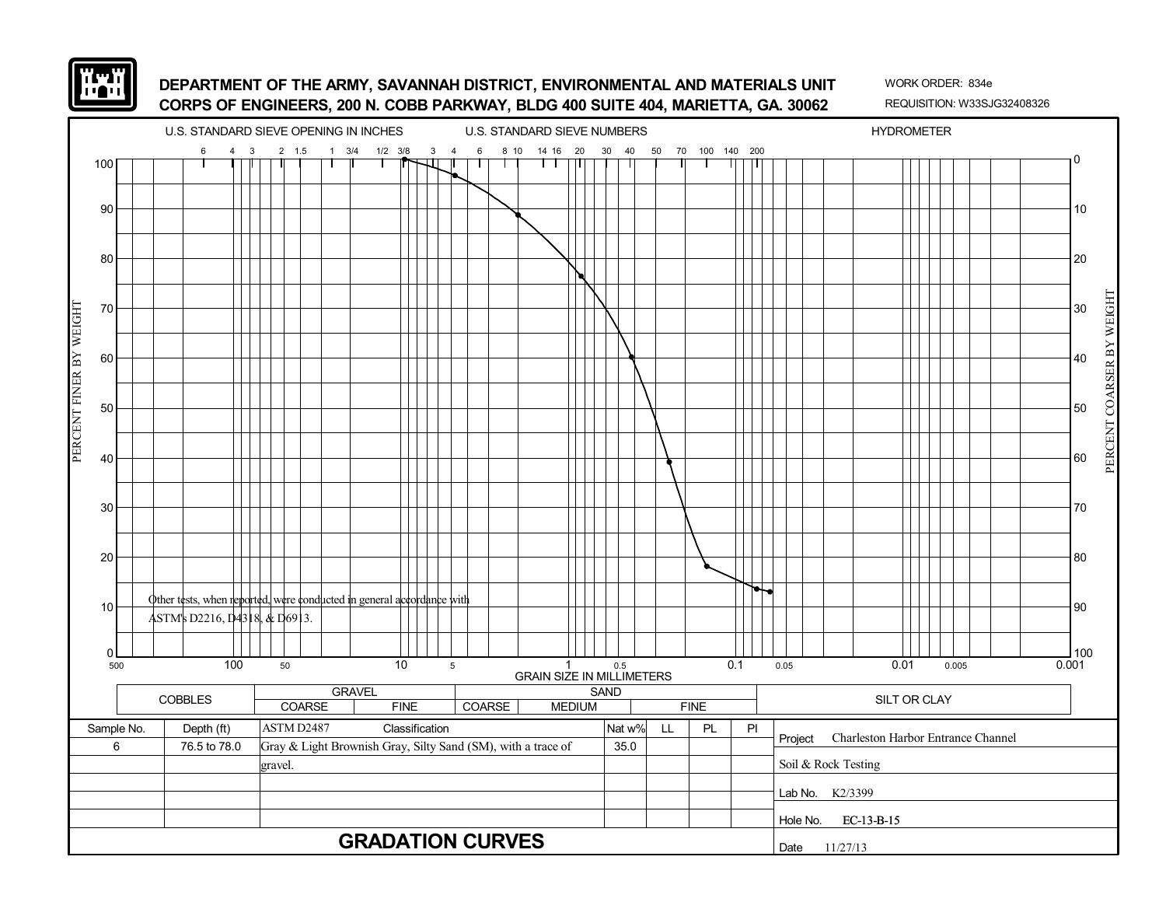

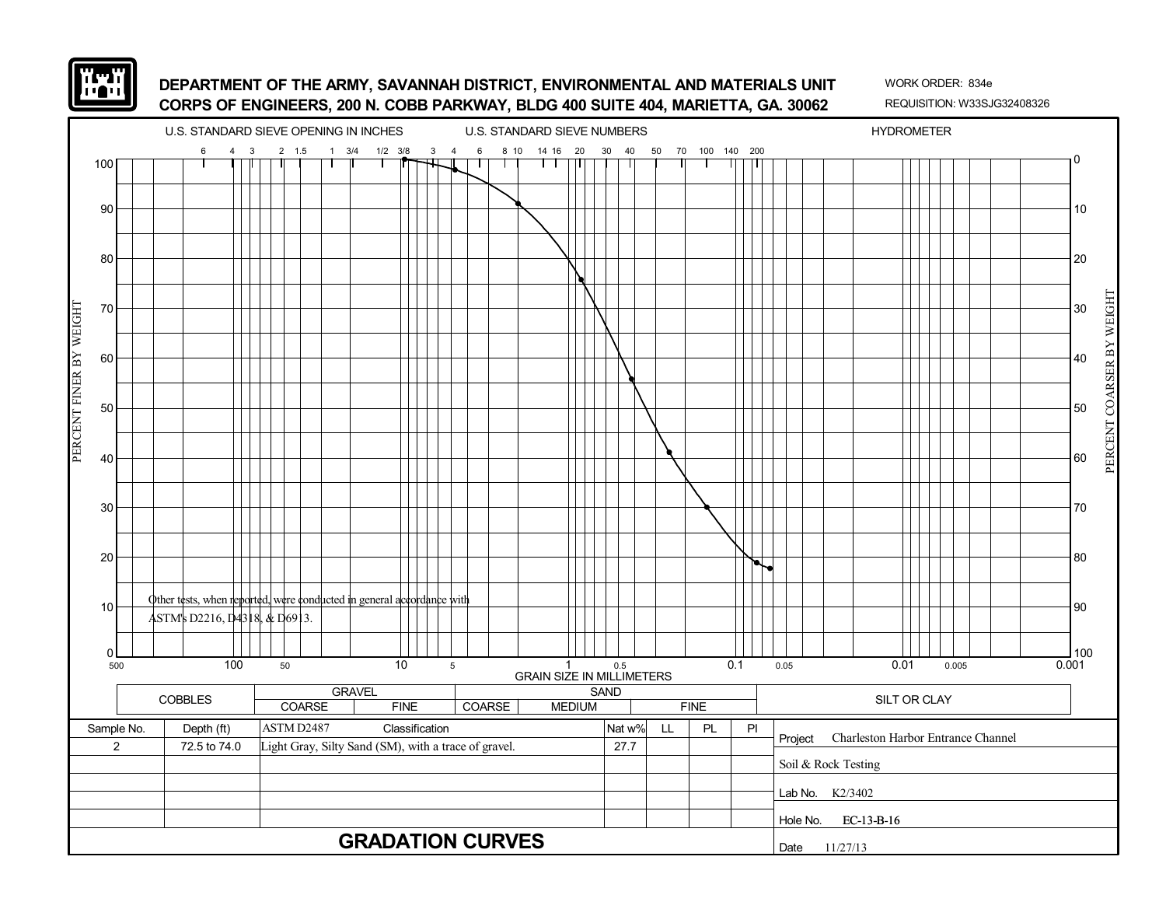

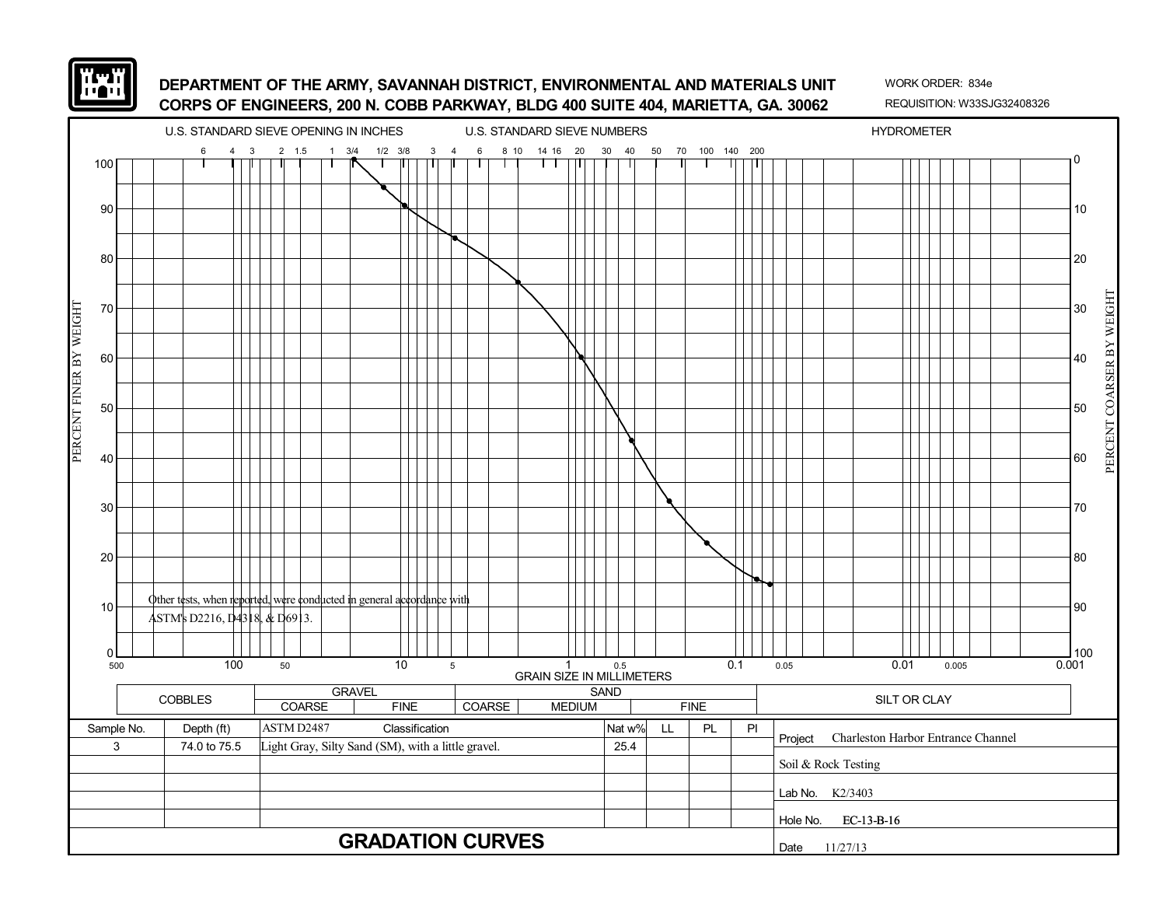

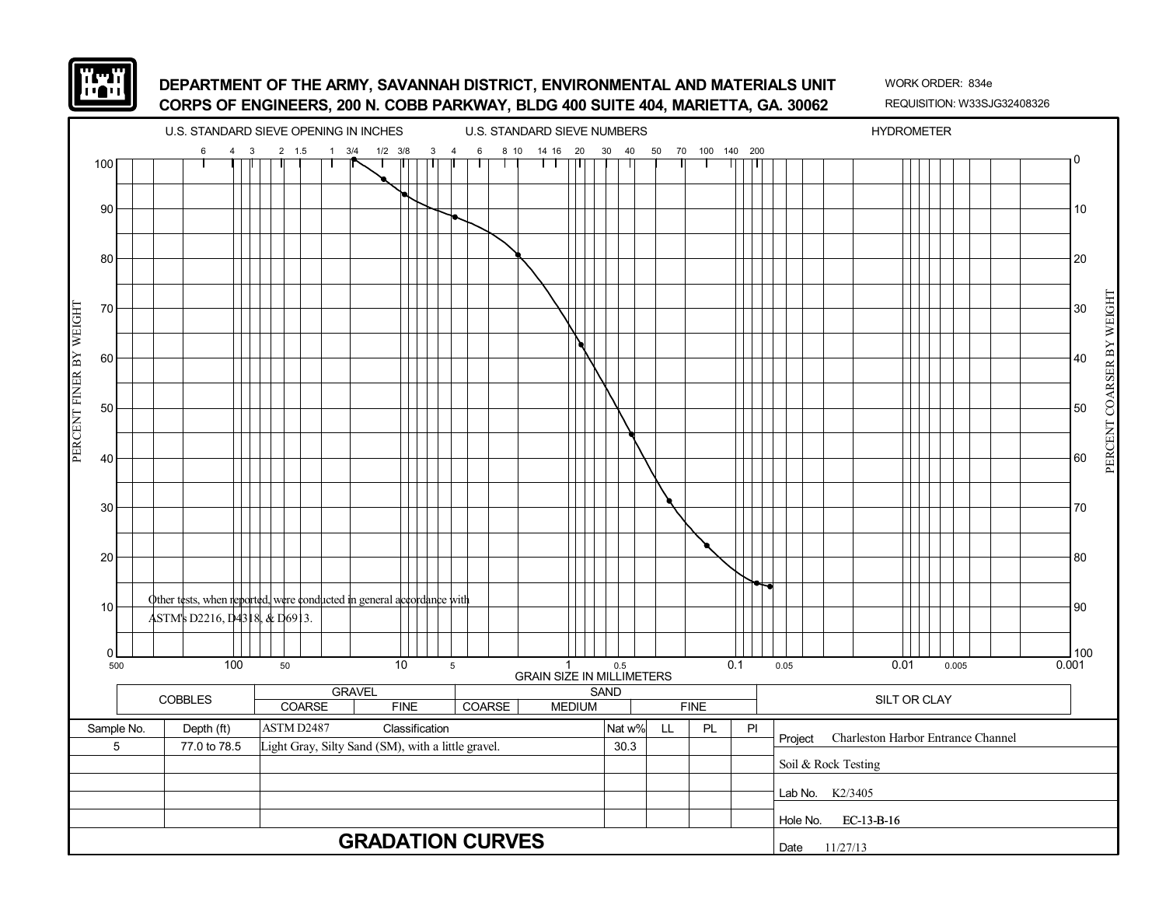

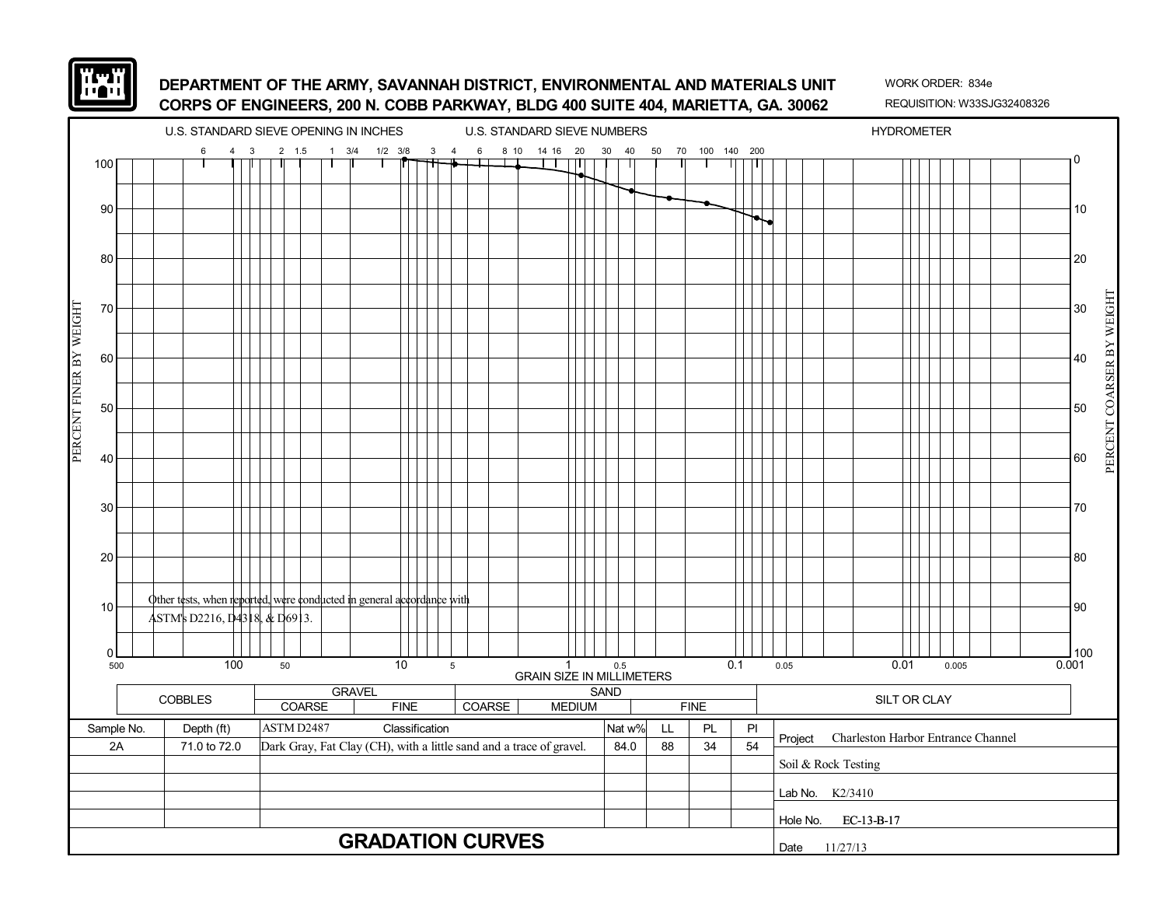

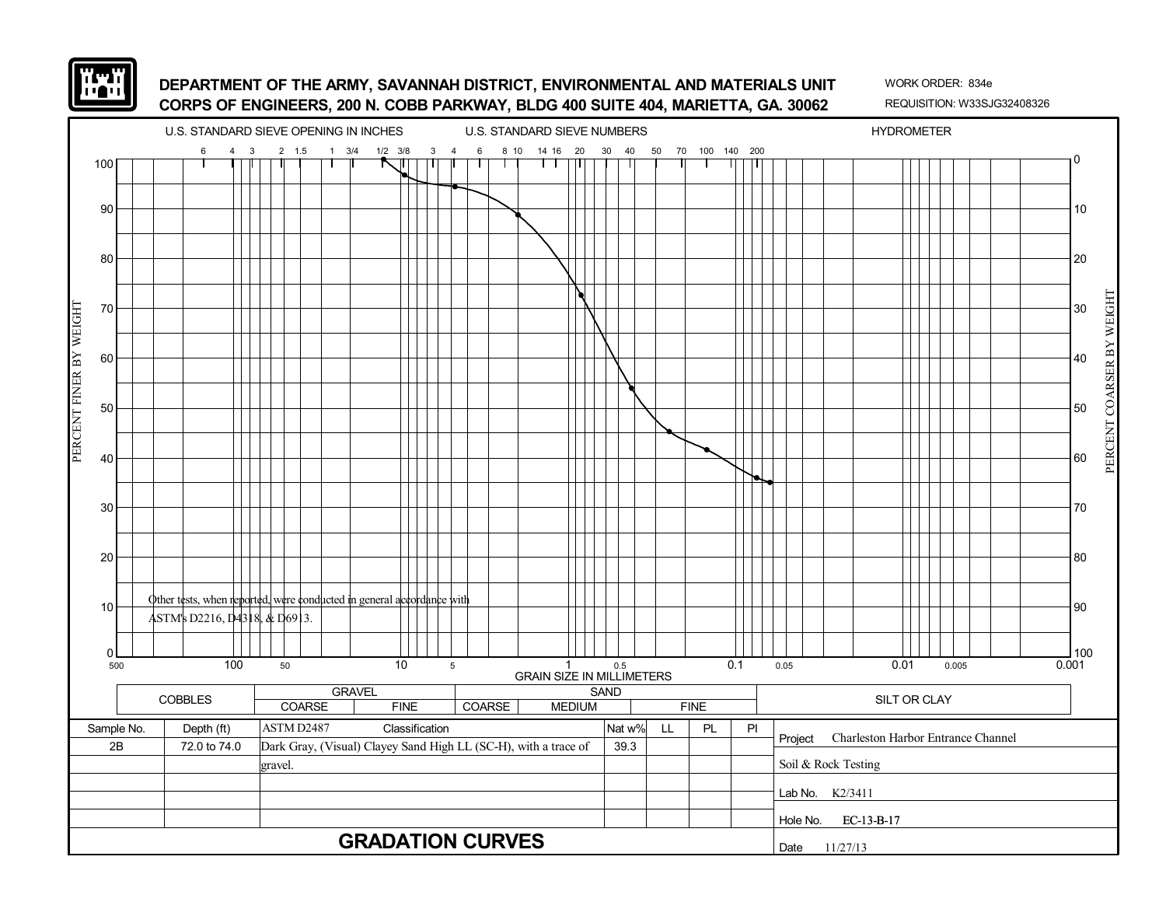![](_page_49_Picture_0.jpeg)

![](_page_49_Figure_3.jpeg)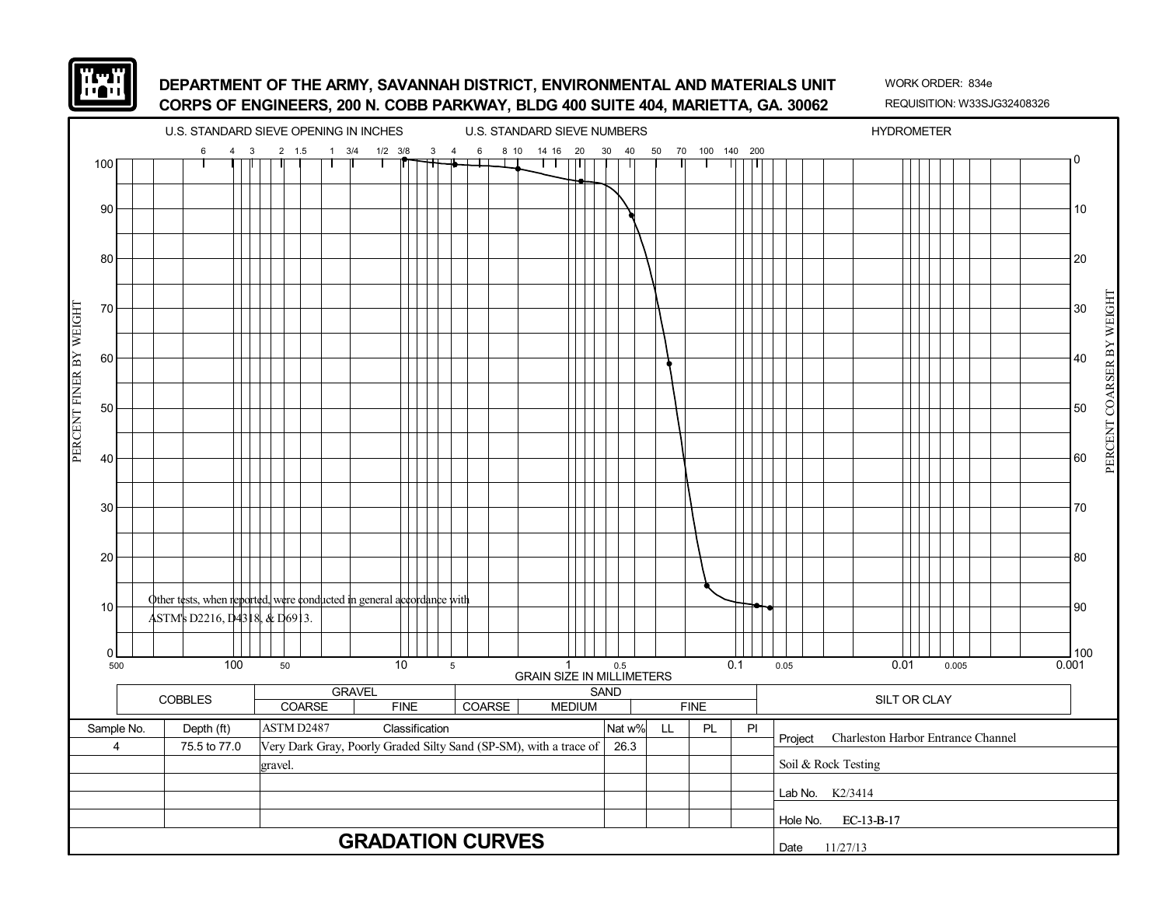![](_page_50_Picture_0.jpeg)

![](_page_50_Figure_3.jpeg)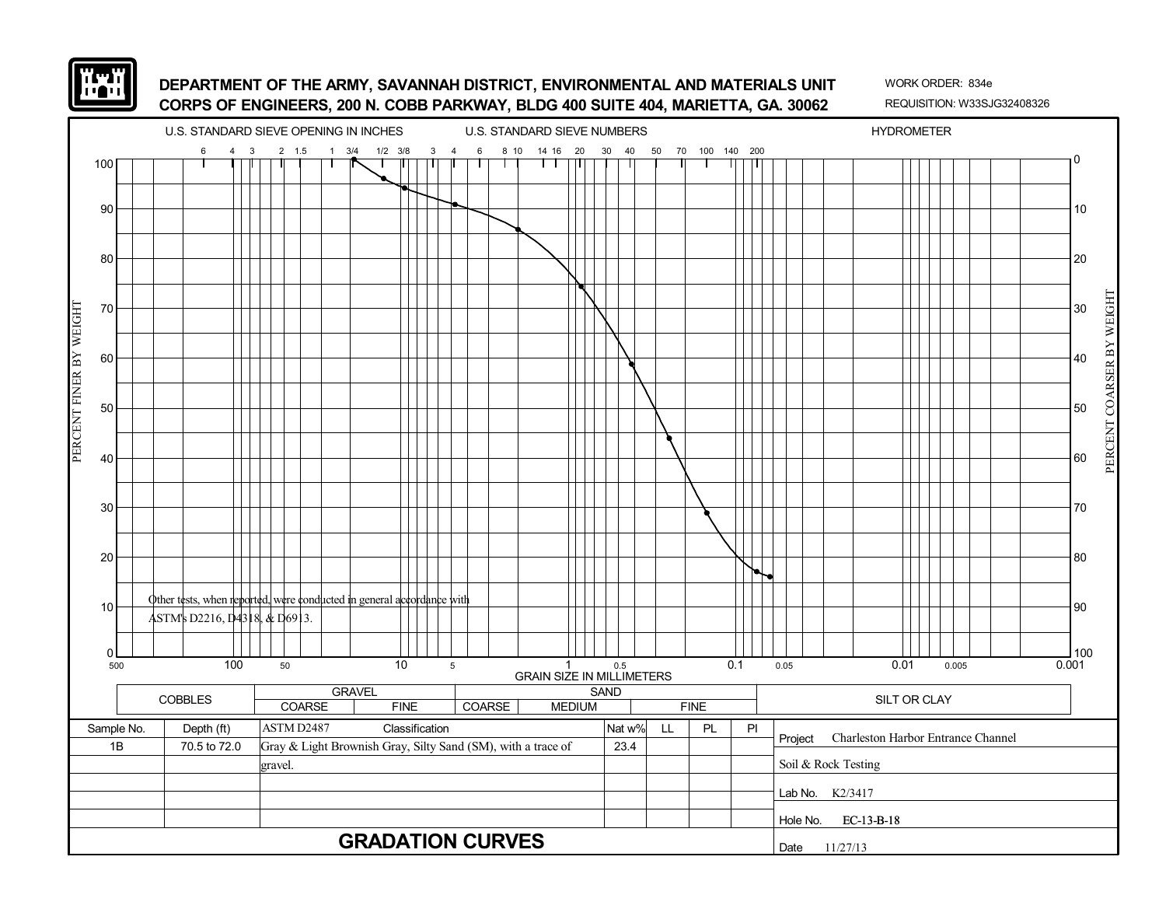![](_page_51_Picture_0.jpeg)

![](_page_51_Figure_3.jpeg)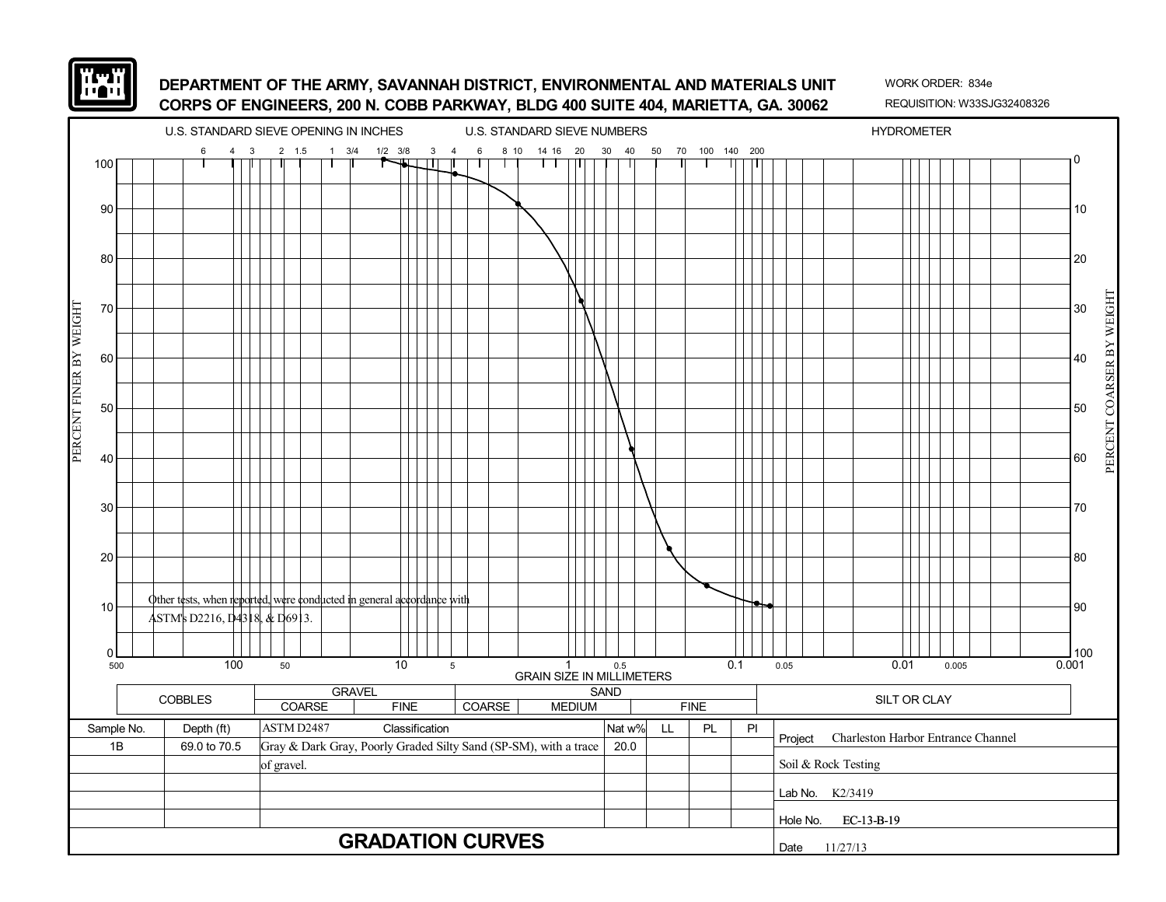![](_page_52_Picture_0.jpeg)

![](_page_52_Figure_3.jpeg)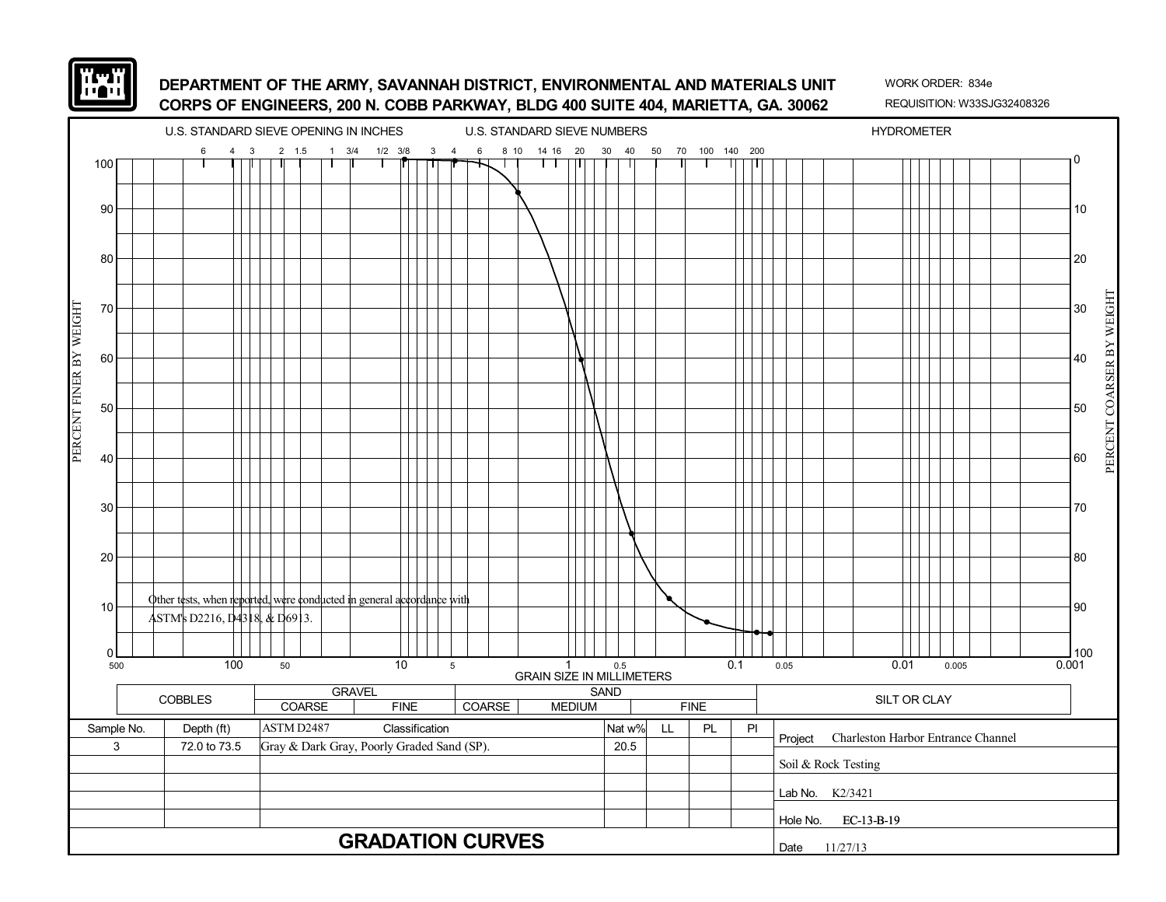![](_page_53_Picture_0.jpeg)

![](_page_53_Figure_3.jpeg)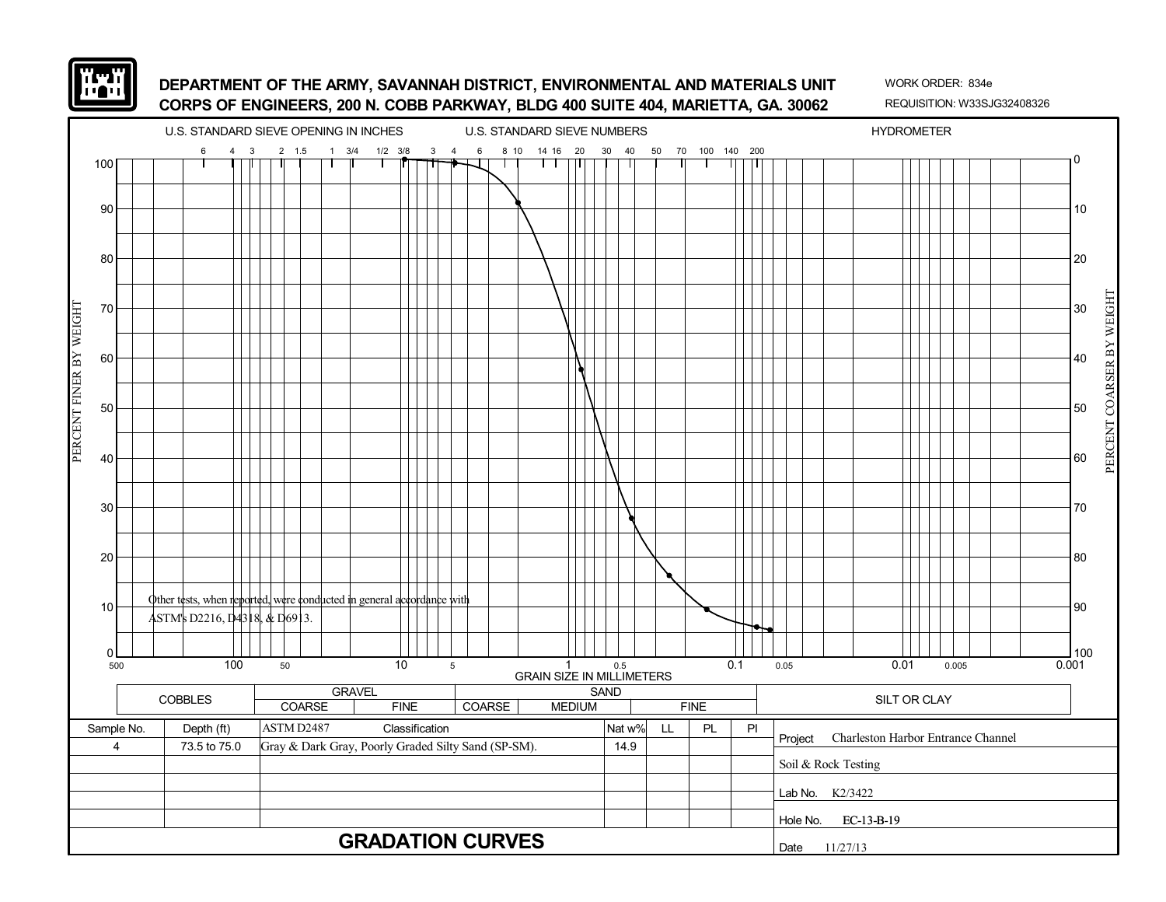![](_page_54_Picture_0.jpeg)

![](_page_54_Figure_3.jpeg)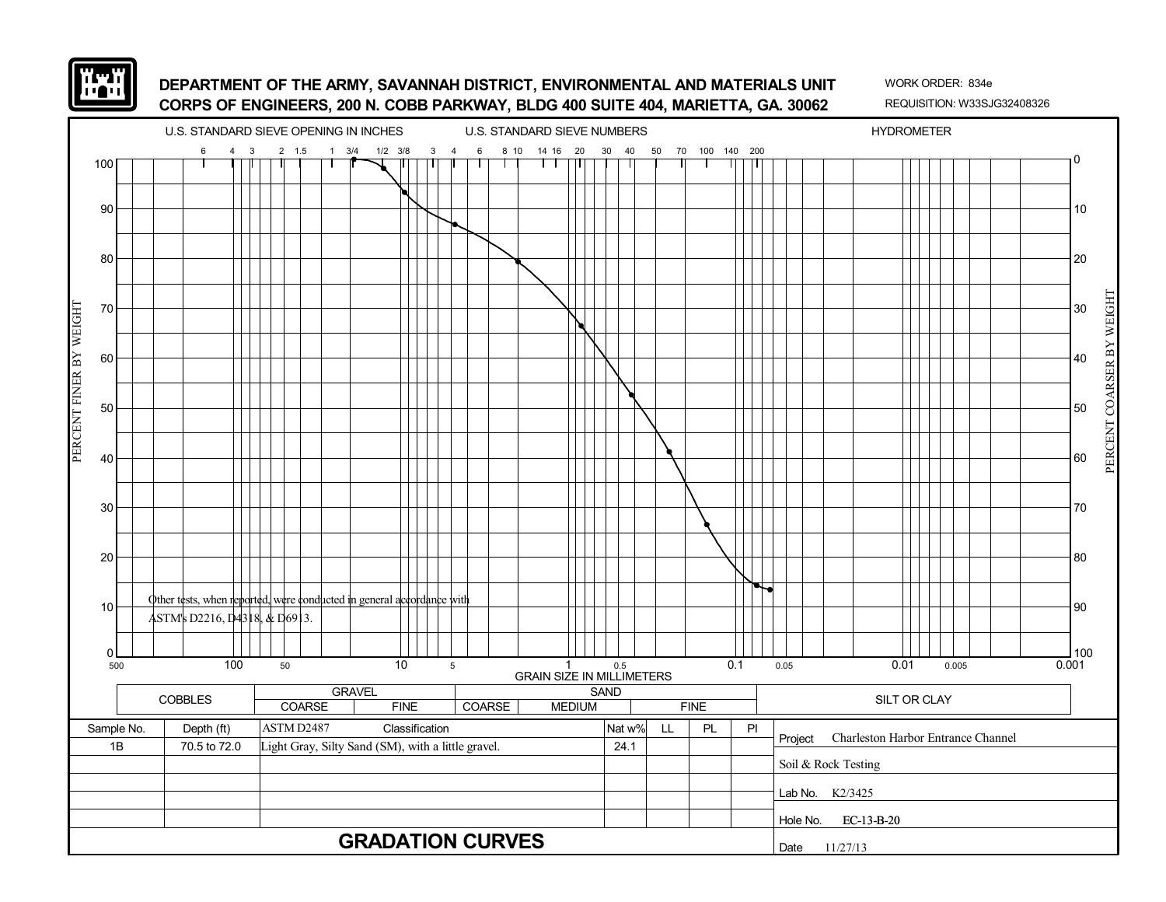![](_page_55_Picture_0.jpeg)

![](_page_55_Figure_3.jpeg)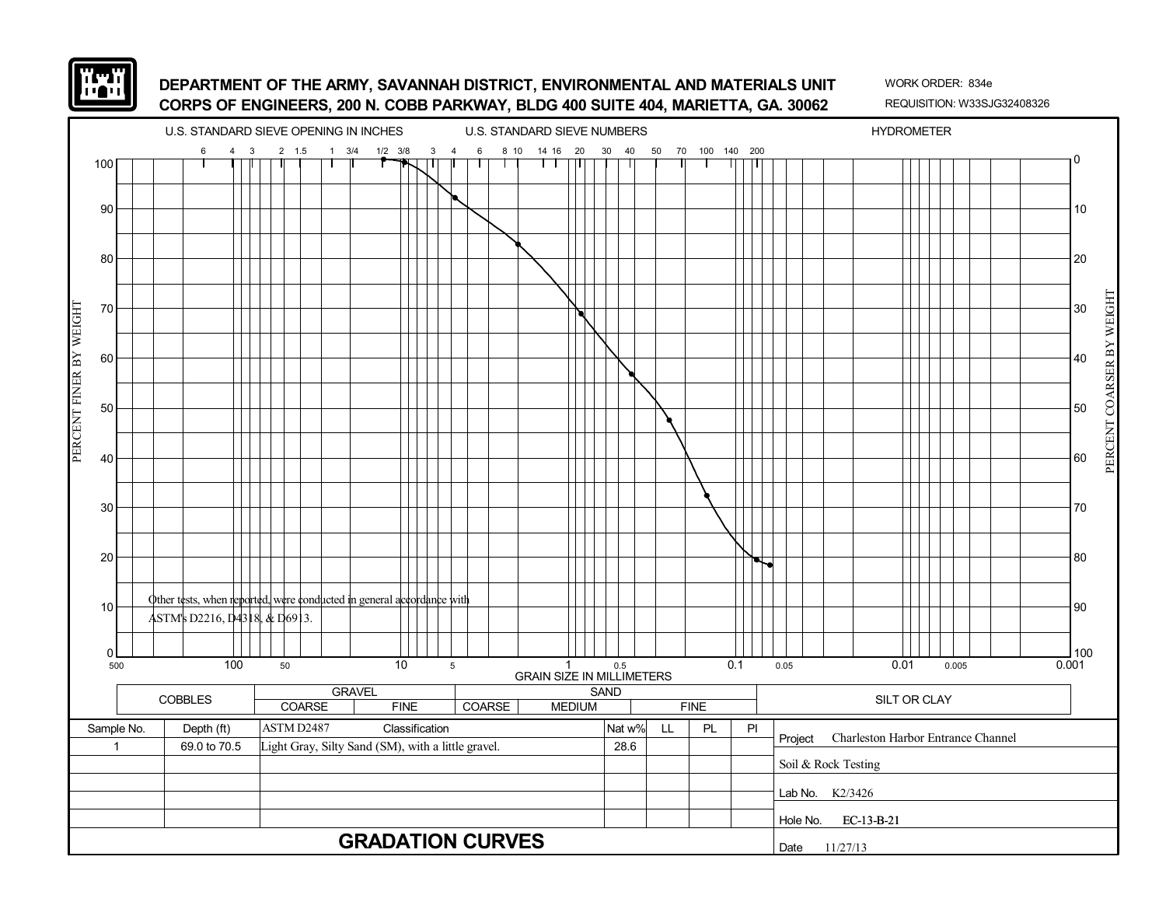![](_page_56_Picture_0.jpeg)

![](_page_56_Figure_3.jpeg)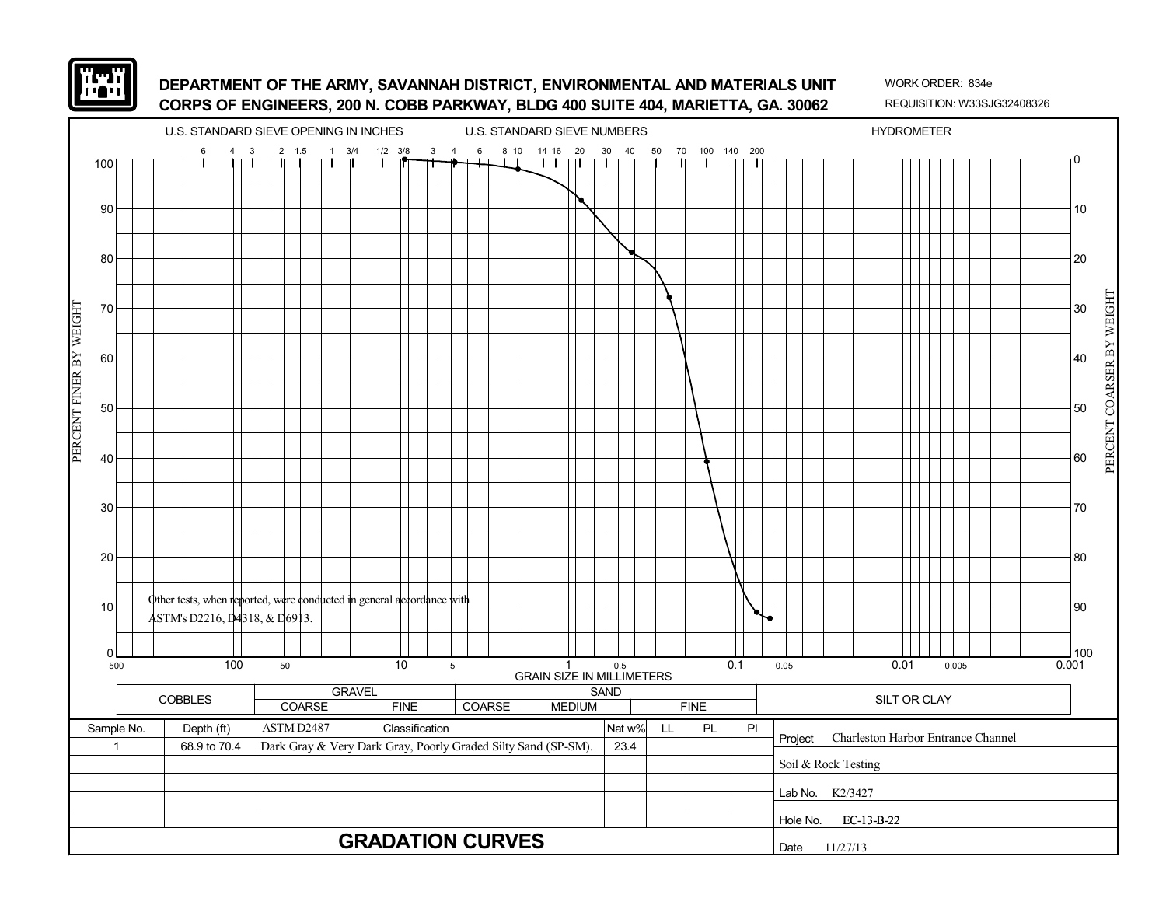![](_page_57_Picture_0.jpeg)

![](_page_57_Figure_3.jpeg)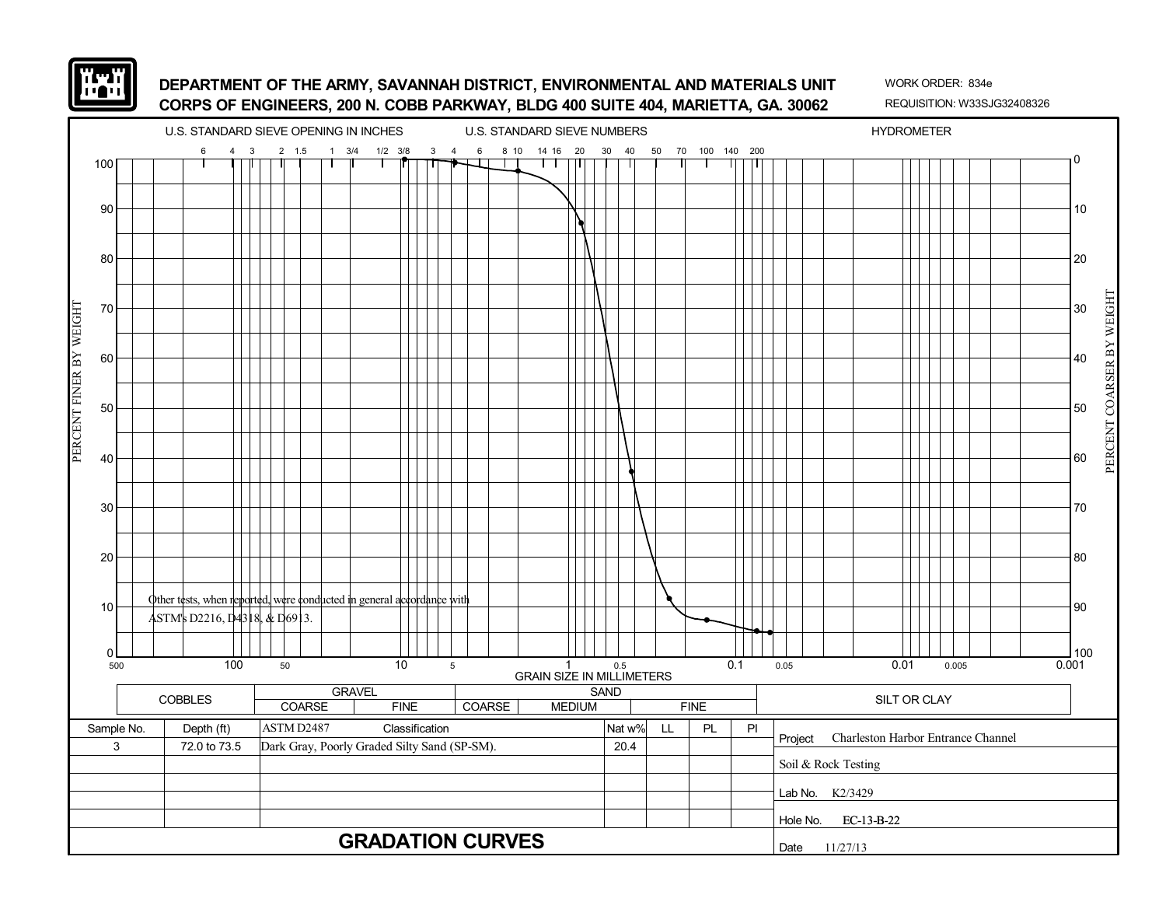![](_page_58_Picture_0.jpeg)

![](_page_58_Figure_3.jpeg)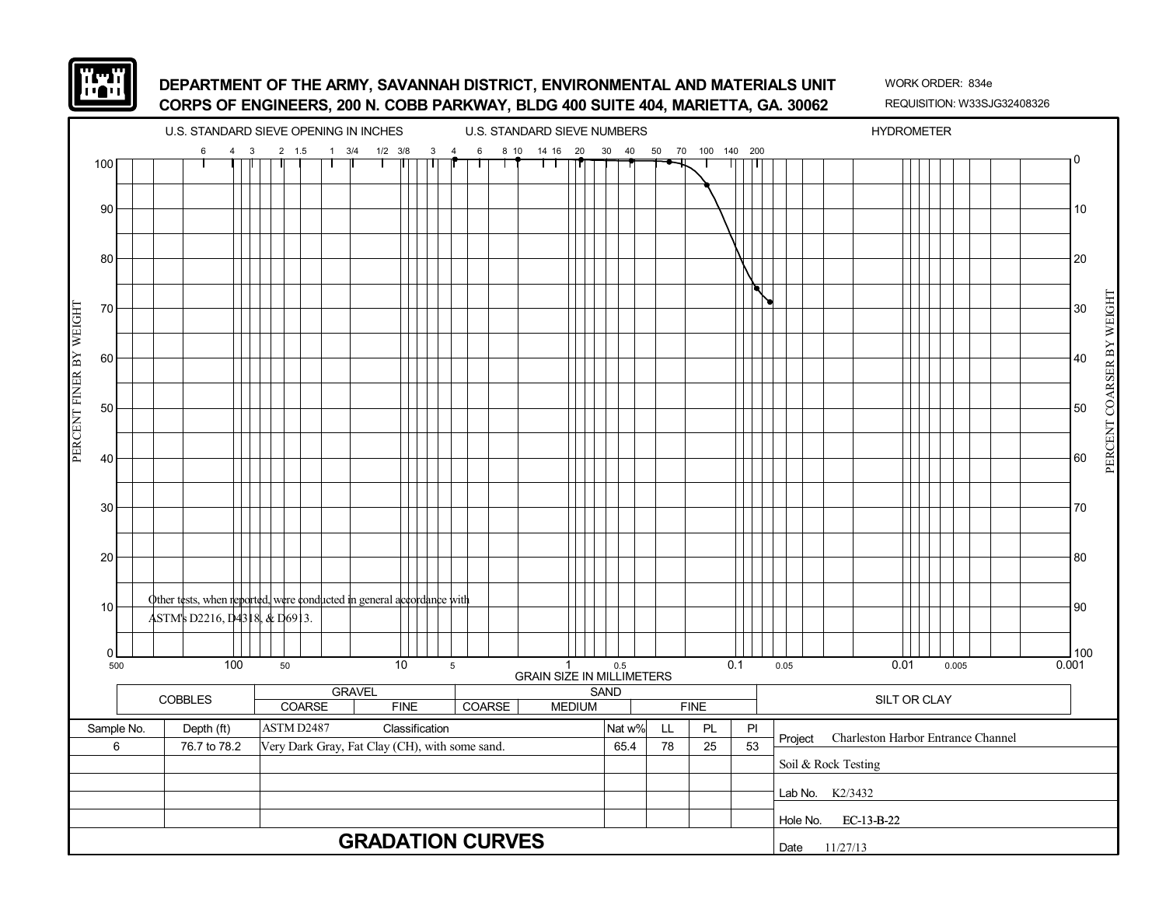![](_page_59_Picture_0.jpeg)

![](_page_59_Figure_3.jpeg)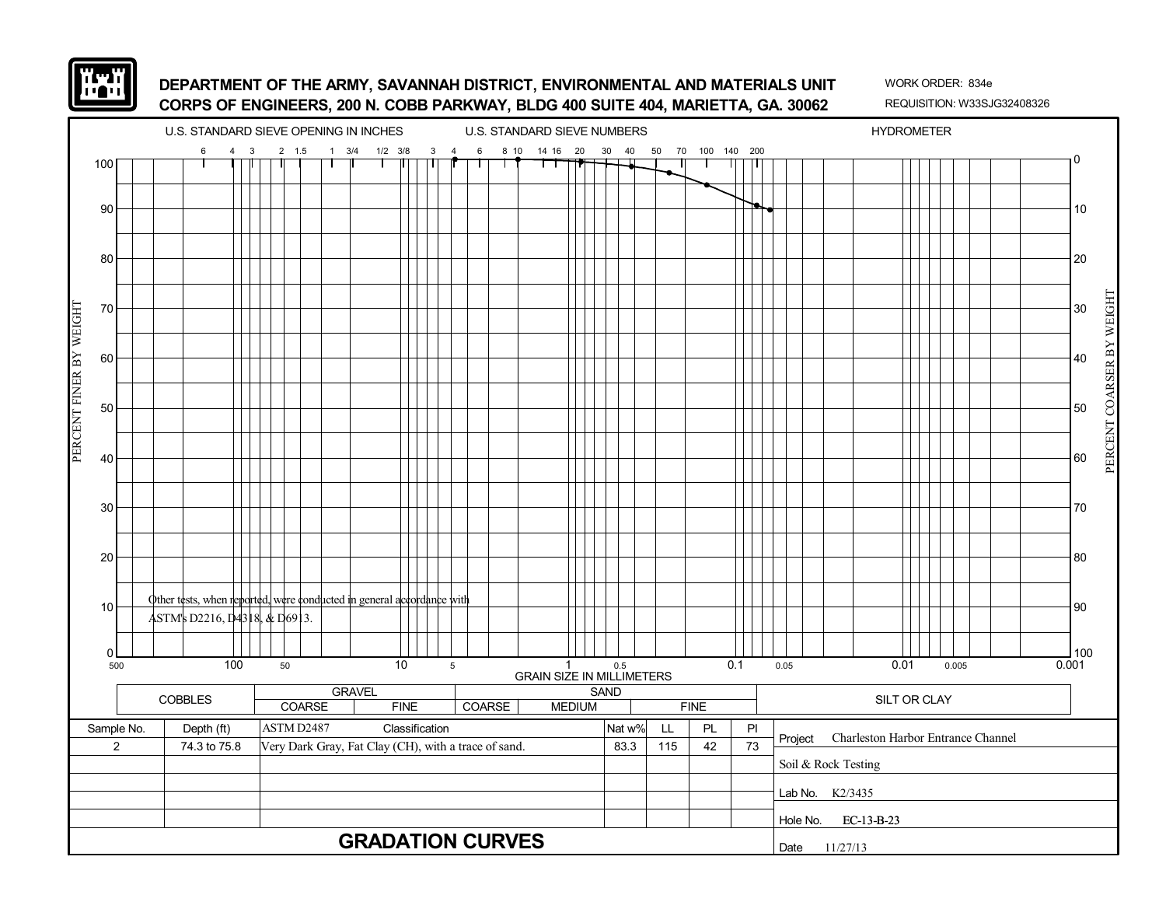![](_page_60_Picture_0.jpeg)

![](_page_60_Figure_3.jpeg)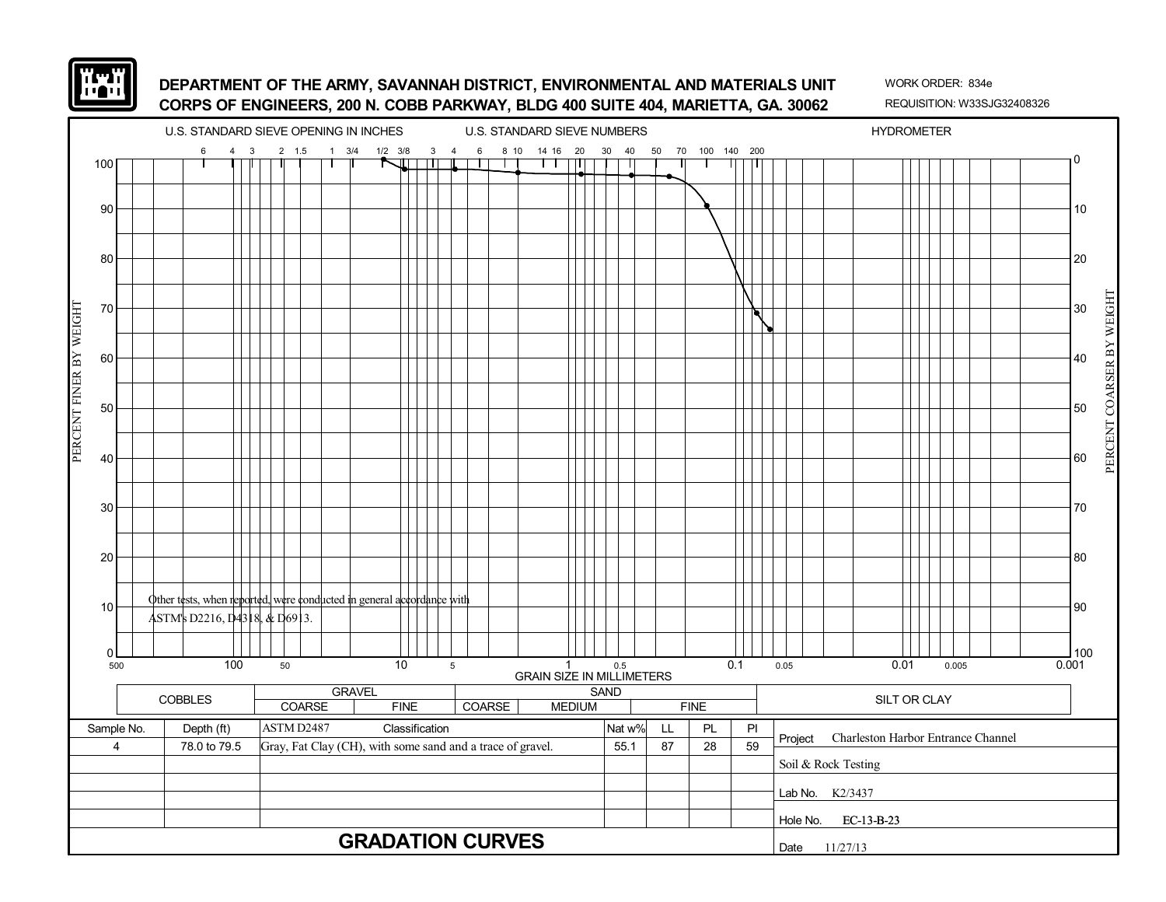![](_page_61_Picture_0.jpeg)

![](_page_61_Figure_3.jpeg)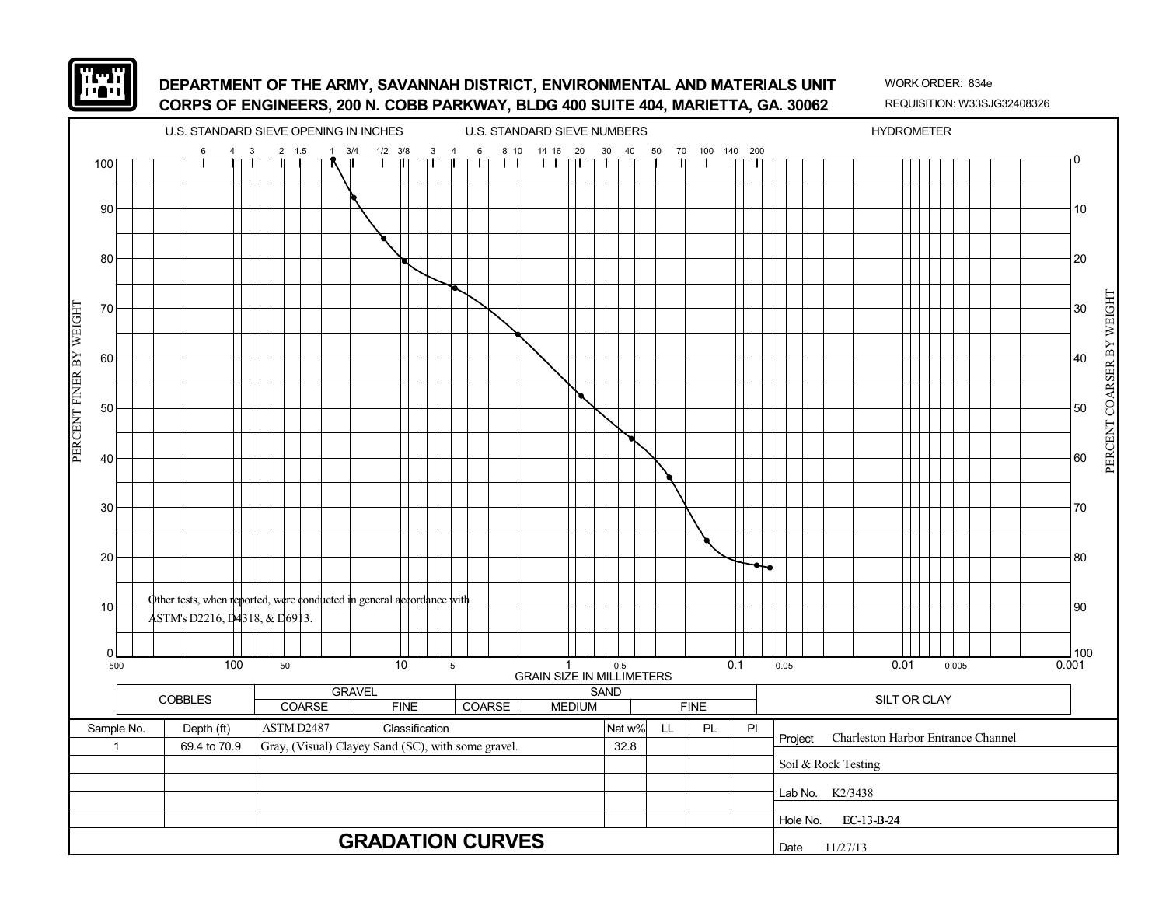![](_page_62_Picture_0.jpeg)

![](_page_62_Figure_3.jpeg)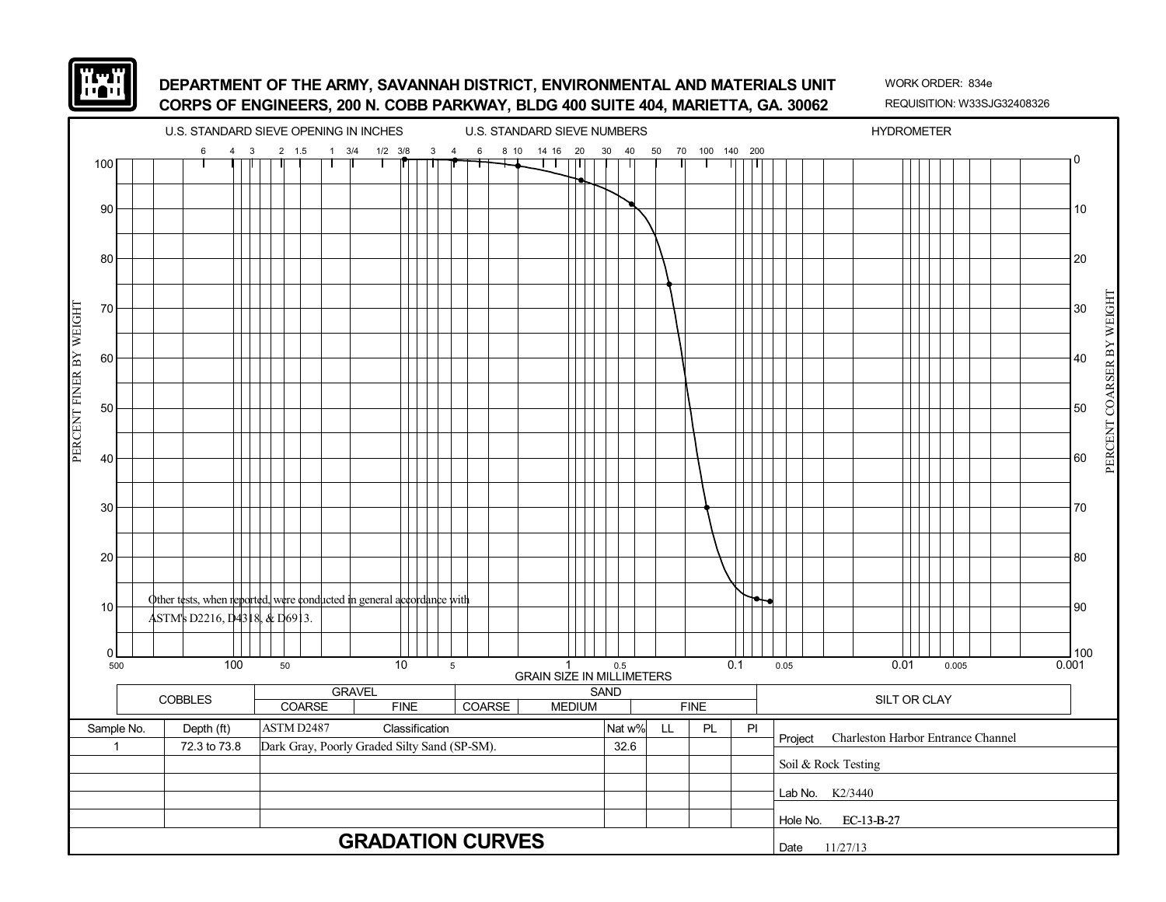![](_page_63_Picture_0.jpeg)

![](_page_63_Figure_3.jpeg)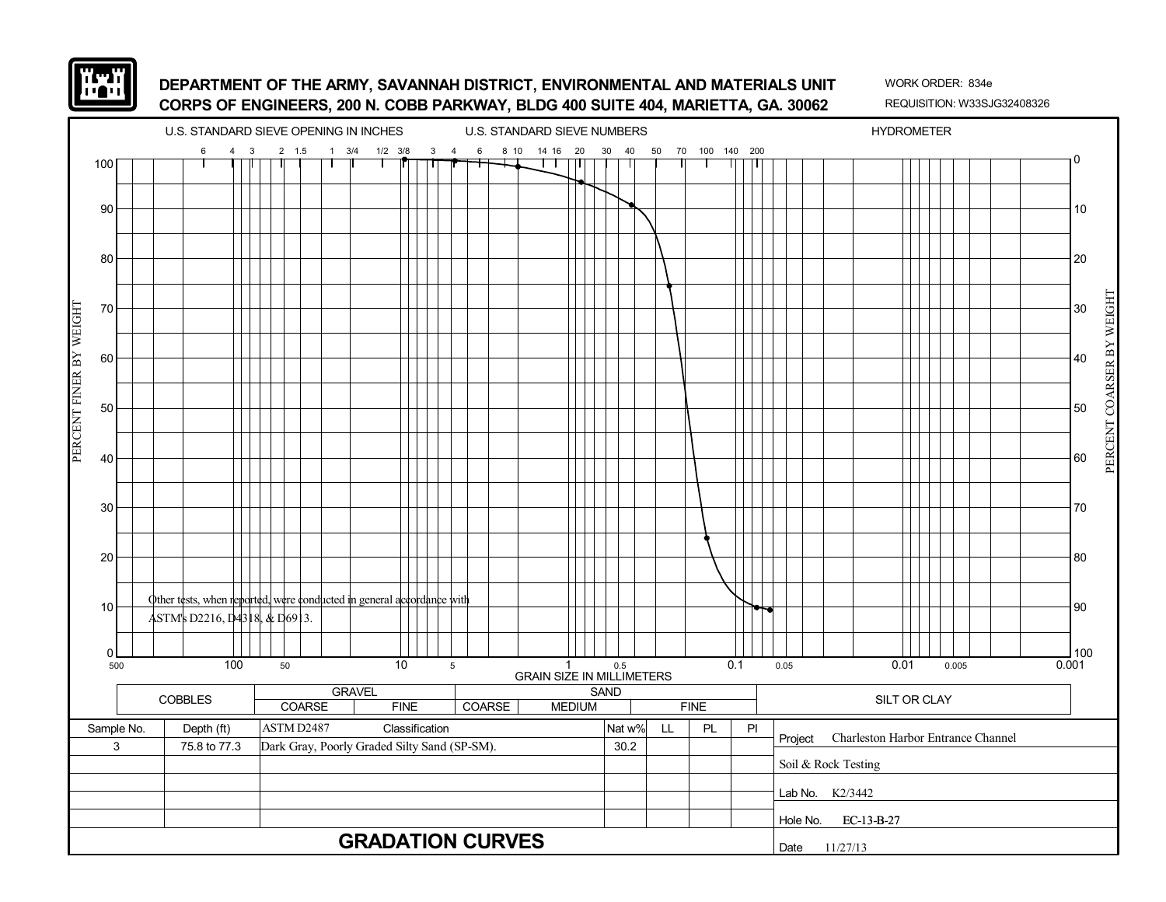![](_page_64_Picture_0.jpeg)

![](_page_64_Figure_3.jpeg)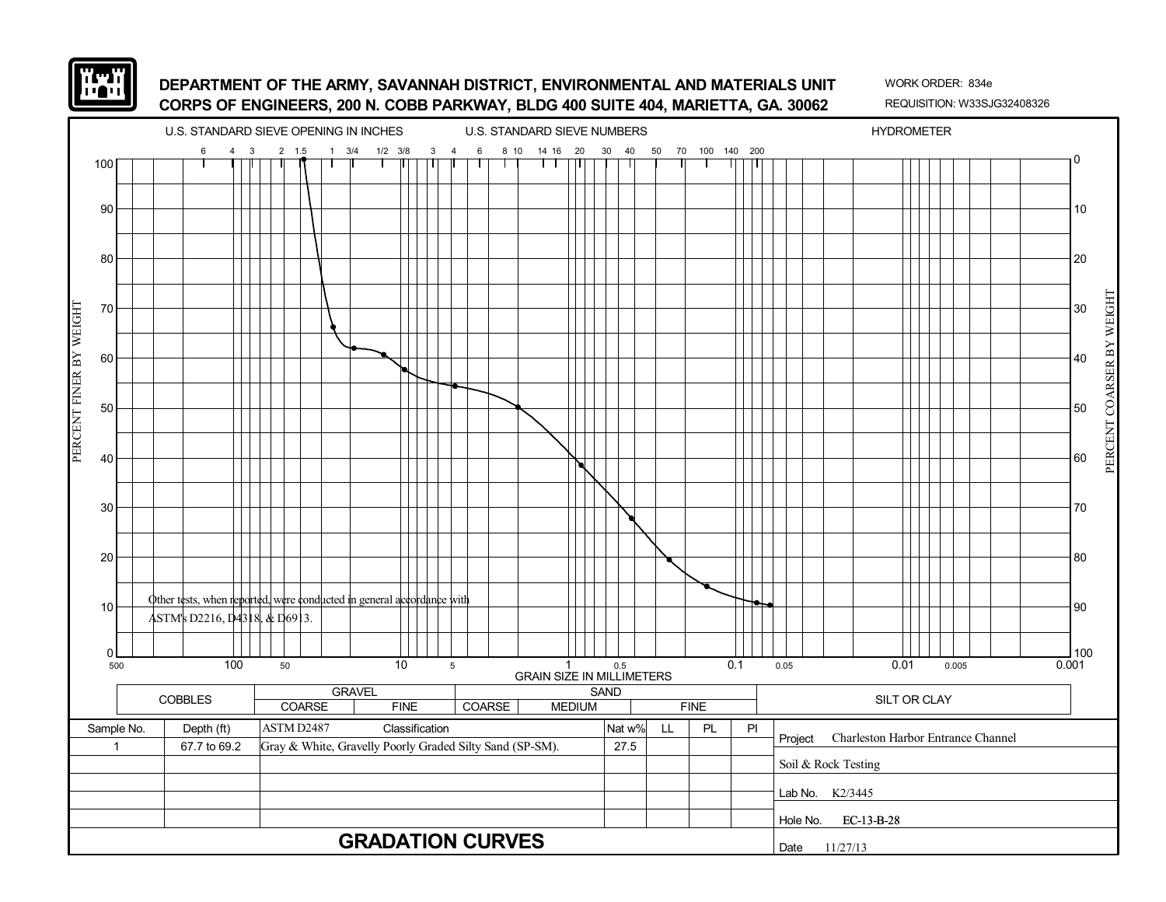![](_page_65_Picture_0.jpeg)

![](_page_65_Figure_3.jpeg)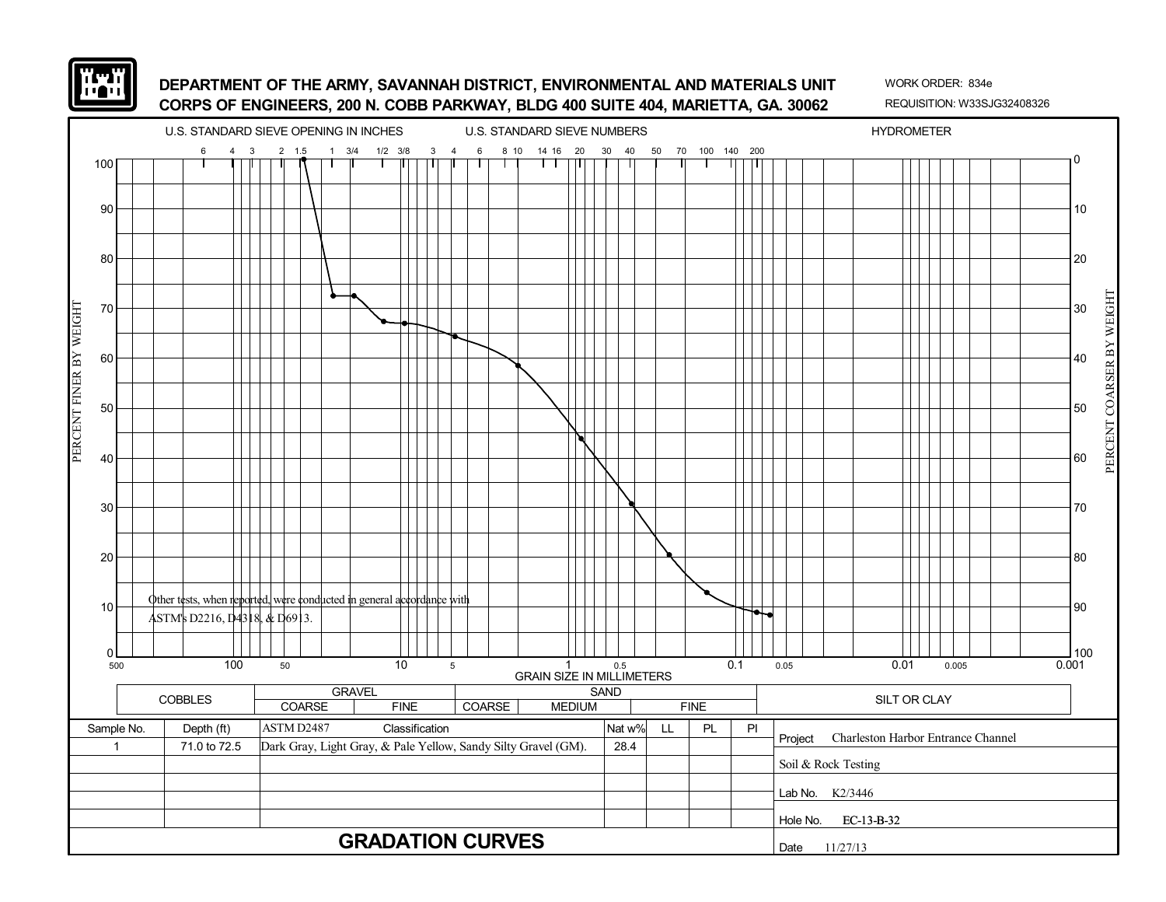![](_page_66_Picture_0.jpeg)

![](_page_66_Figure_3.jpeg)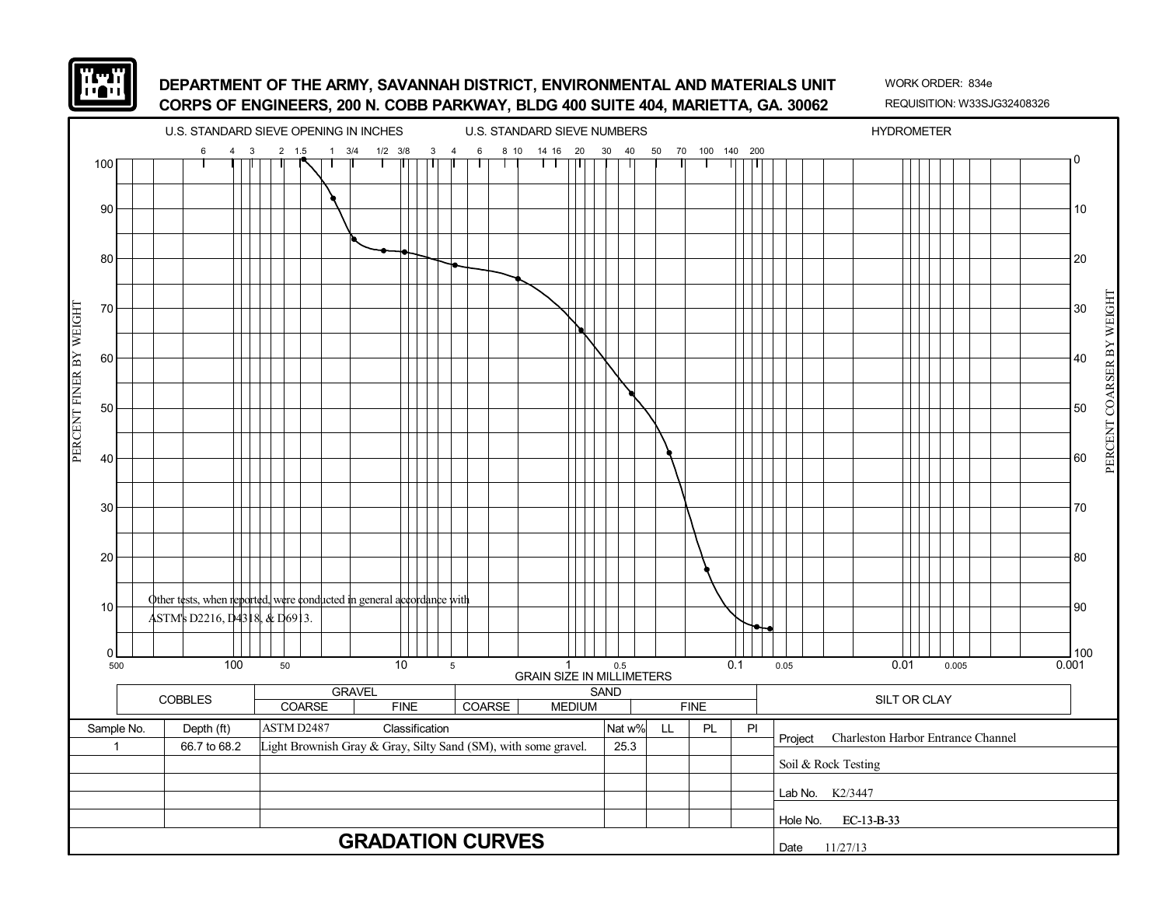![](_page_67_Picture_0.jpeg)

![](_page_67_Figure_3.jpeg)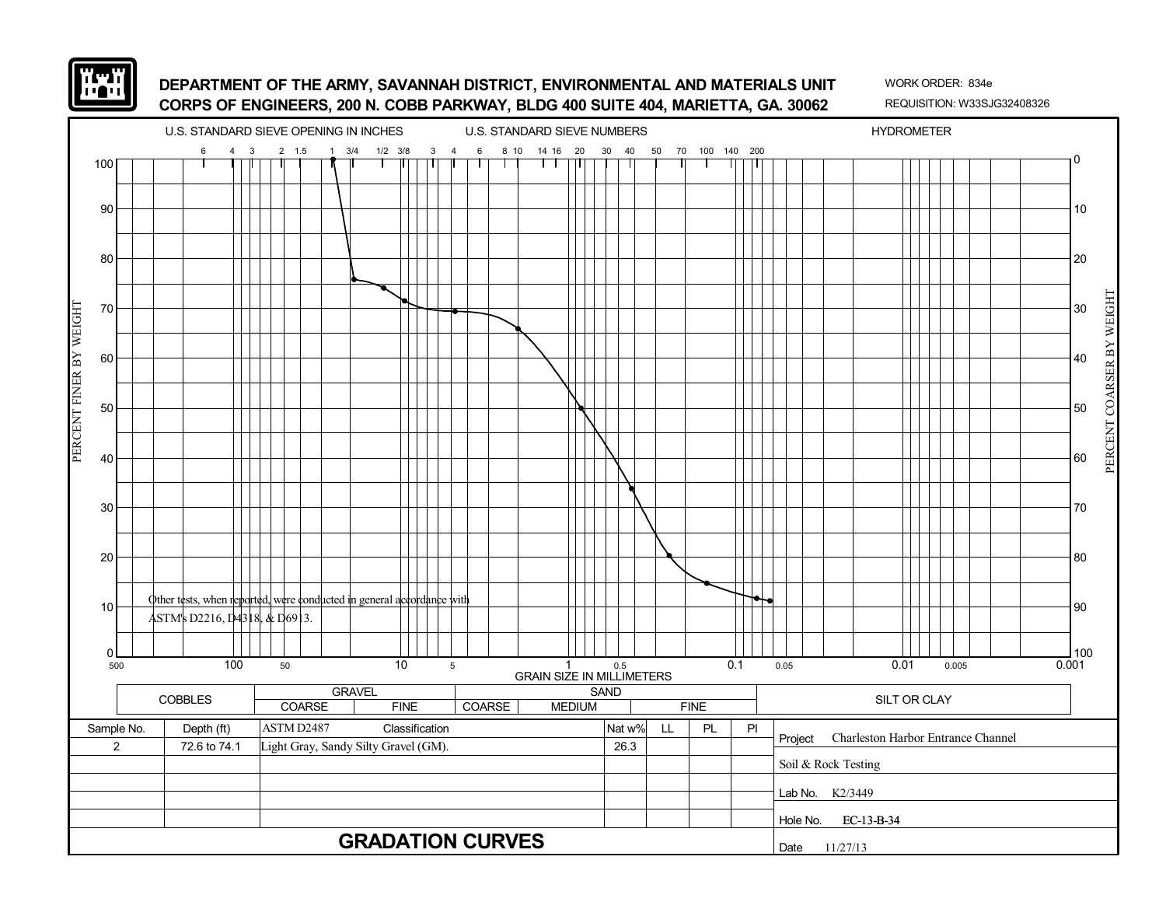![](_page_68_Picture_0.jpeg)

![](_page_68_Figure_3.jpeg)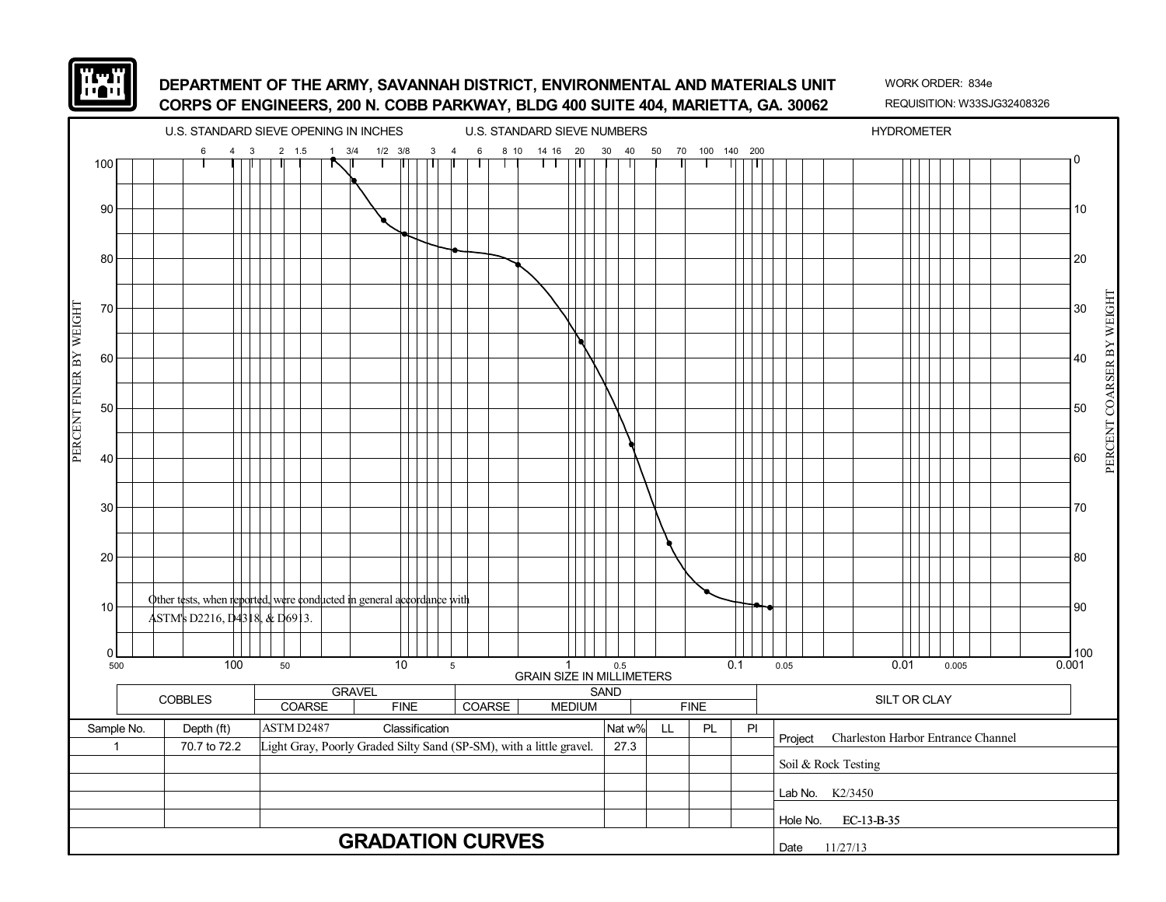![](_page_69_Picture_0.jpeg)

![](_page_69_Figure_3.jpeg)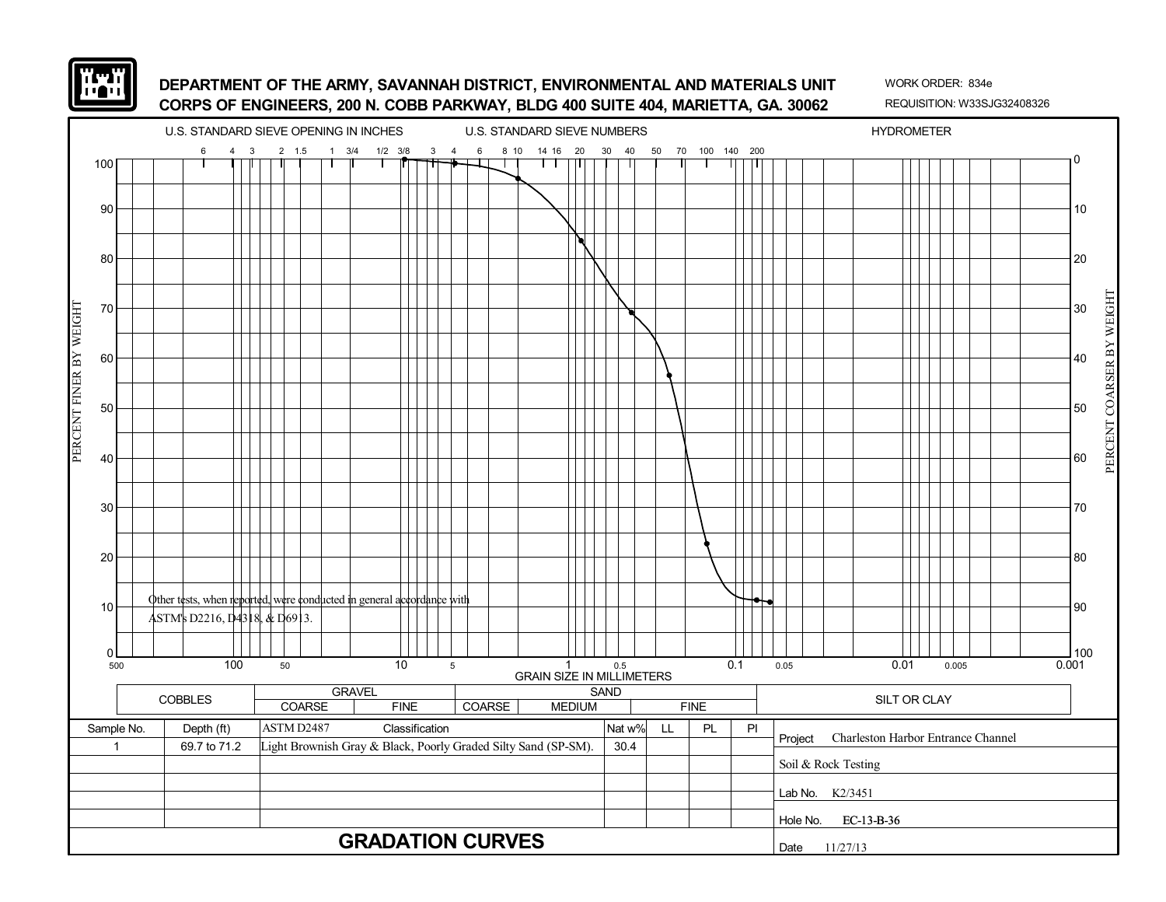![](_page_70_Picture_0.jpeg)

![](_page_70_Figure_3.jpeg)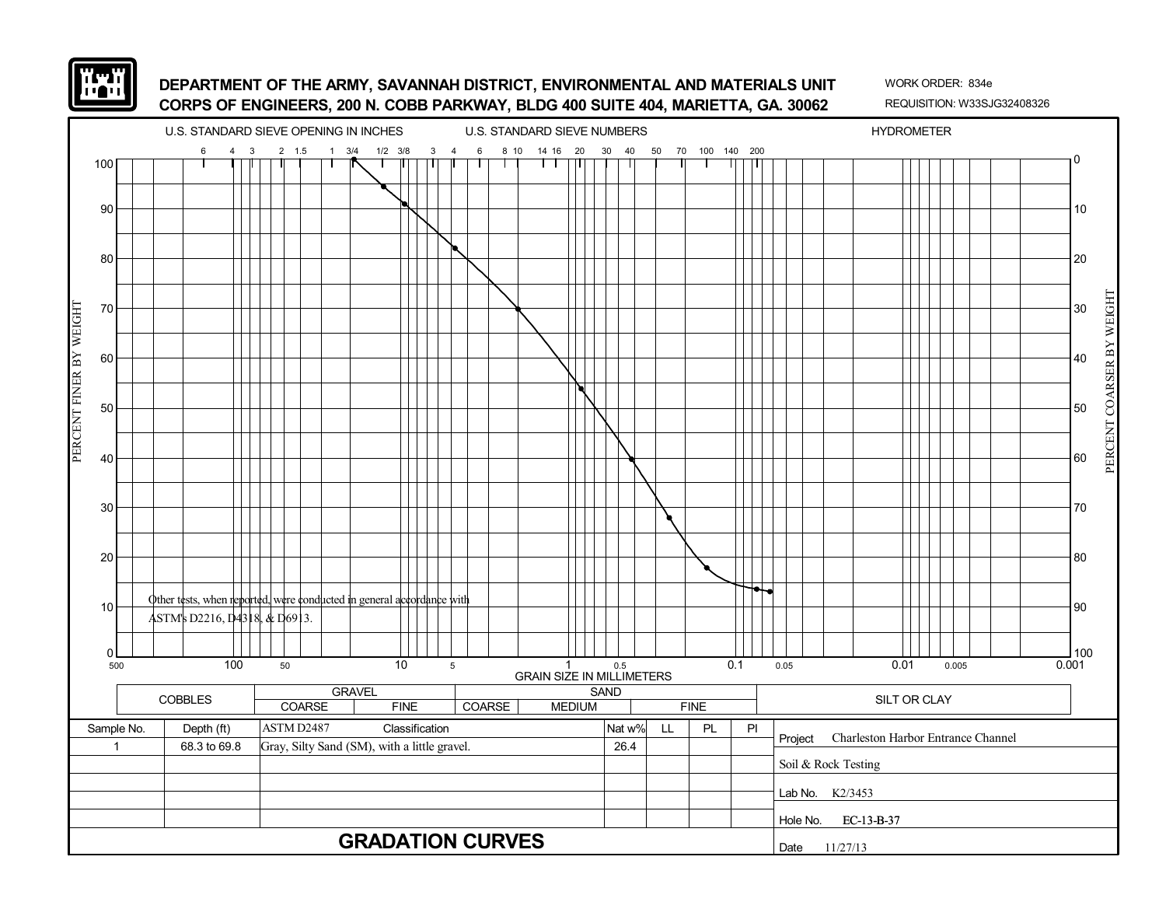![](_page_71_Picture_0.jpeg)

![](_page_71_Figure_3.jpeg)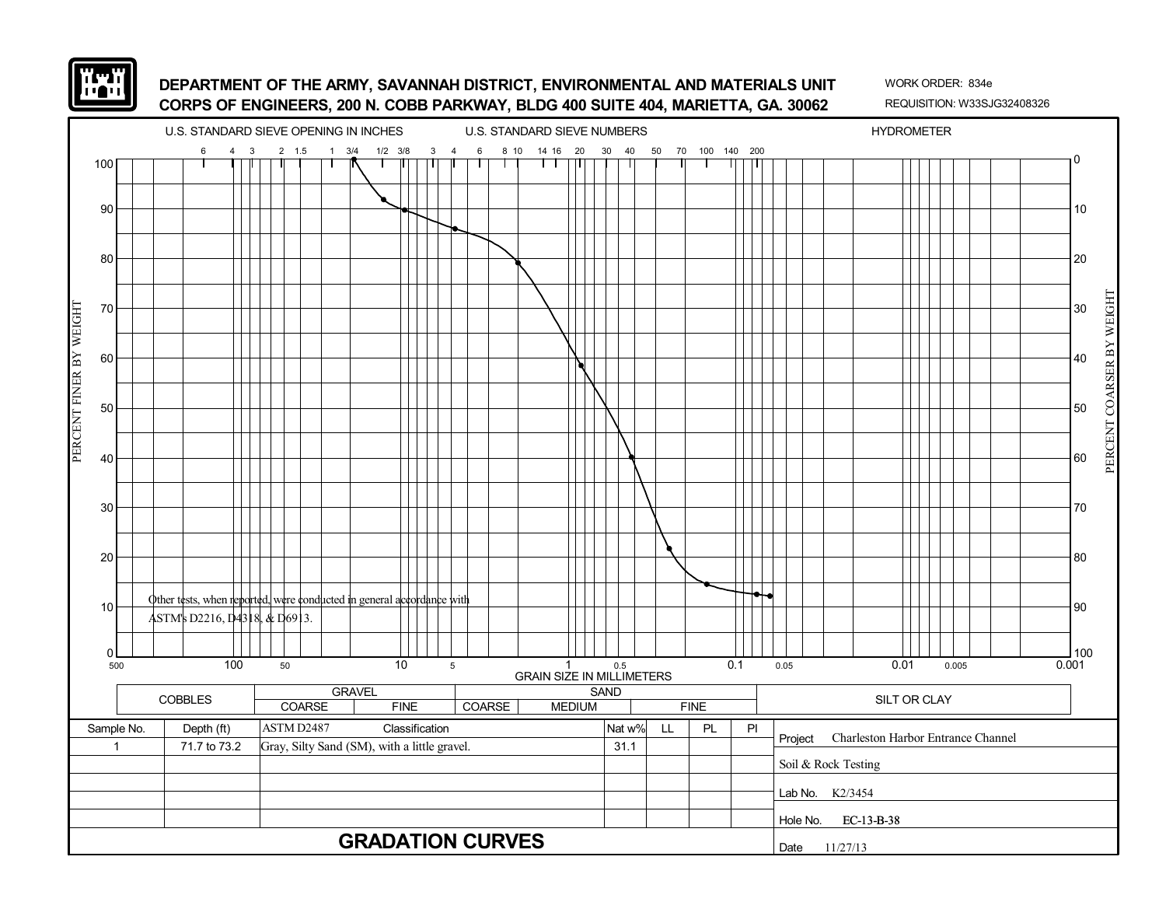

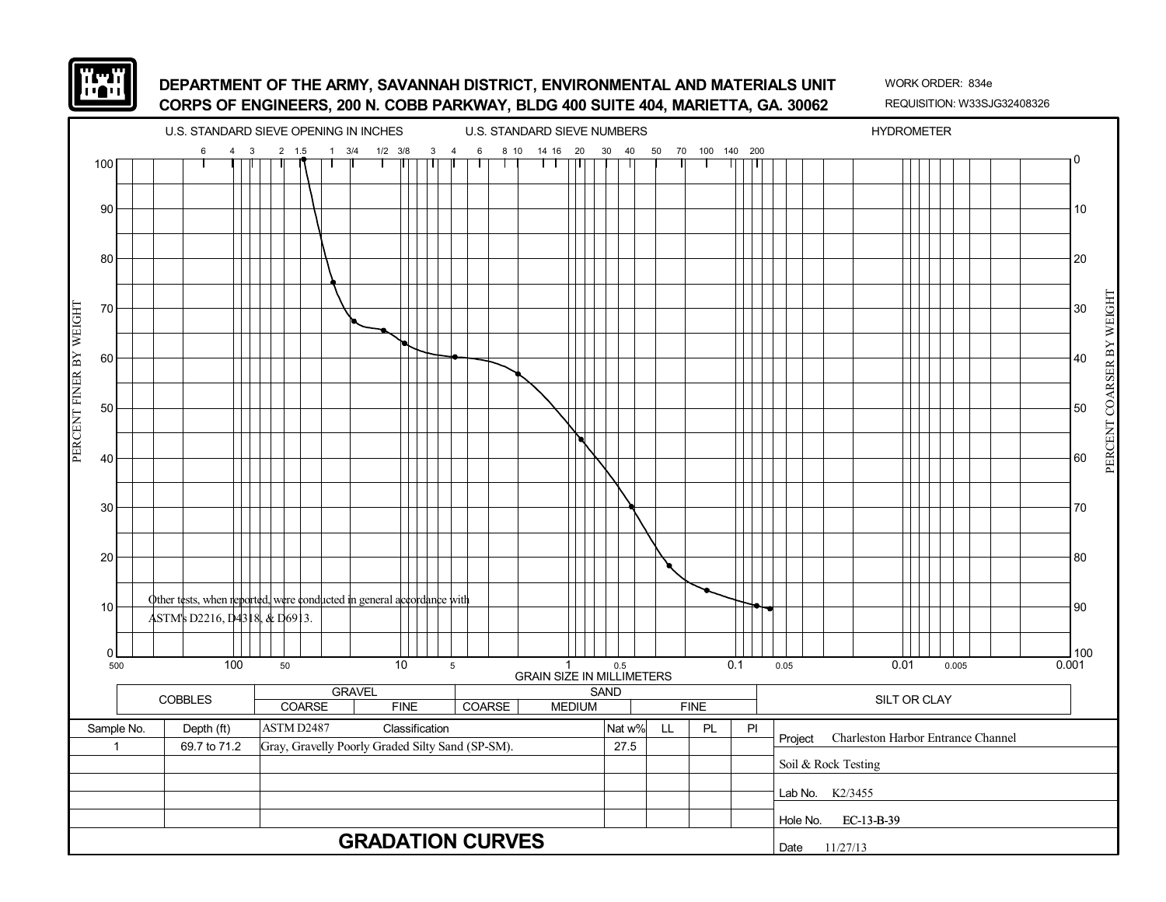

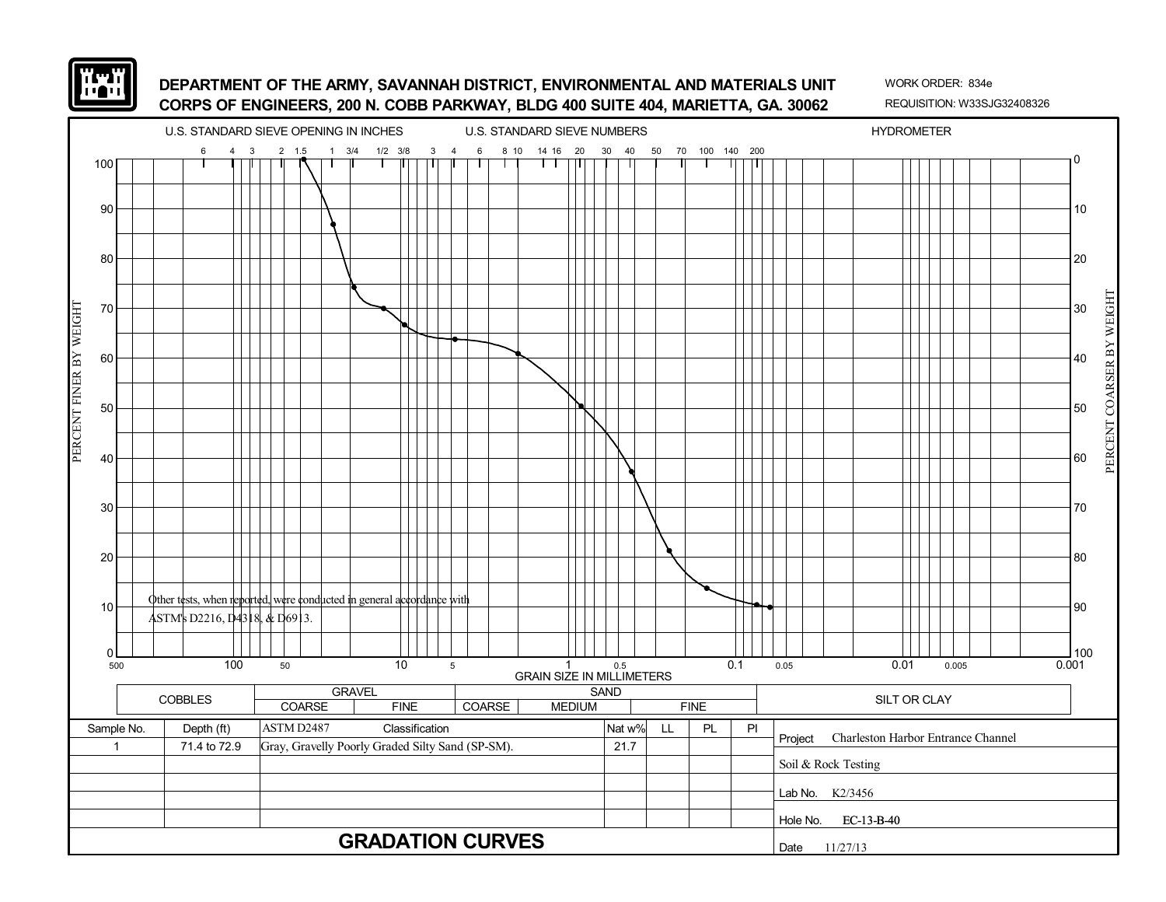

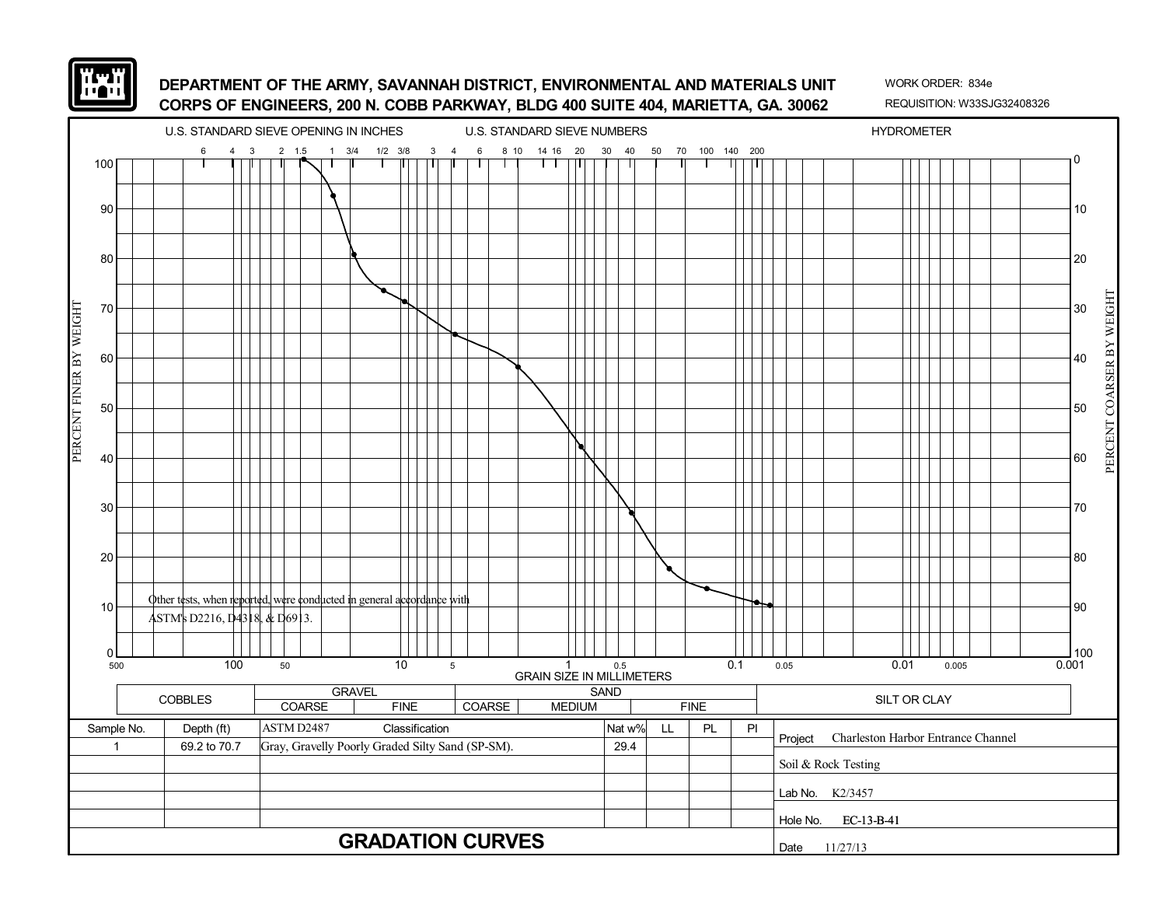

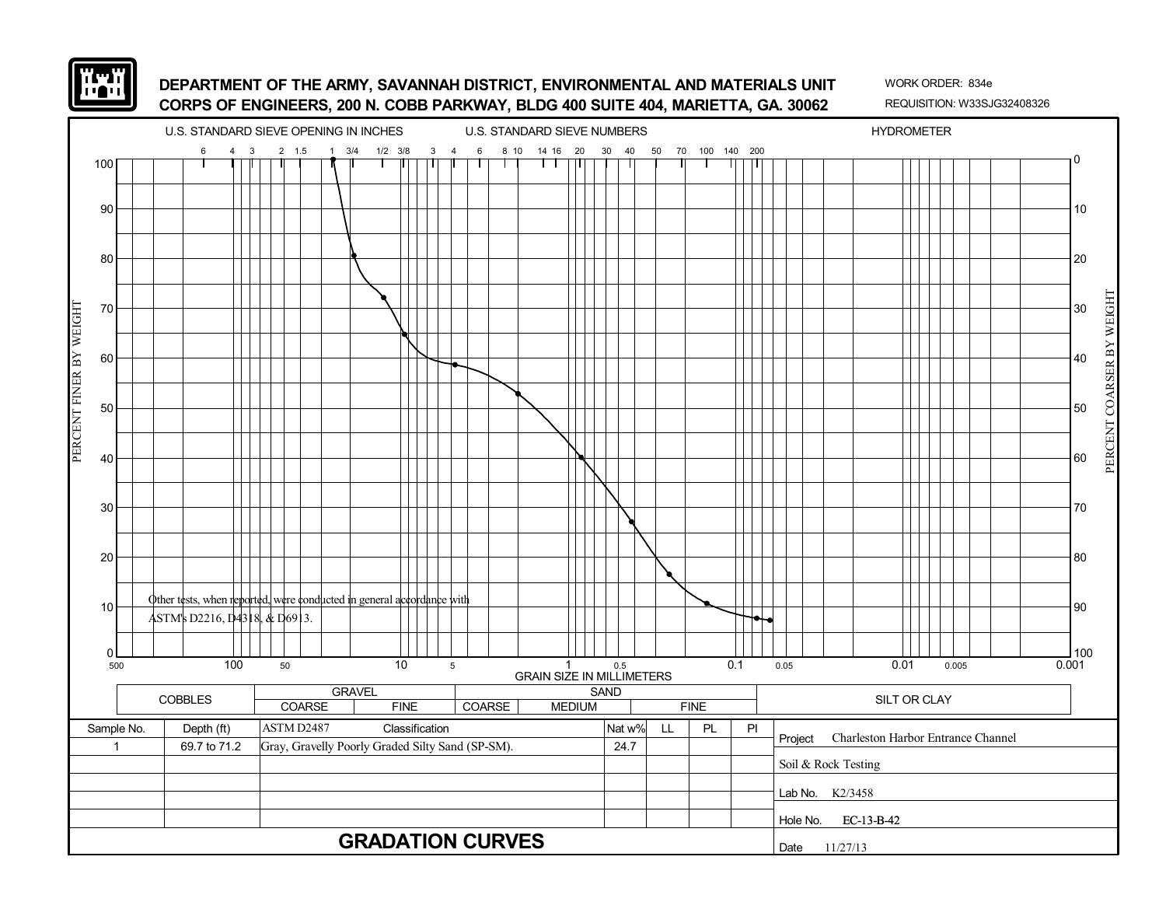

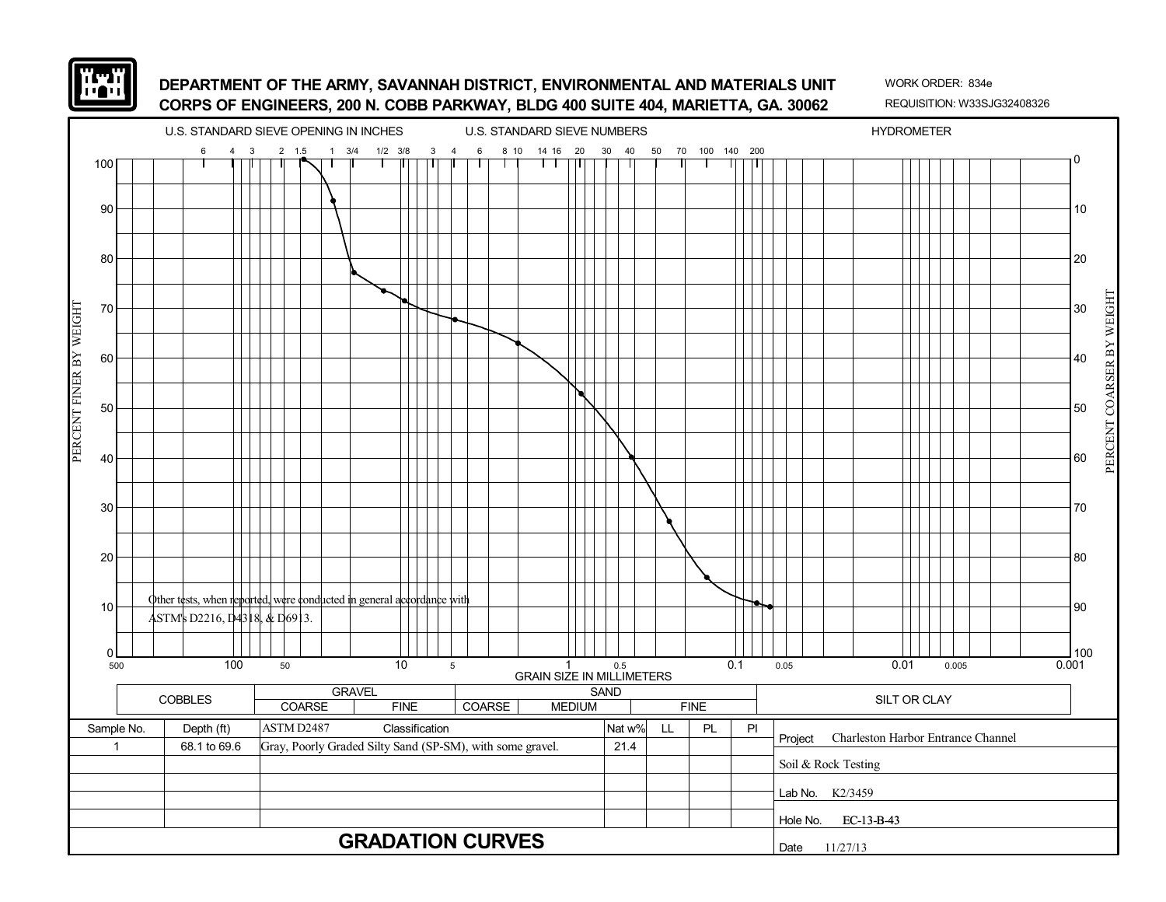

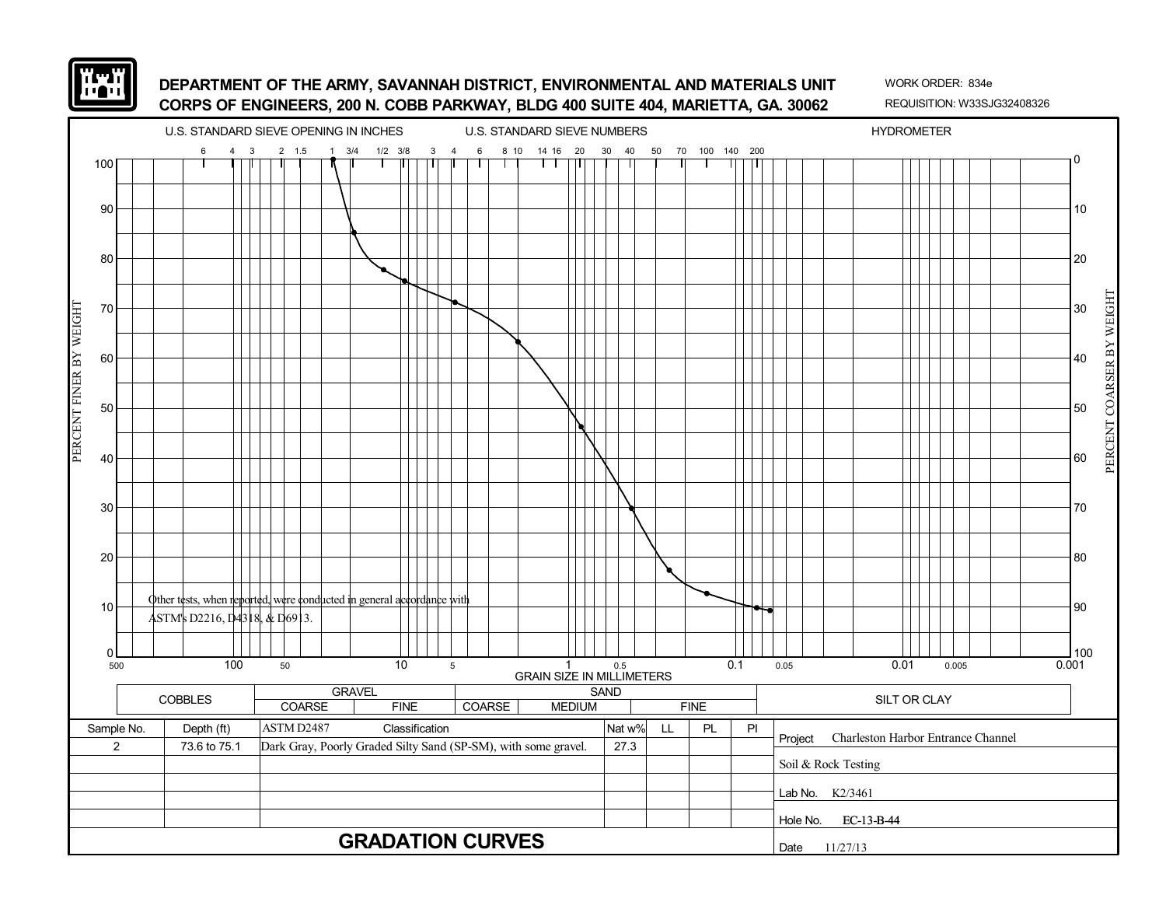

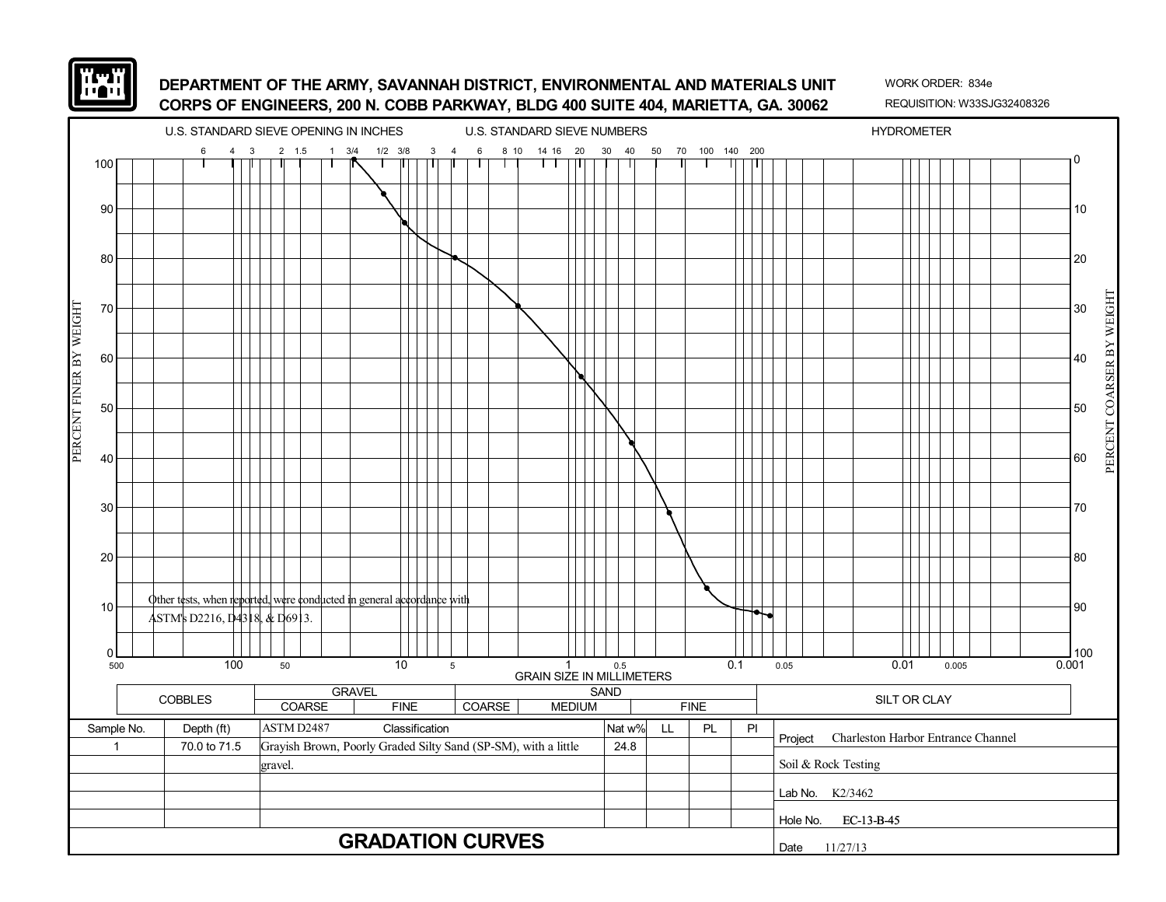

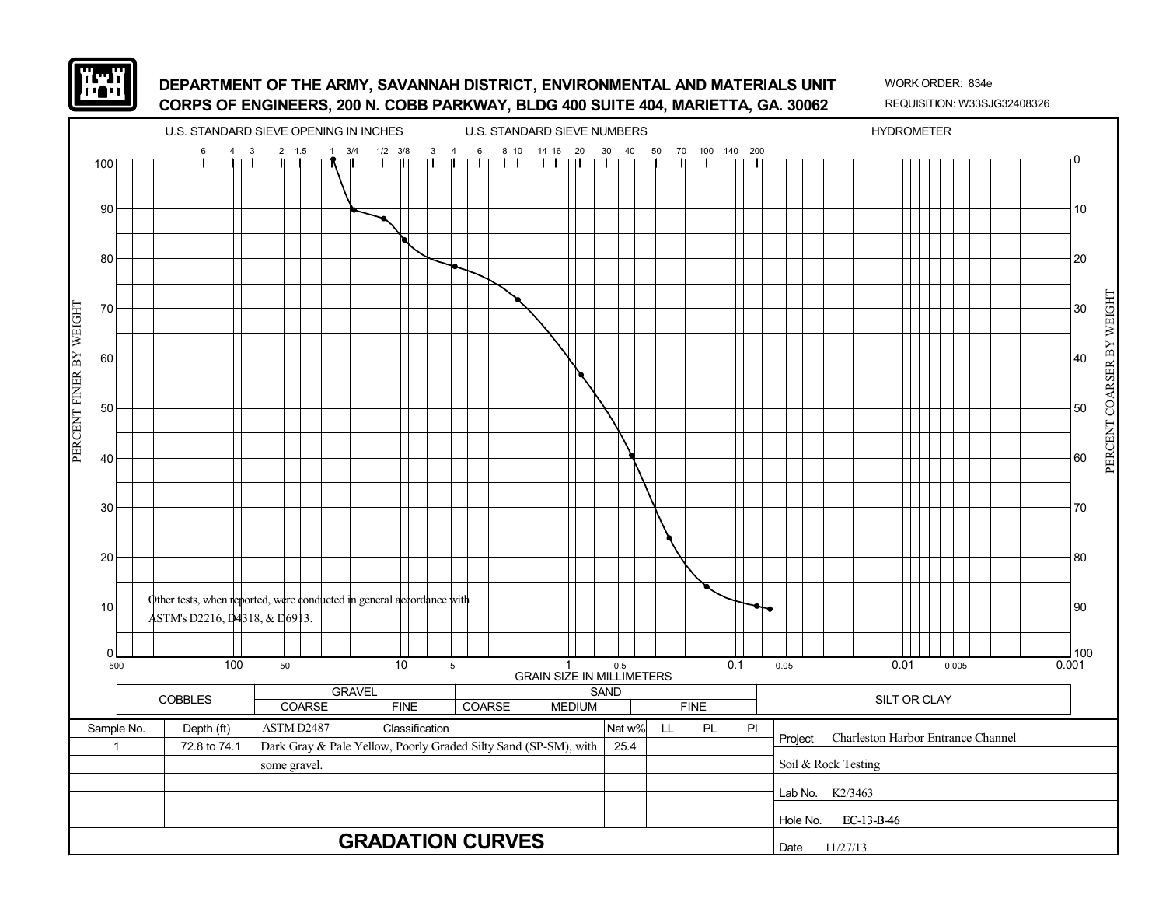

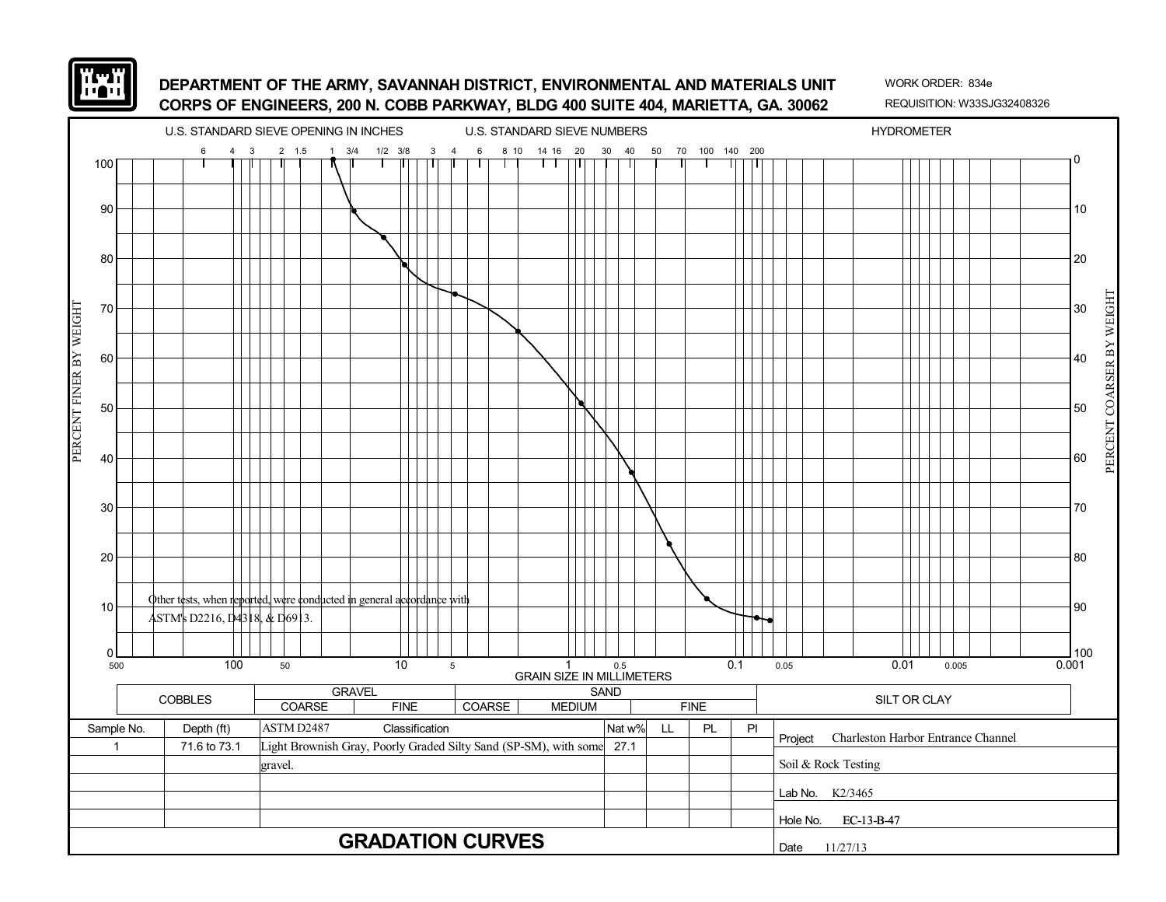

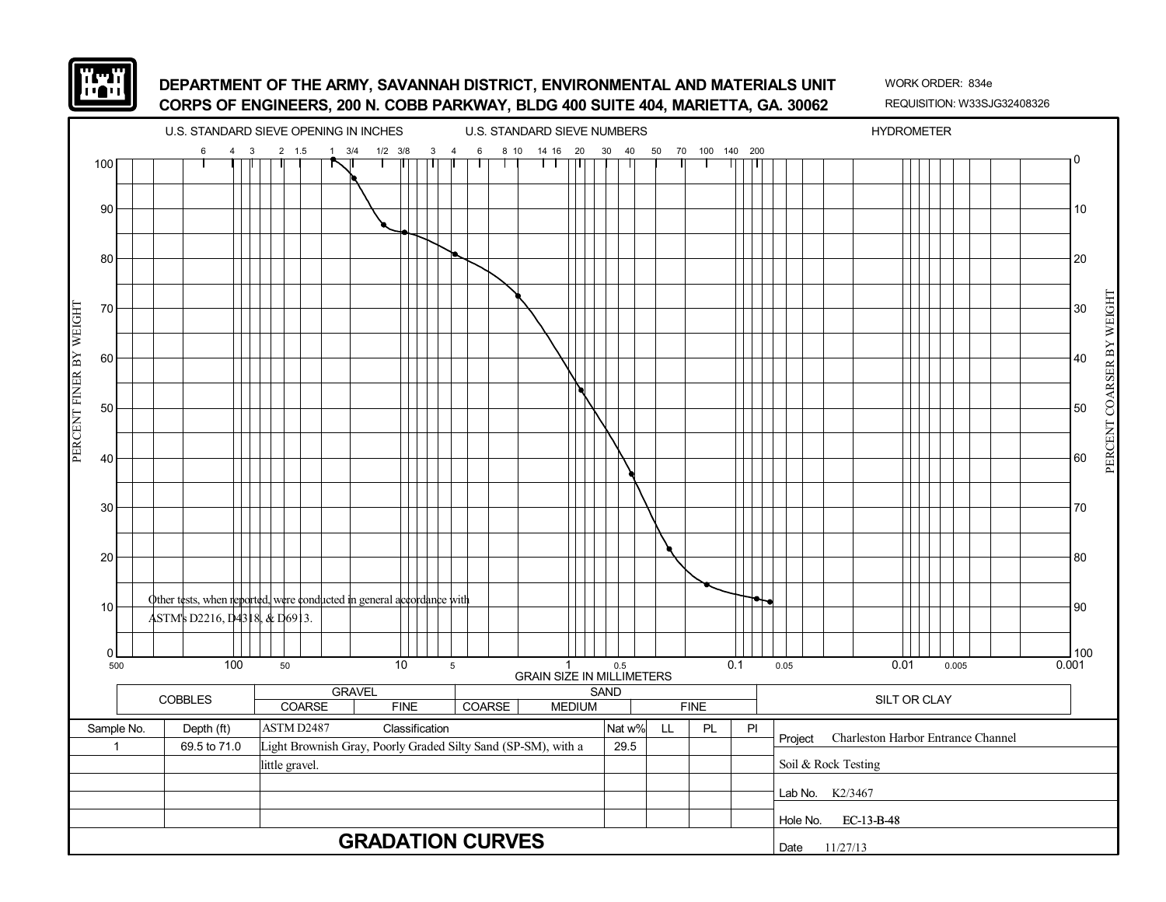

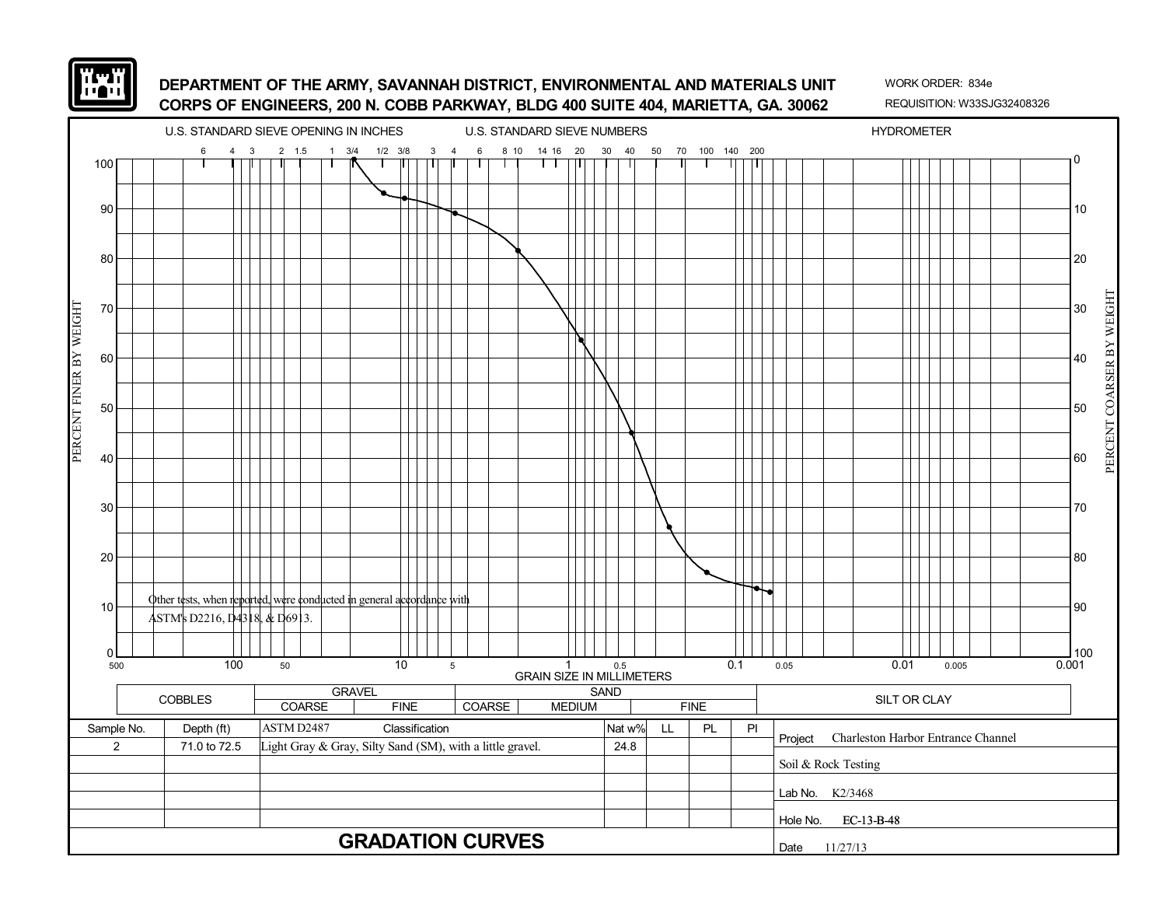

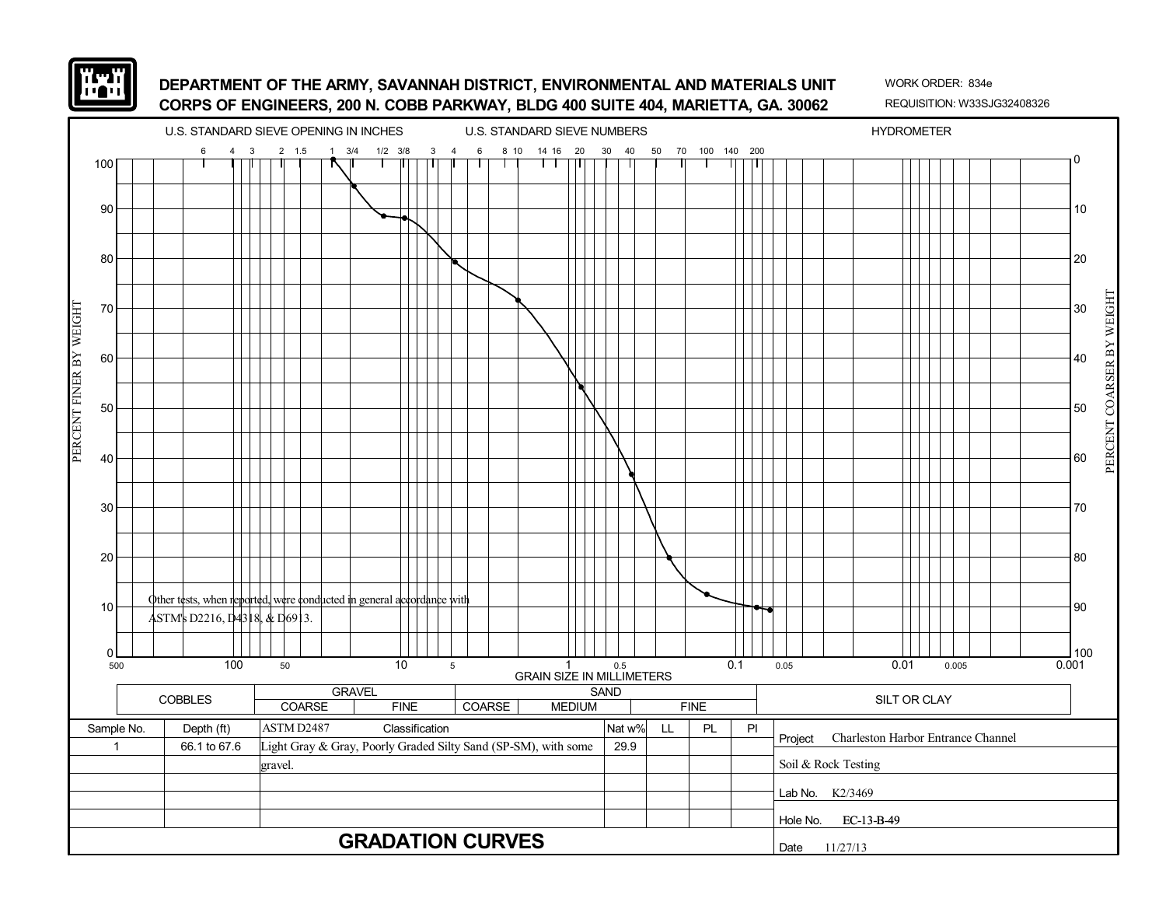

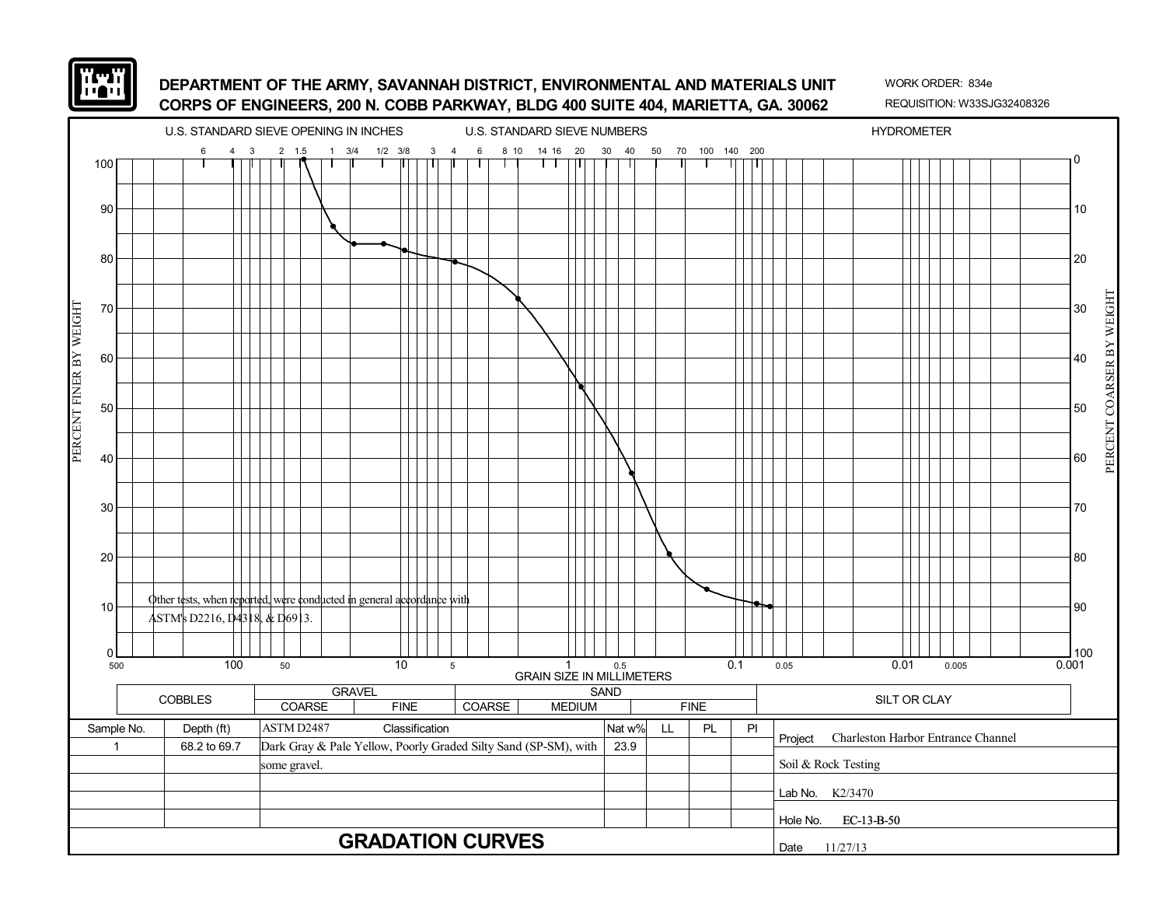

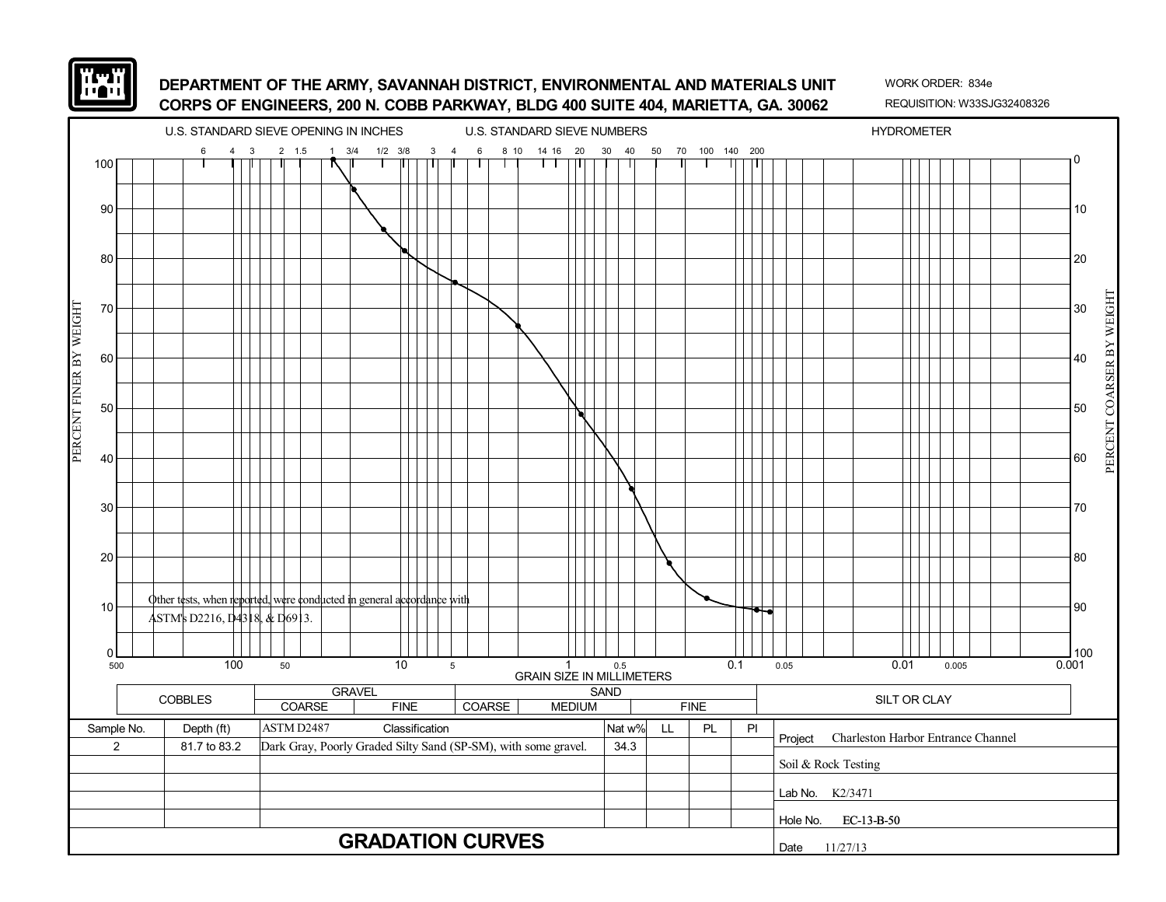

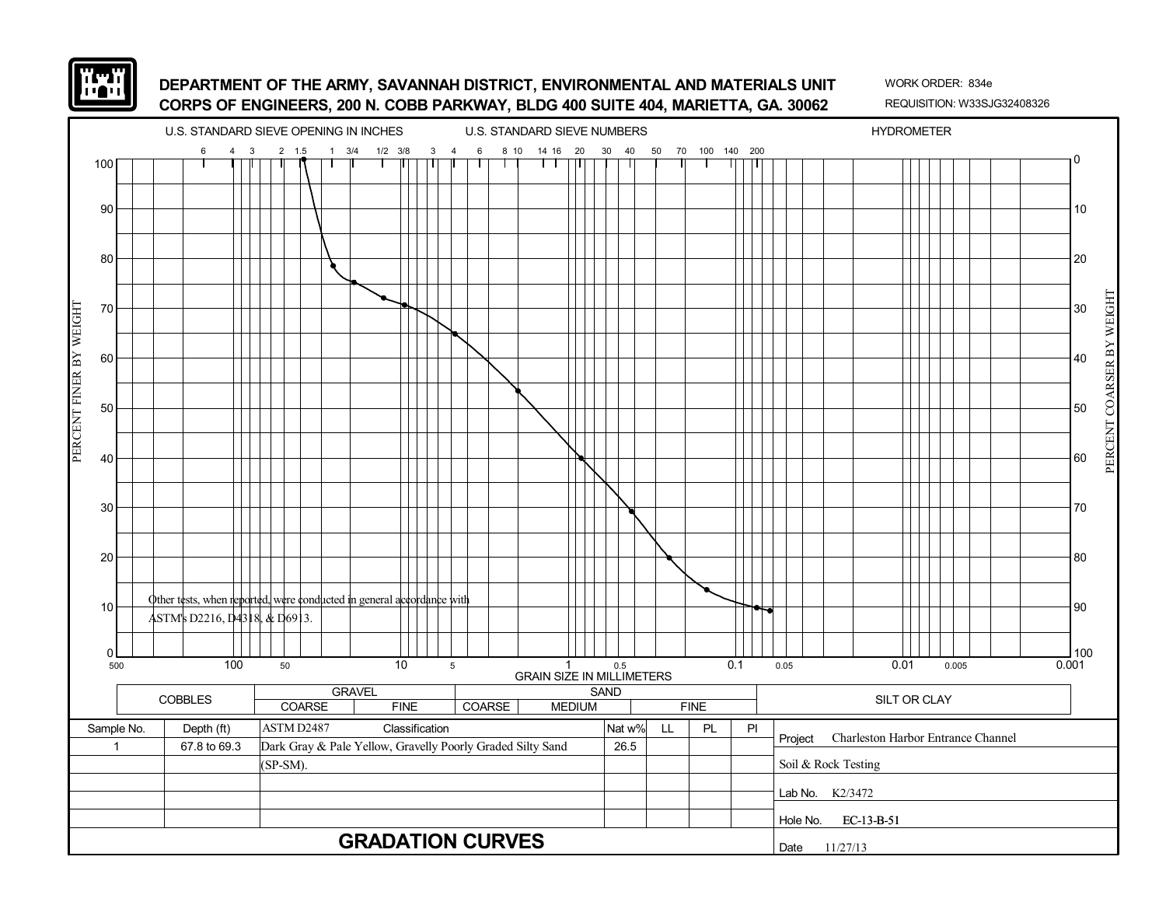

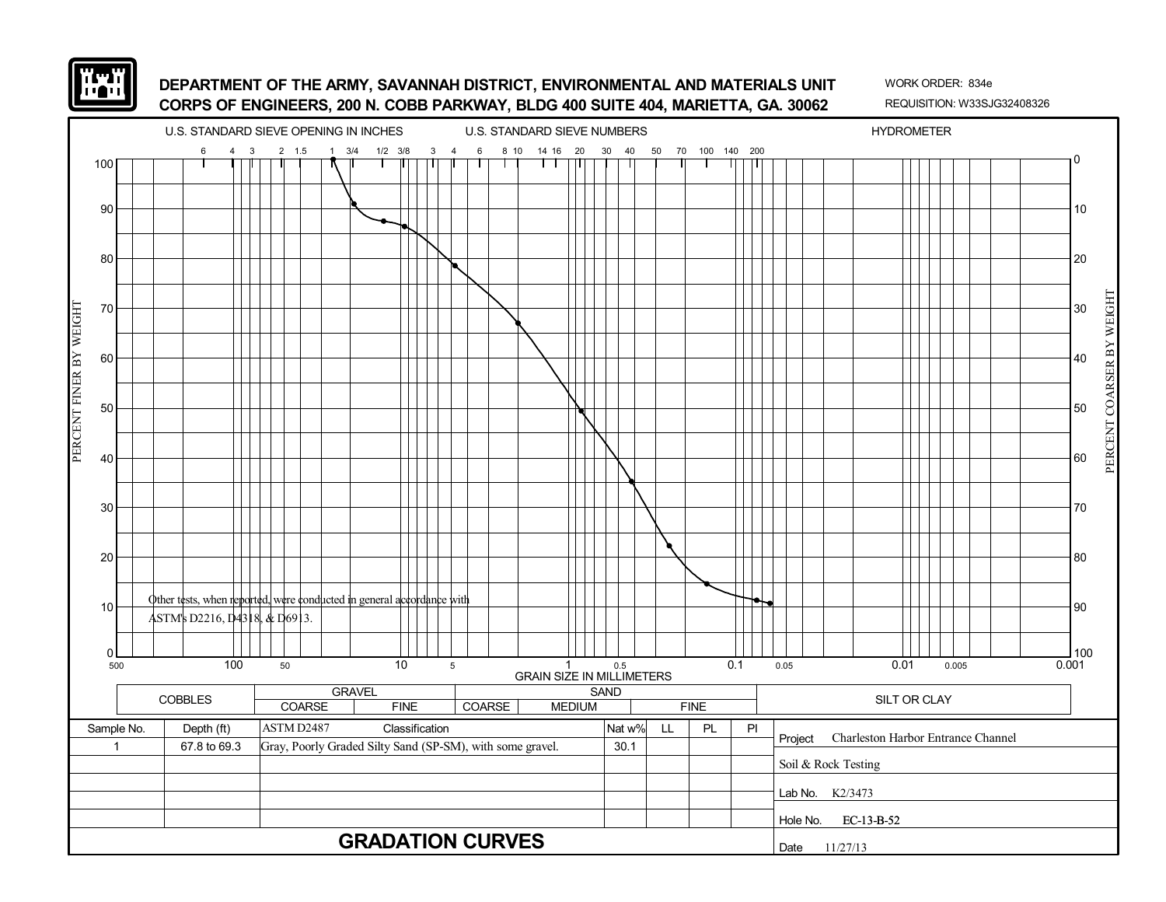

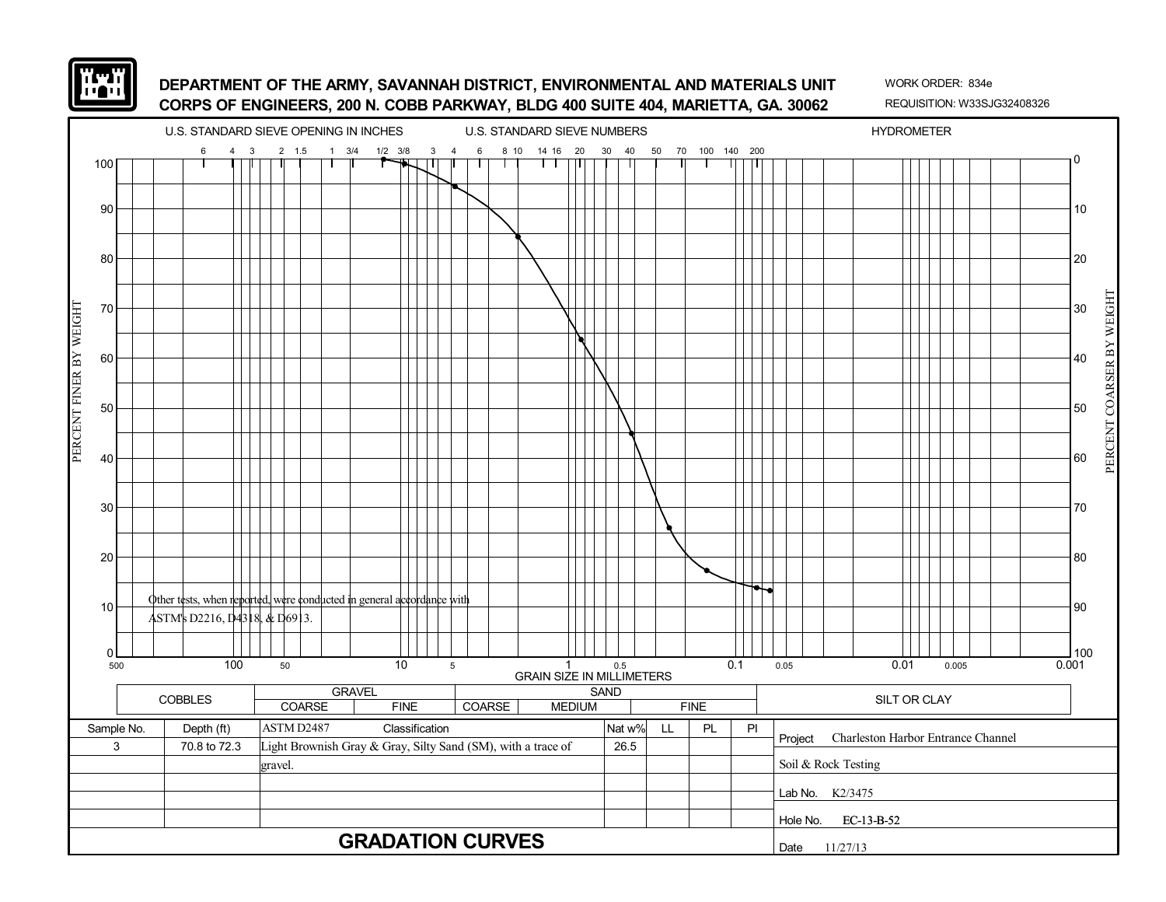

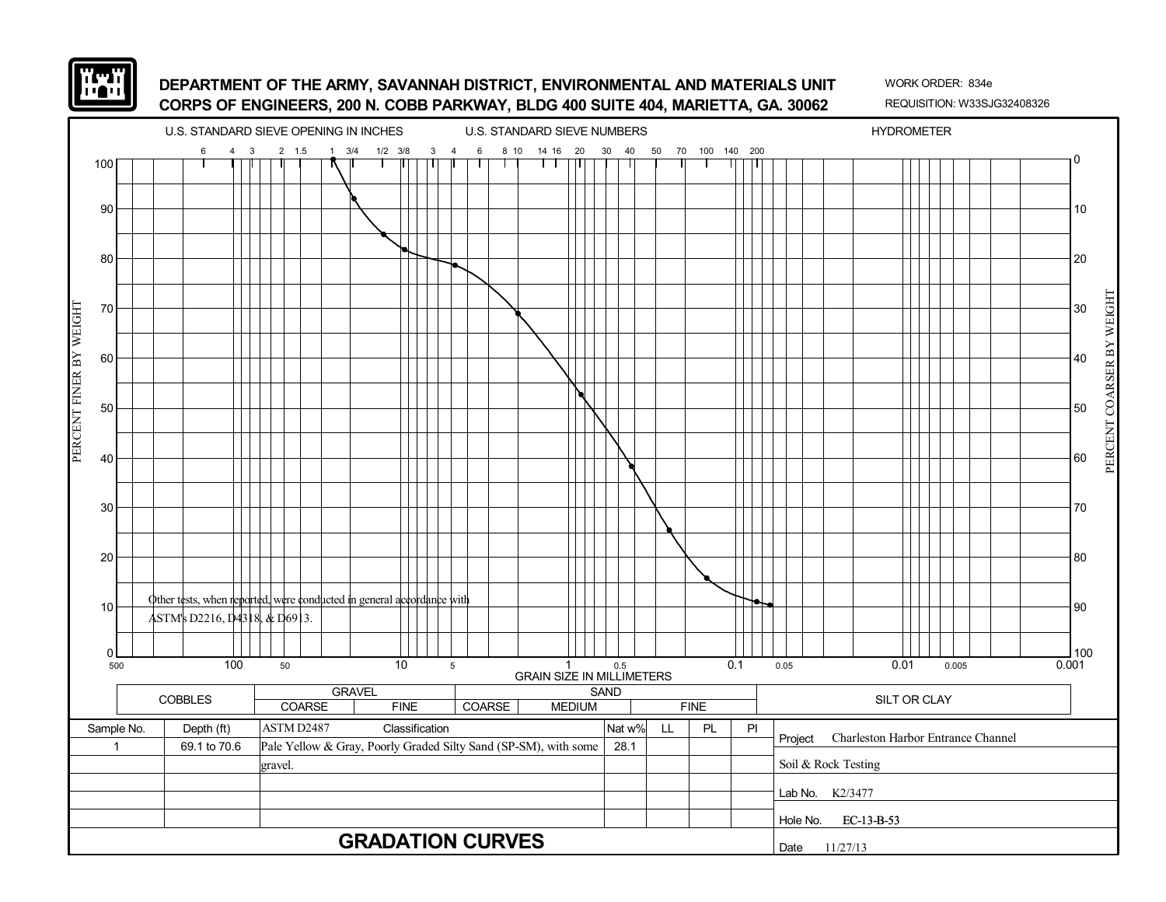

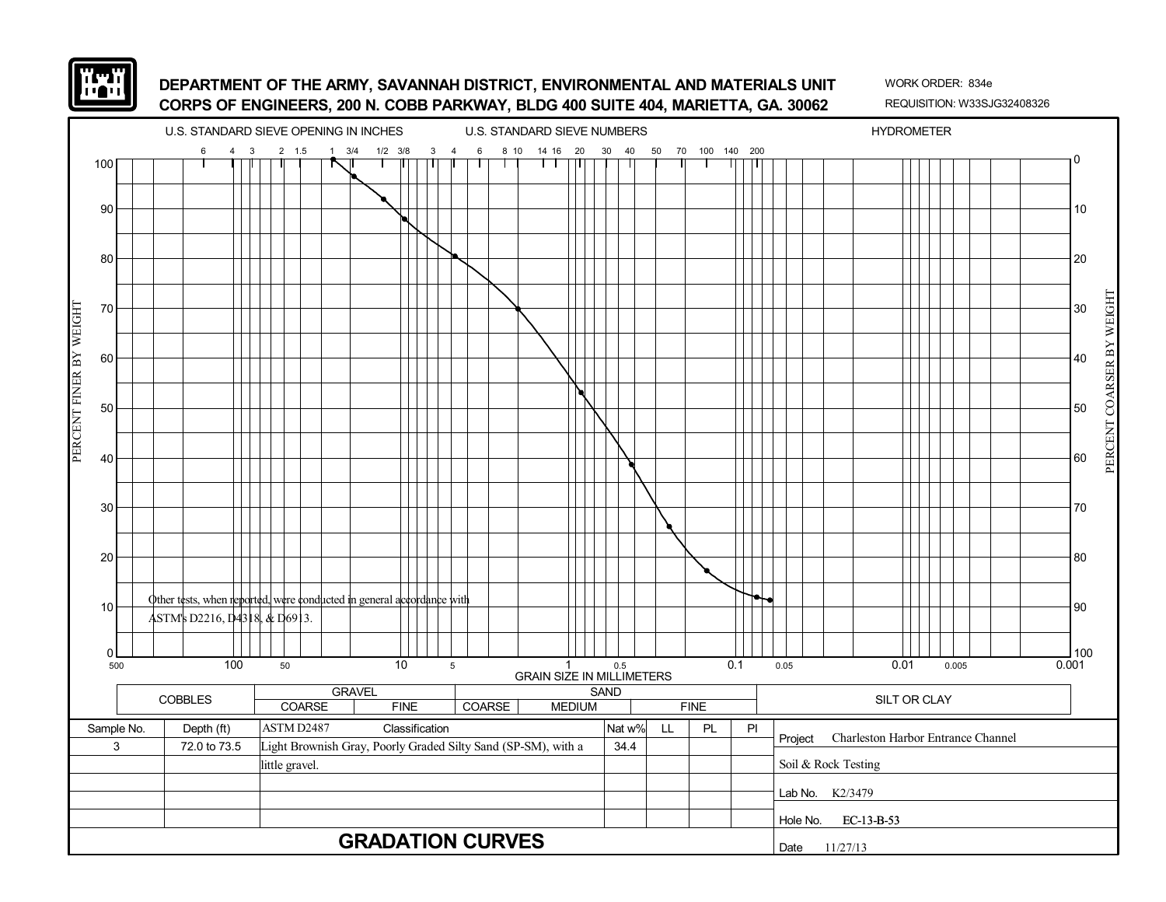

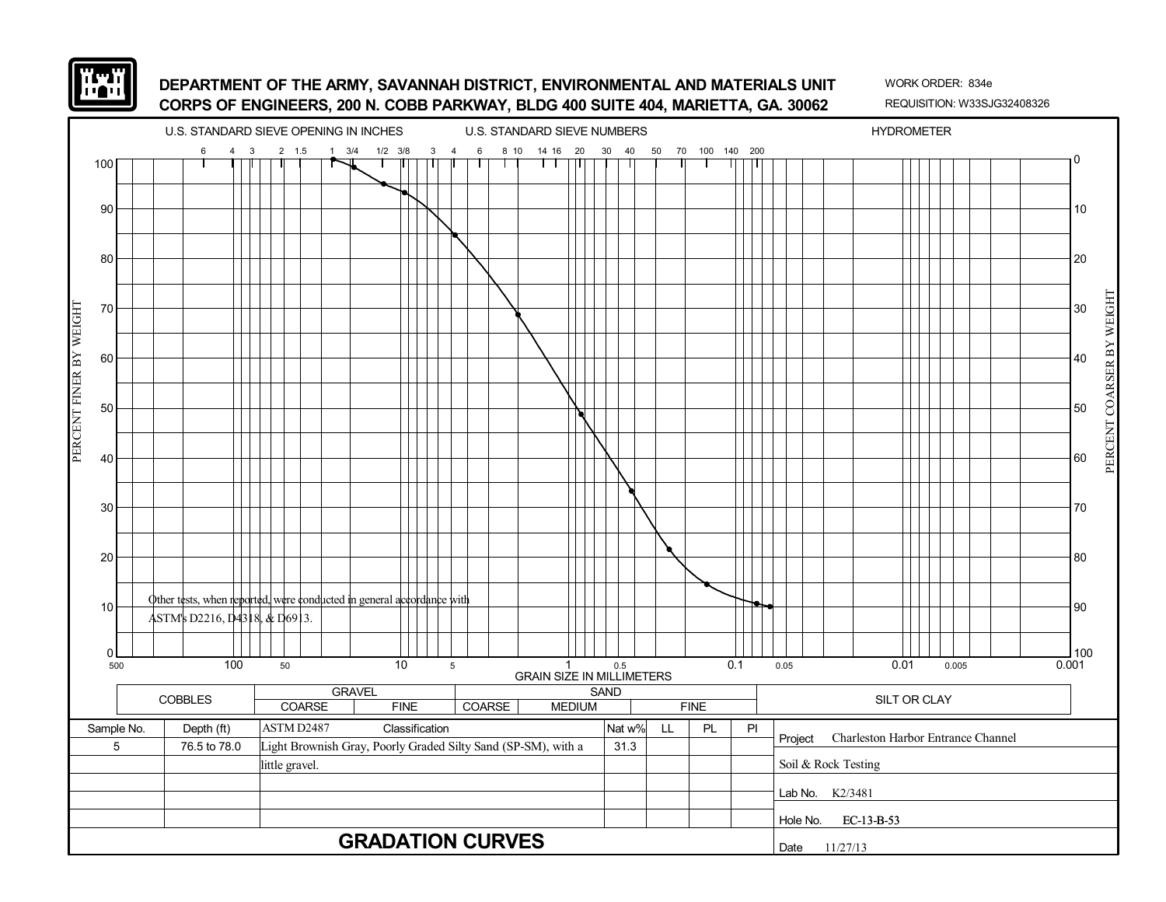

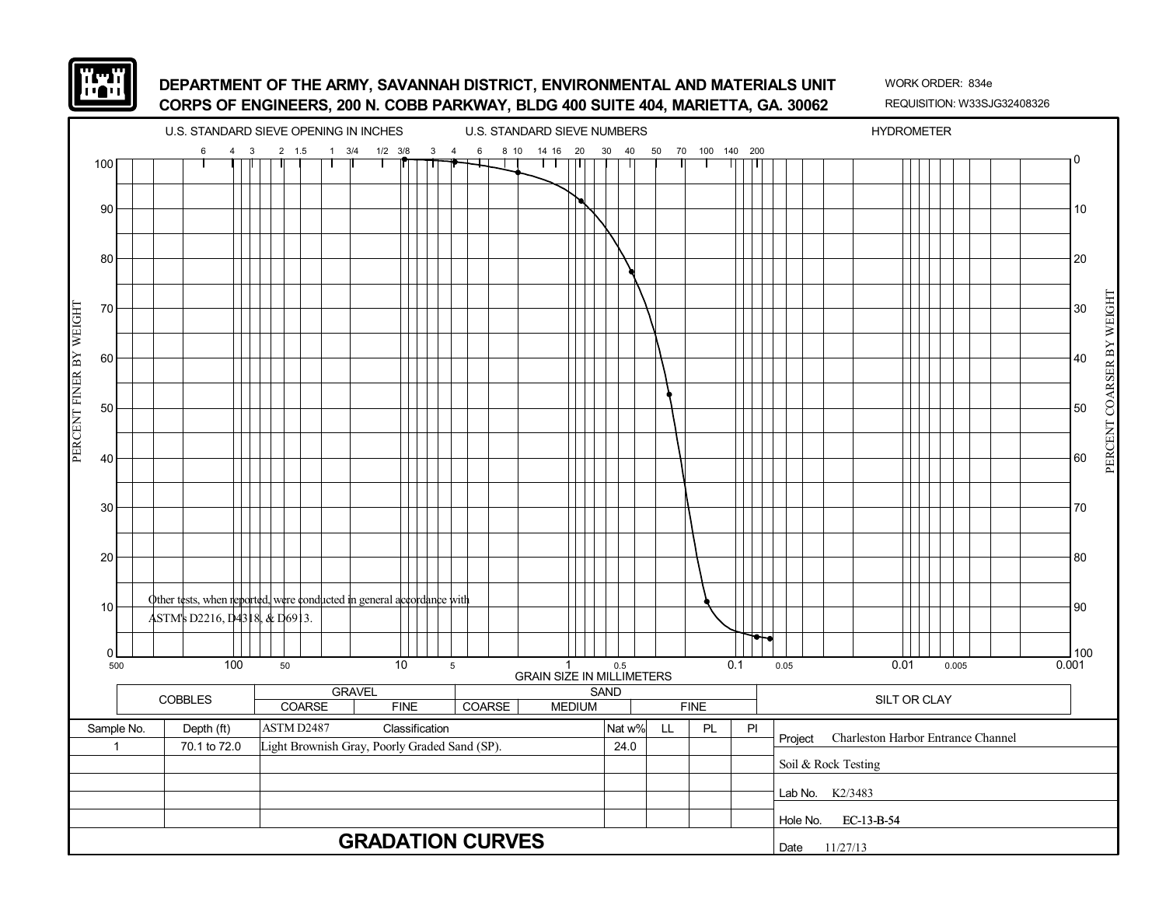

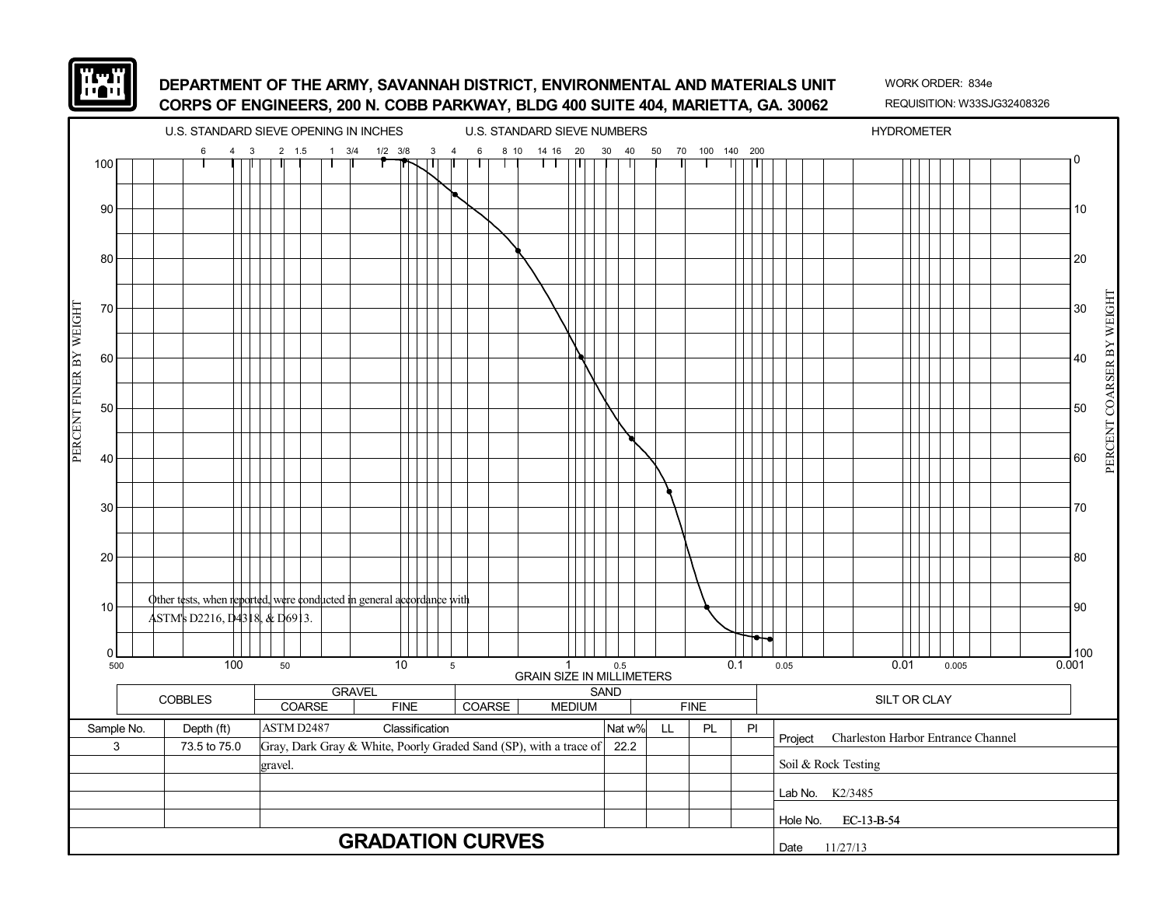

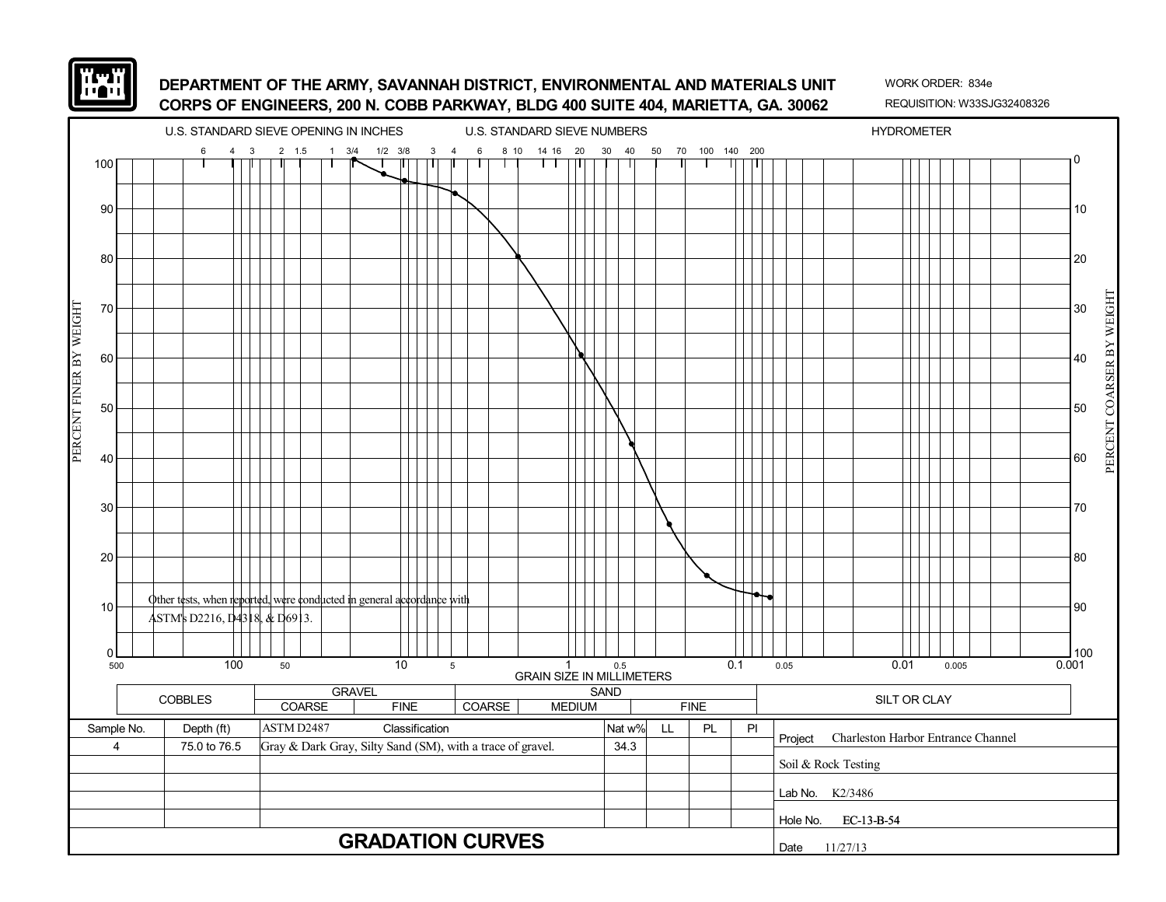

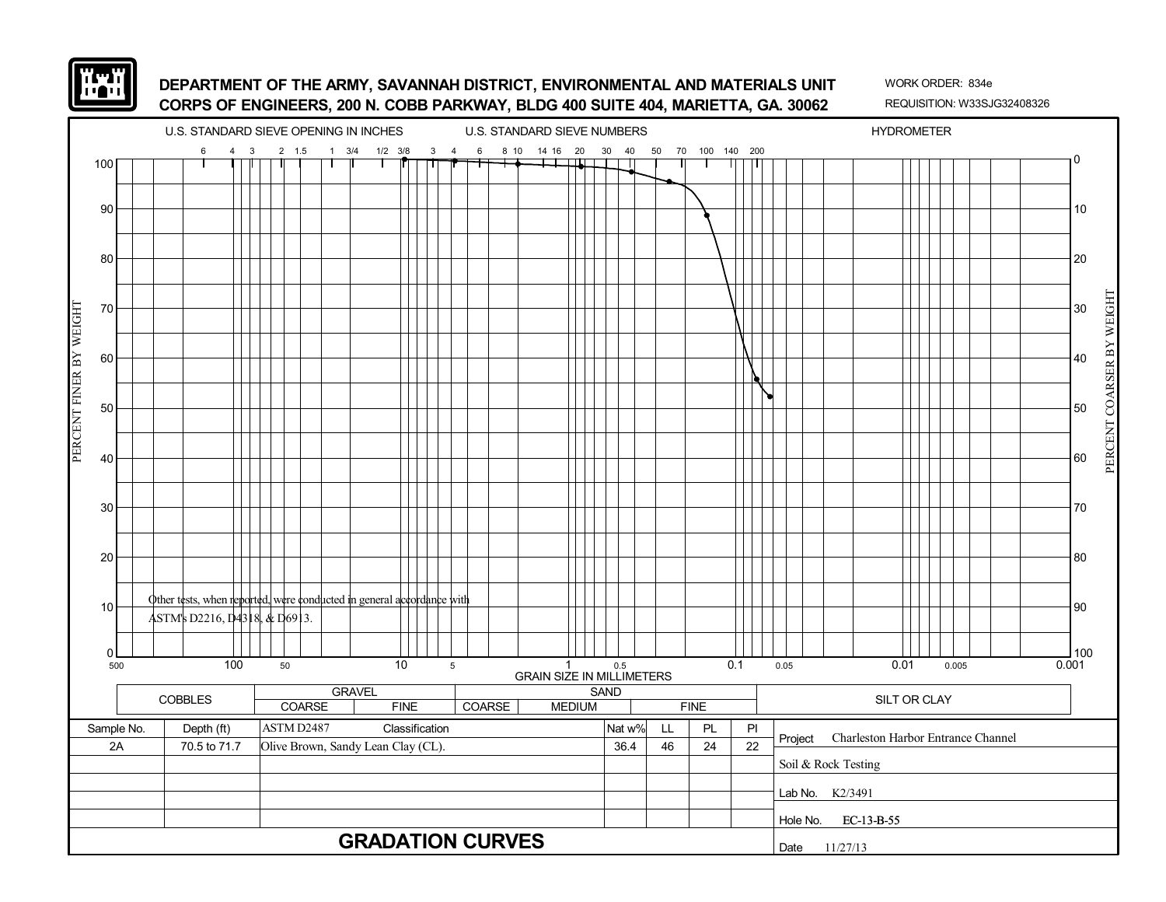

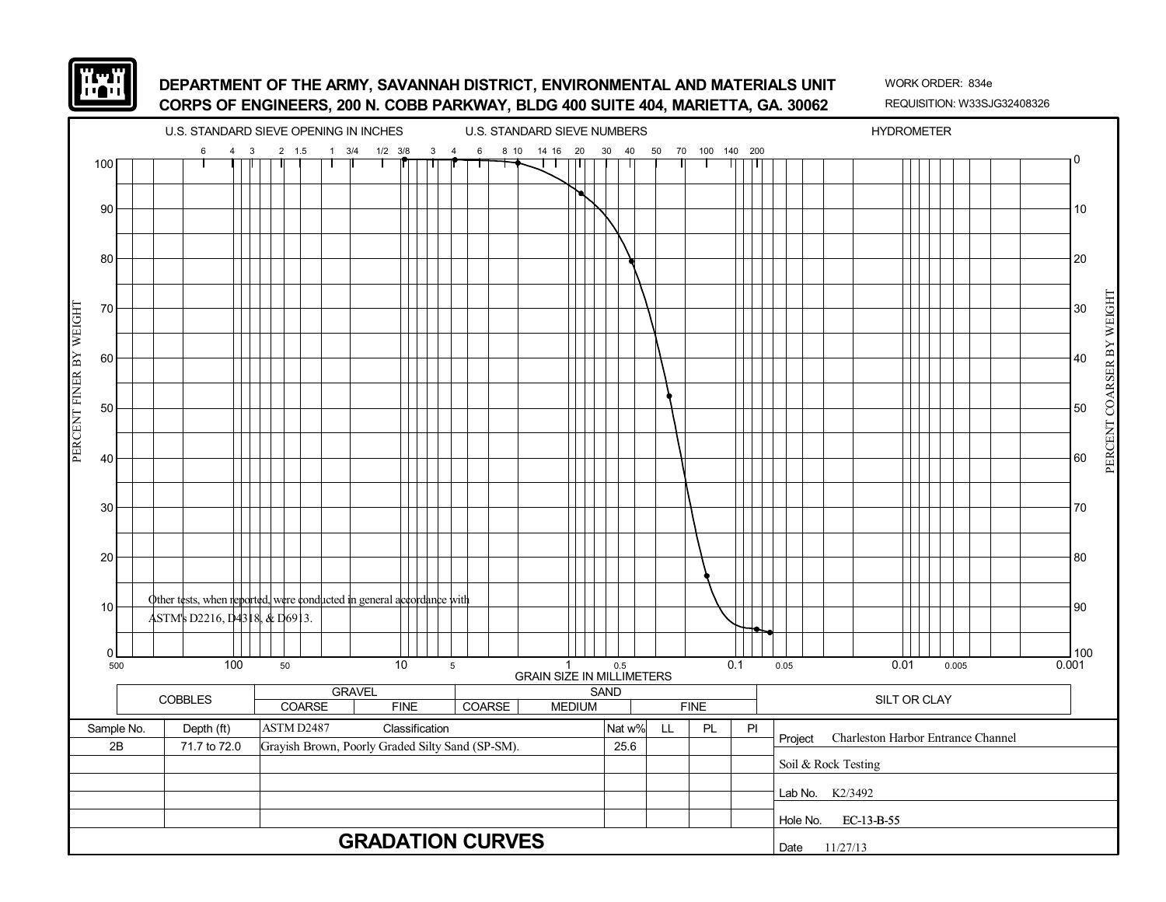

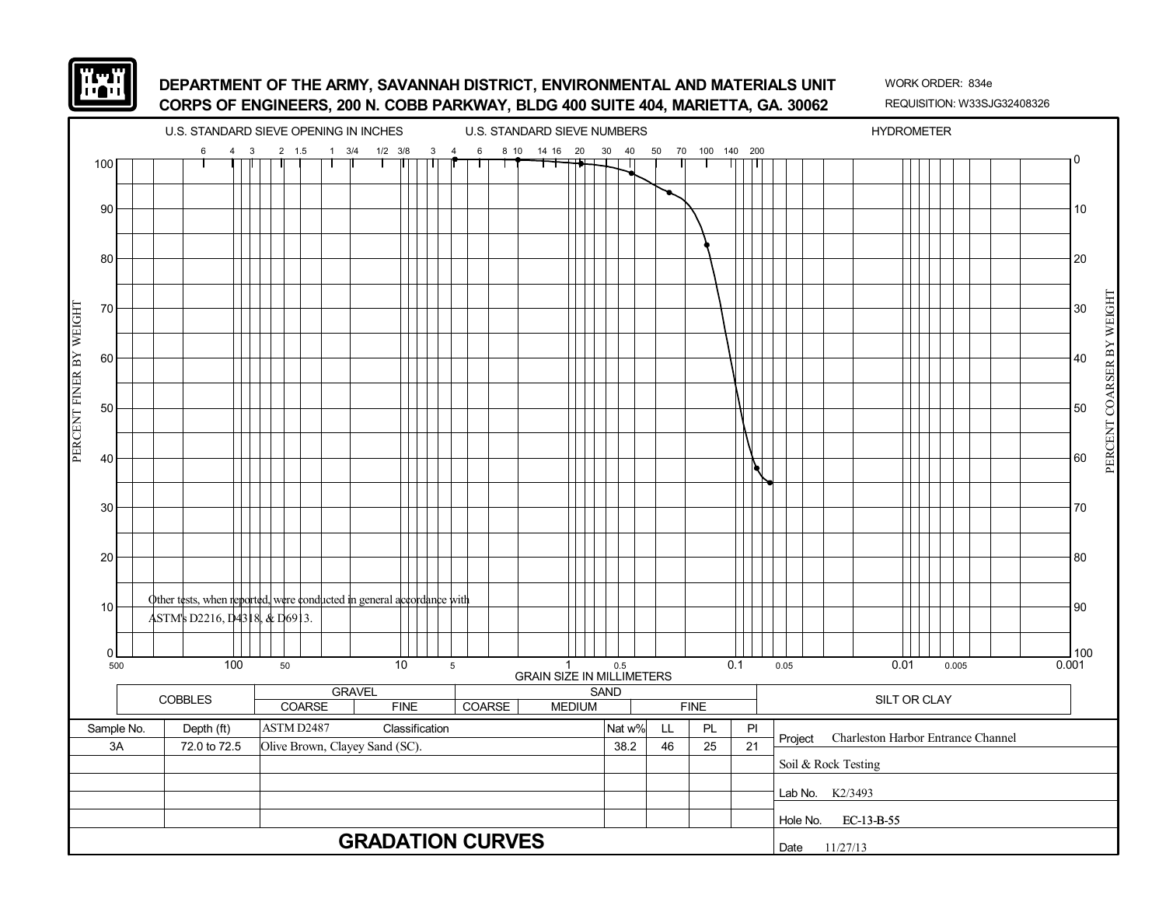

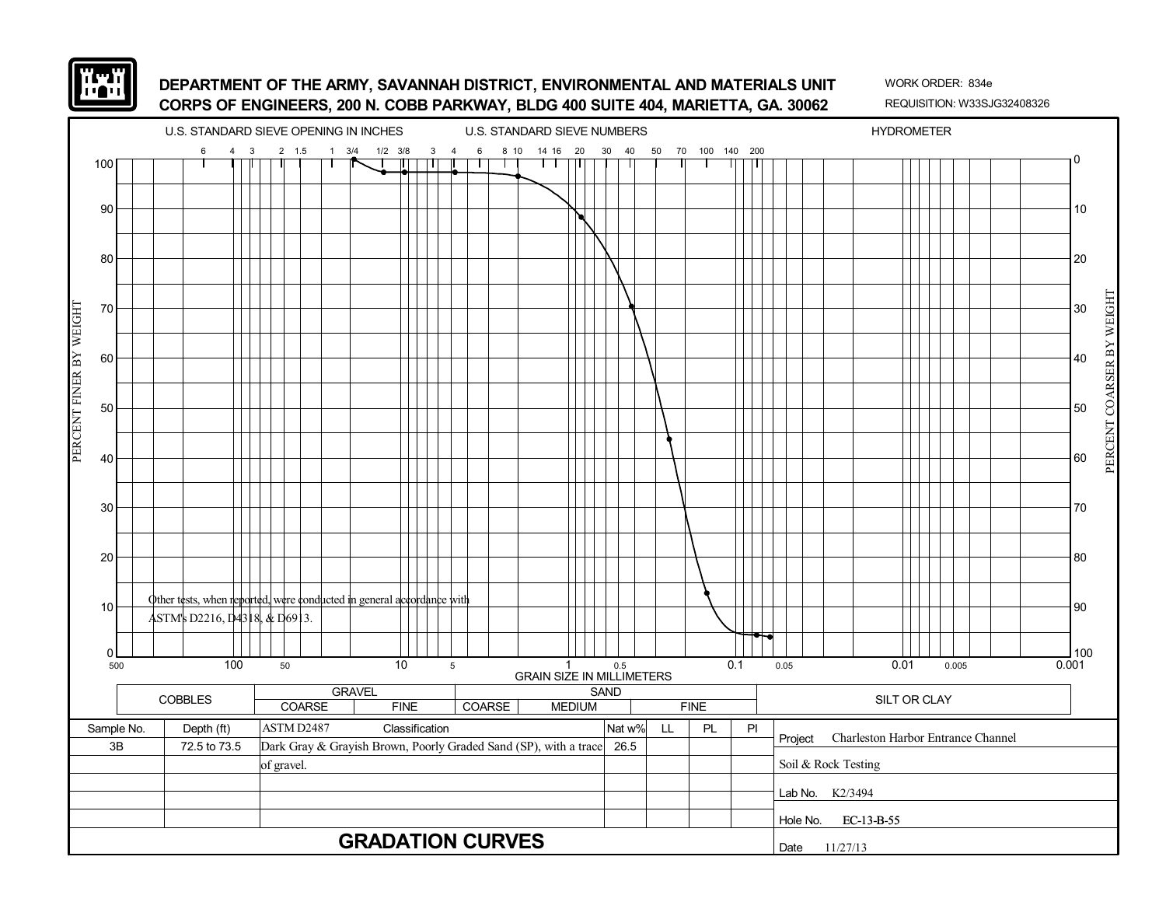

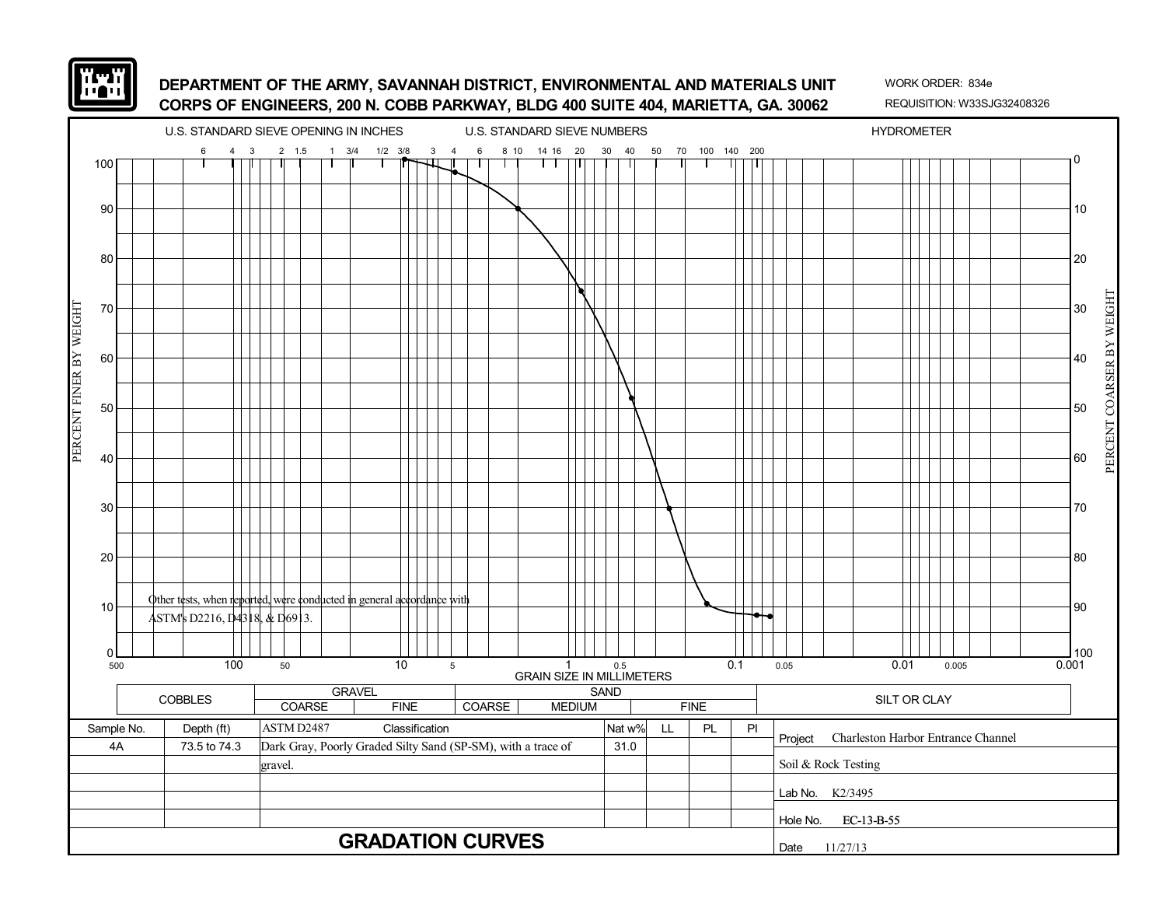

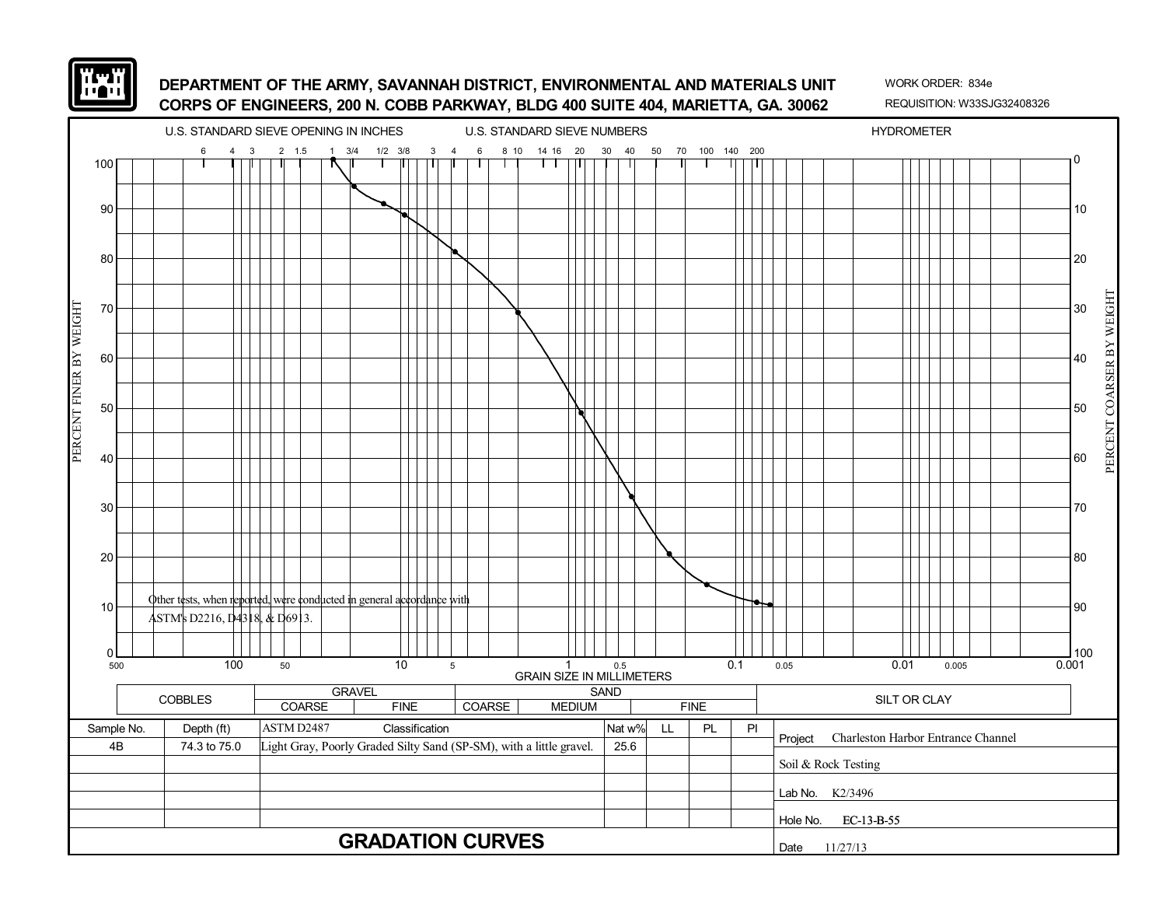